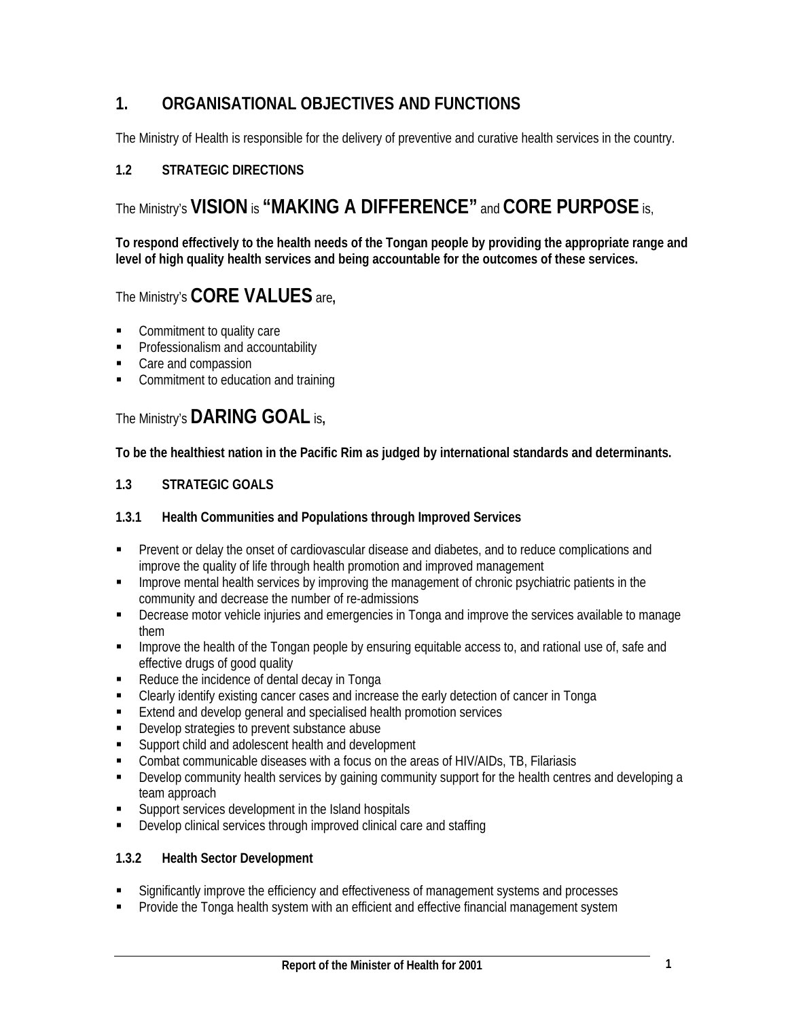# **1. ORGANISATIONAL OBJECTIVES AND FUNCTIONS**

The Ministry of Health is responsible for the delivery of preventive and curative health services in the country.

# **1.2 STRATEGIC DIRECTIONS**

# The Ministry's **VISION** is **"MAKING A DIFFERENCE"** and **CORE PURPOSE** is,

**To respond effectively to the health needs of the Tongan people by providing the appropriate range and level of high quality health services and being accountable for the outcomes of these services.** 

# The Ministry's **CORE VALUES** are**,**

- Commitment to quality care
- **Professionalism and accountability**
- Care and compassion
- Commitment to education and training

# The Ministry's **DARING GOAL** is**,**

**To be the healthiest nation in the Pacific Rim as judged by international standards and determinants.** 

#### **1.3 STRATEGIC GOALS**

#### **1.3.1 Health Communities and Populations through Improved Services**

- Prevent or delay the onset of cardiovascular disease and diabetes, and to reduce complications and improve the quality of life through health promotion and improved management
- **IMPROVE MET IMPROVERGED META** improving the management of chronic psychiatric patients in the community and decrease the number of re-admissions
- Decrease motor vehicle injuries and emergencies in Tonga and improve the services available to manage them
- **Improve the health of the Tongan people by ensuring equitable access to, and rational use of, safe and ignority** effective drugs of good quality
- Reduce the incidence of dental decay in Tonga
- Clearly identify existing cancer cases and increase the early detection of cancer in Tonga
- **Extend and develop general and specialised health promotion services**
- **Develop strategies to prevent substance abuse**
- **Support child and adolescent health and development**
- Combat communicable diseases with a focus on the areas of HIV/AIDs, TB, Filariasis
- Develop community health services by gaining community support for the health centres and developing a team approach
- **Support services development in the Island hospitals**
- Develop clinical services through improved clinical care and staffing

#### **1.3.2 Health Sector Development**

- Significantly improve the efficiency and effectiveness of management systems and processes
- Provide the Tonga health system with an efficient and effective financial management system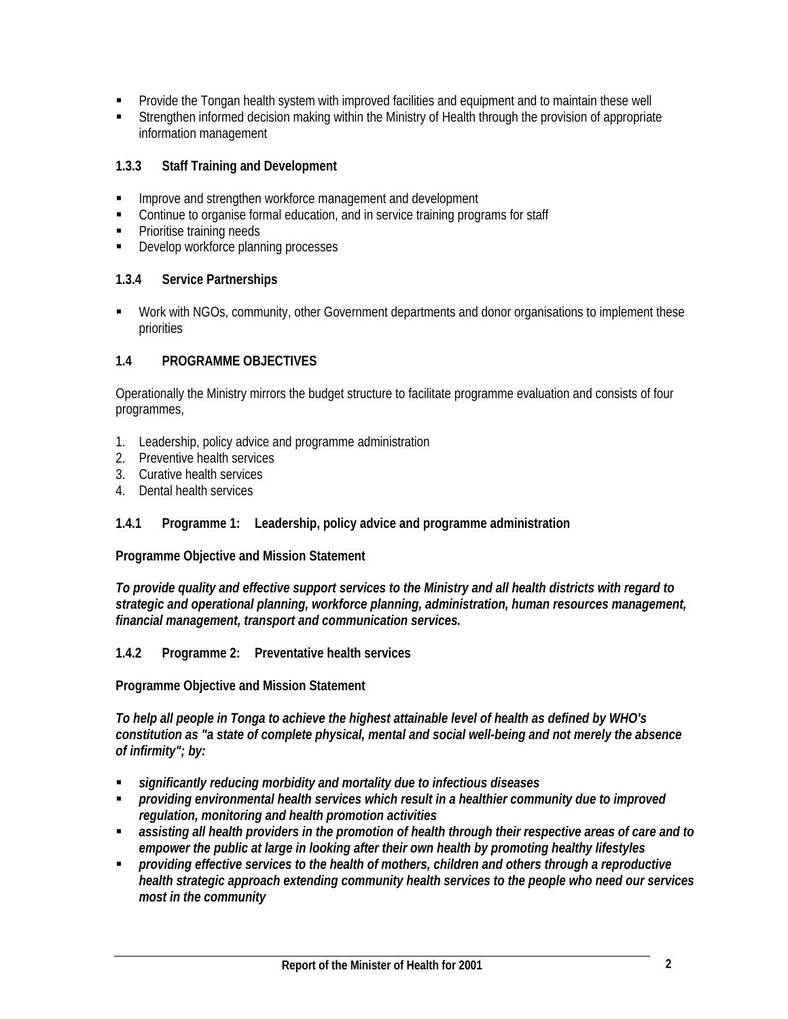- Provide the Tongan health system with improved facilities and equipment and to maintain these well
- Strengthen informed decision making within the Ministry of Health through the provision of appropriate information management

# **1.3.3 Staff Training and Development**

- **IMPROVE and strengthen workforce management and development**
- Continue to organise formal education, and in service training programs for staff
- Prioritise training needs
- **Develop workforce planning processes**

# **1.3.4 Service Partnerships**

**• Work with NGOs, community, other Government departments and donor organisations to implement these** priorities

# **1.4 PROGRAMME OBJECTIVES**

Operationally the Ministry mirrors the budget structure to facilitate programme evaluation and consists of four programmes,

- 1. Leadership, policy advice and programme administration
- 2. Preventive health services
- 3. Curative health services
- 4. Dental health services

# **1.4.1 Programme 1: Leadership, policy advice and programme administration**

**Programme Objective and Mission Statement** 

*To provide quality and effective support services to the Ministry and all health districts with regard to strategic and operational planning, workforce planning, administration, human resources management, financial management, transport and communication services.* 

# **1.4.2 Programme 2: Preventative health services**

# **Programme Objective and Mission Statement**

*To help all people in Tonga to achieve the highest attainable level of health as defined by WHO's constitution as "a state of complete physical, mental and social well-being and not merely the absence of infirmity"; by:* 

- *significantly reducing morbidity and mortality due to infectious diseases*
- *providing environmental health services which result in a healthier community due to improved regulation, monitoring and health promotion activities*
- *assisting all health providers in the promotion of health through their respective areas of care and to empower the public at large in looking after their own health by promoting healthy lifestyles*
- *providing effective services to the health of mothers, children and others through a reproductive health strategic approach extending community health services to the people who need our services most in the community*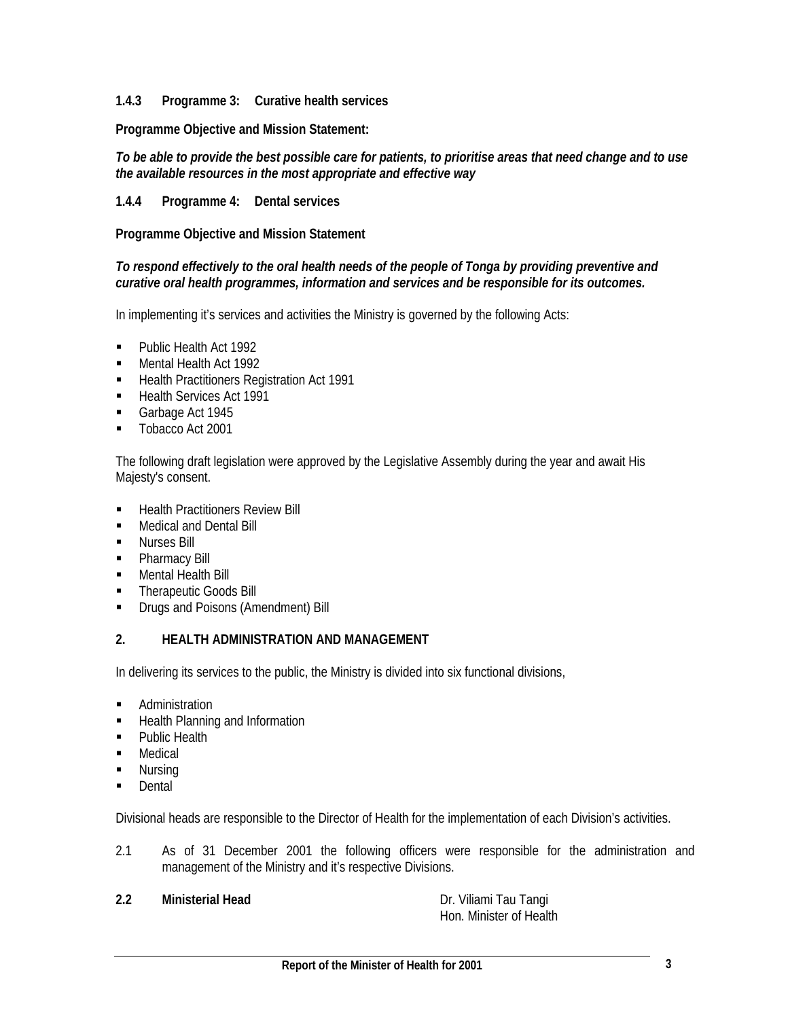#### **1.4.3 Programme 3: Curative health services**

**Programme Objective and Mission Statement:** 

#### *To be able to provide the best possible care for patients, to prioritise areas that need change and to use the available resources in the most appropriate and effective way*

# **1.4.4 Programme 4: Dental services**

**Programme Objective and Mission Statement** 

#### *To respond effectively to the oral health needs of the people of Tonga by providing preventive and curative oral health programmes, information and services and be responsible for its outcomes.*

In implementing it's services and activities the Ministry is governed by the following Acts:

- **Public Health Act 1992**
- **Mental Health Act 1992**
- Health Practitioners Registration Act 1991
- Health Services Act 1991
- Garbage Act 1945
- **Tobacco Act 2001**

The following draft legislation were approved by the Legislative Assembly during the year and await His Majesty's consent.

- **Health Practitioners Review Bill**
- **Medical and Dental Bill**
- **Nurses Bill**
- Pharmacy Bill
- **Mental Health Bill**
- **Therapeutic Goods Bill**
- **•** Drugs and Poisons (Amendment) Bill

#### **2. HEALTH ADMINISTRATION AND MANAGEMENT**

In delivering its services to the public, the Ministry is divided into six functional divisions,

- **Administration**
- **Health Planning and Information**
- Public Health
- **Medical**
- **Nursing**
- **Dental**

Divisional heads are responsible to the Director of Health for the implementation of each Division's activities.

2.1 As of 31 December 2001 the following officers were responsible for the administration and management of the Ministry and it's respective Divisions.

**2.2 Ministerial Head Dr. Viliami Tau Tangi** 

Hon. Minister of Health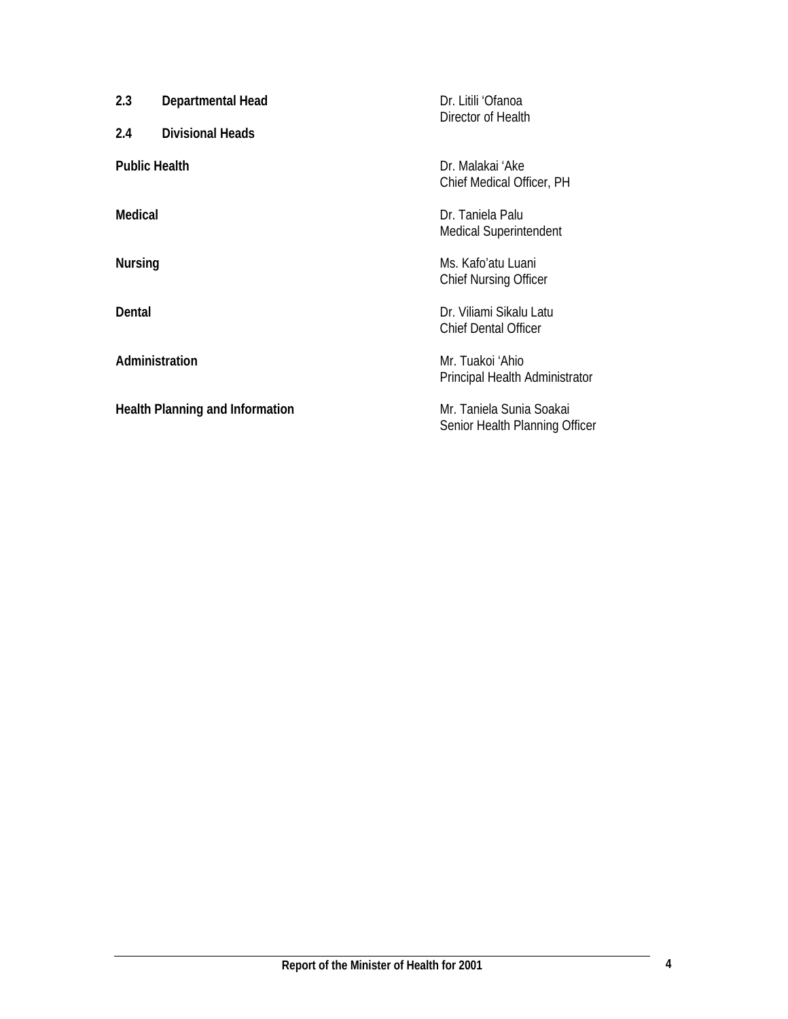| Dr. Litili 'Ofanoa<br>Director of Health                   |
|------------------------------------------------------------|
| Dr. Malakai 'Ake<br>Chief Medical Officer, PH              |
| Dr. Taniela Palu<br><b>Medical Superintendent</b>          |
| Ms. Kafo'atu Luani<br><b>Chief Nursing Officer</b>         |
| Dr. Viliami Sikalu Latu<br><b>Chief Dental Officer</b>     |
| Mr. Tuakoi 'Ahio<br>Principal Health Administrator         |
| Mr. Taniela Sunia Soakai<br>Senior Health Planning Officer |
|                                                            |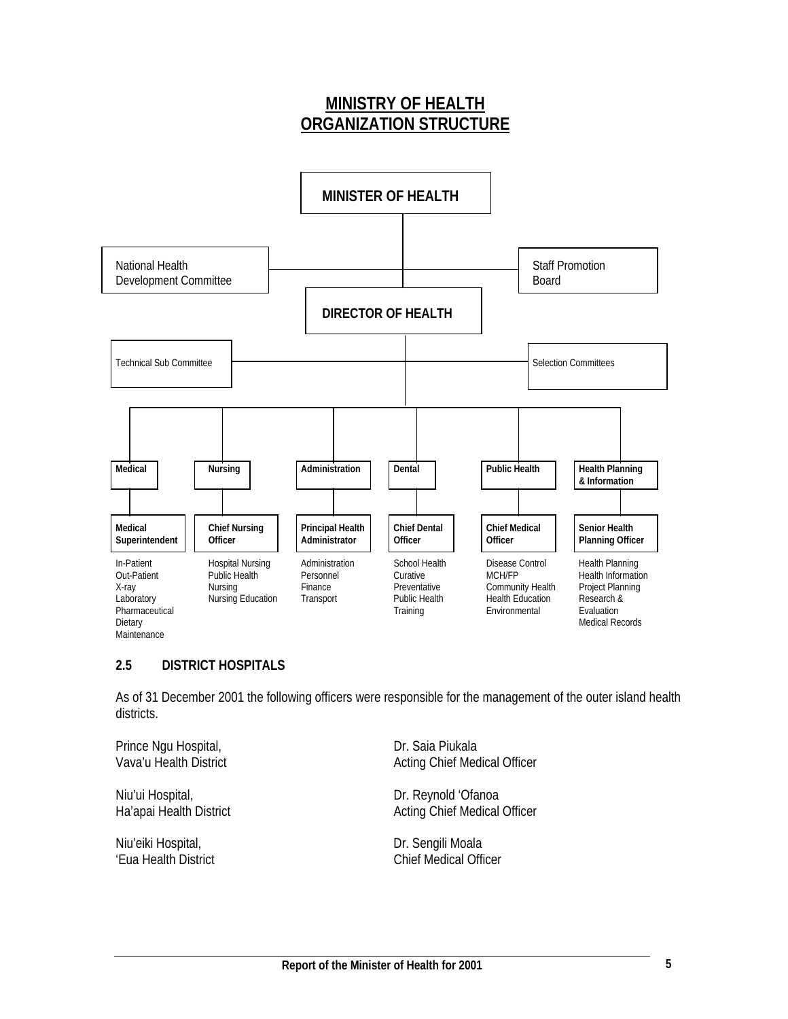# **MINISTRY OF HEALTH ORGANIZATION STRUCTURE**



# **2.5 DISTRICT HOSPITALS**

As of 31 December 2001 the following officers were responsible for the management of the outer island health districts.

Prince Ngu Hospital, **Dr.** Saia Piukala

Niu'ui Hospital, and a compared to the Dr. Reynold 'Ofanoa'

Niu'eiki Hospital, and a compared to the Dr. Sengili Moala

Vava'u Health District **Acting Chief Medical Officer** Acting Chief Medical Officer

Ha'apai Health District **Acting Chief Medical Officer** Acting Chief Medical Officer

'Eua Health District **Chief Medical Officer**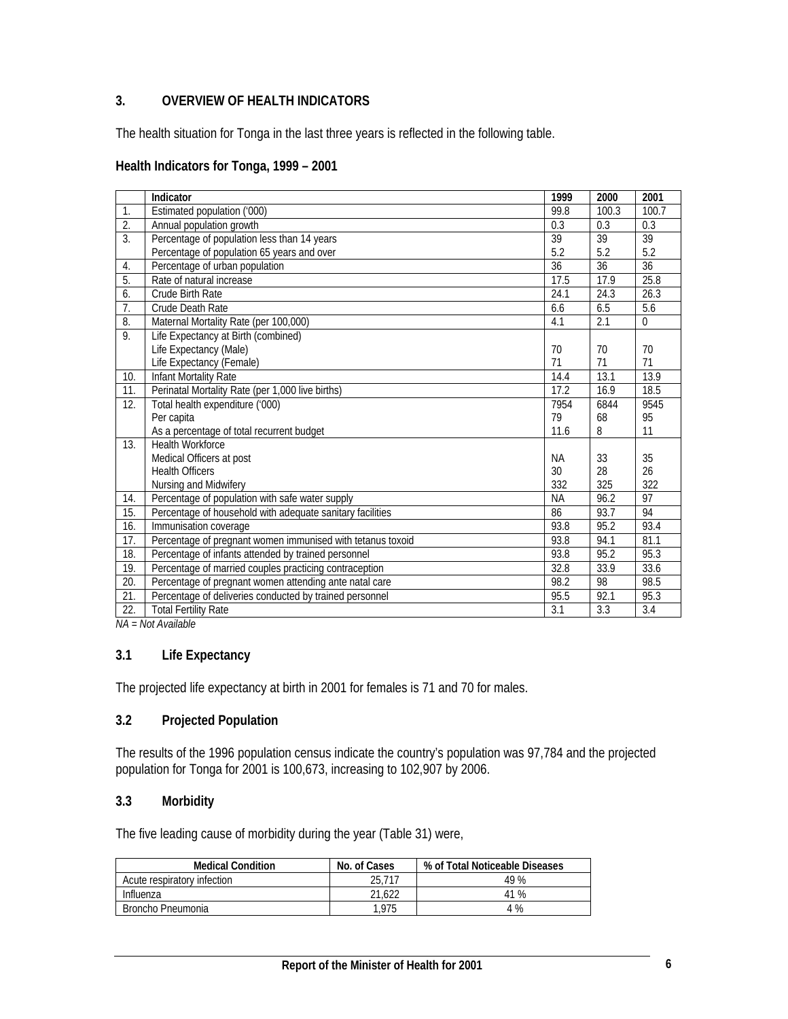# **3. OVERVIEW OF HEALTH INDICATORS**

The health situation for Tonga in the last three years is reflected in the following table.

#### **Health Indicators for Tonga, 1999 – 2001**

|                  | Indicator                                                  | 1999      | 2000  | 2001        |
|------------------|------------------------------------------------------------|-----------|-------|-------------|
| $\mathbf{1}$ .   | Estimated population ('000)                                | 99.8      | 100.3 | 100.7       |
| $\overline{2}$ . | Annual population growth                                   | 0.3       | 0.3   | 0.3         |
| $\overline{3}$ . | Percentage of population less than 14 years                | 39        | 39    | 39          |
|                  | Percentage of population 65 years and over                 | 5.2       | 5.2   | 5.2         |
| $\overline{4}$ . | Percentage of urban population                             | 36        | 36    | 36          |
| 5.               | Rate of natural increase                                   | 17.5      | 17.9  | 25.8        |
| 6.               | Crude Birth Rate                                           | 24.1      | 24.3  | 26.3        |
| $\overline{7}$ . | Crude Death Rate                                           | 6.6       | 6.5   | 5.6         |
| 8.               | Maternal Mortality Rate (per 100,000)                      | 4.1       | 2.1   | $\mathbf 0$ |
| 9.               | Life Expectancy at Birth (combined)                        |           |       |             |
|                  | Life Expectancy (Male)                                     | 70        | 70    | 70          |
|                  | Life Expectancy (Female)                                   | 71        | 71    | 71          |
| 10.              | Infant Mortality Rate                                      | 14.4      | 13.1  | 13.9        |
| 11.              | Perinatal Mortality Rate (per 1,000 live births)           | 17.2      | 16.9  | 18.5        |
| 12.              | Total health expenditure ('000)                            | 7954      | 6844  | 9545        |
|                  | Per capita                                                 | 79        | 68    | 95          |
|                  | As a percentage of total recurrent budget                  | 11.6      | 8     | 11          |
| 13.              | <b>Health Workforce</b>                                    |           |       |             |
|                  | Medical Officers at post                                   | <b>NA</b> | 33    | 35          |
|                  | <b>Health Officers</b>                                     | 30        | 28    | 26          |
|                  | Nursing and Midwifery                                      | 332       | 325   | 322         |
| 14.              | Percentage of population with safe water supply            | <b>NA</b> | 96.2  | 97          |
| 15.              | Percentage of household with adequate sanitary facilities  | 86        | 93.7  | 94          |
| 16.              | Immunisation coverage                                      | 93.8      | 95.2  | 93.4        |
| 17.              | Percentage of pregnant women immunised with tetanus toxoid | 93.8      | 94.1  | 81.1        |
| 18.              | Percentage of infants attended by trained personnel        | 93.8      | 95.2  | 95.3        |
| 19.              | Percentage of married couples practicing contraception     | 32.8      | 33.9  | 33.6        |
| 20.              | Percentage of pregnant women attending ante natal care     | 98.2      | 98    | 98.5        |
| 21.              | Percentage of deliveries conducted by trained personnel    | 95.5      | 92.1  | 95.3        |
| 22.              | <b>Total Fertility Rate</b>                                | 3.1       | 3.3   | 3.4         |

*NA = Not Available* 

#### **3.1 Life Expectancy**

The projected life expectancy at birth in 2001 for females is 71 and 70 for males.

# **3.2 Projected Population**

The results of the 1996 population census indicate the country's population was 97,784 and the projected population for Tonga for 2001 is 100,673, increasing to 102,907 by 2006.

#### **3.3 Morbidity**

The five leading cause of morbidity during the year (Table 31) were,

| <b>Medical Condition</b>    | No. of Cases | % of Total Noticeable Diseases |
|-----------------------------|--------------|--------------------------------|
| Acute respiratory infection | 25.717       | 49 %                           |
| Influenza                   | 21.622       | 41 %                           |
| Broncho Pneumonia           | 1.975        | 4 %                            |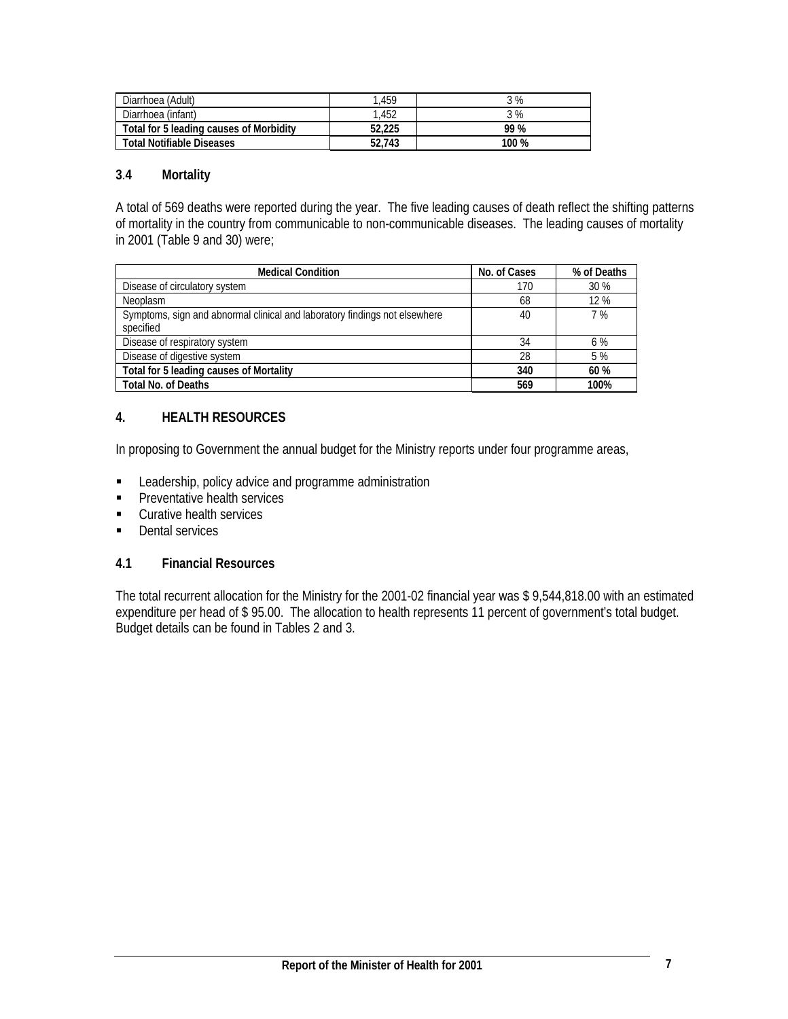| Diarrhoea (Adult)                       | .459   | 3%    |
|-----------------------------------------|--------|-------|
| Diarrhoea (infant)                      | .452   | 3%    |
| Total for 5 leading causes of Morbidity | 52,225 | 99 %  |
| <b>Total Notifiable Diseases</b>        | 52,743 | 100 % |

#### **3**.**4 Mortality**

A total of 569 deaths were reported during the year. The five leading causes of death reflect the shifting patterns of mortality in the country from communicable to non-communicable diseases. The leading causes of mortality in 2001 (Table 9 and 30) were;

| <b>Medical Condition</b>                                                   | No. of Cases | % of Deaths |
|----------------------------------------------------------------------------|--------------|-------------|
| Disease of circulatory system                                              | 170          | 30%         |
| <b>Neoplasm</b>                                                            | 68           | 12%         |
| Symptoms, sign and abnormal clinical and laboratory findings not elsewhere | 40           | 7%          |
| specified                                                                  |              |             |
| Disease of respiratory system                                              | 34           | 6%          |
| Disease of digestive system                                                | 28           | 5 %         |
| Total for 5 leading causes of Mortality                                    | 340          | 60 %        |
| <b>Total No. of Deaths</b>                                                 | 569          | 100%        |

# **4. HEALTH RESOURCES**

In proposing to Government the annual budget for the Ministry reports under four programme areas,

- **EXEC** Leadership, policy advice and programme administration
- **Preventative health services**
- **Curative health services**
- **Dental services**

#### **4.1 Financial Resources**

The total recurrent allocation for the Ministry for the 2001-02 financial year was \$ 9,544,818.00 with an estimated expenditure per head of \$ 95.00. The allocation to health represents 11 percent of government's total budget. Budget details can be found in Tables 2 and 3.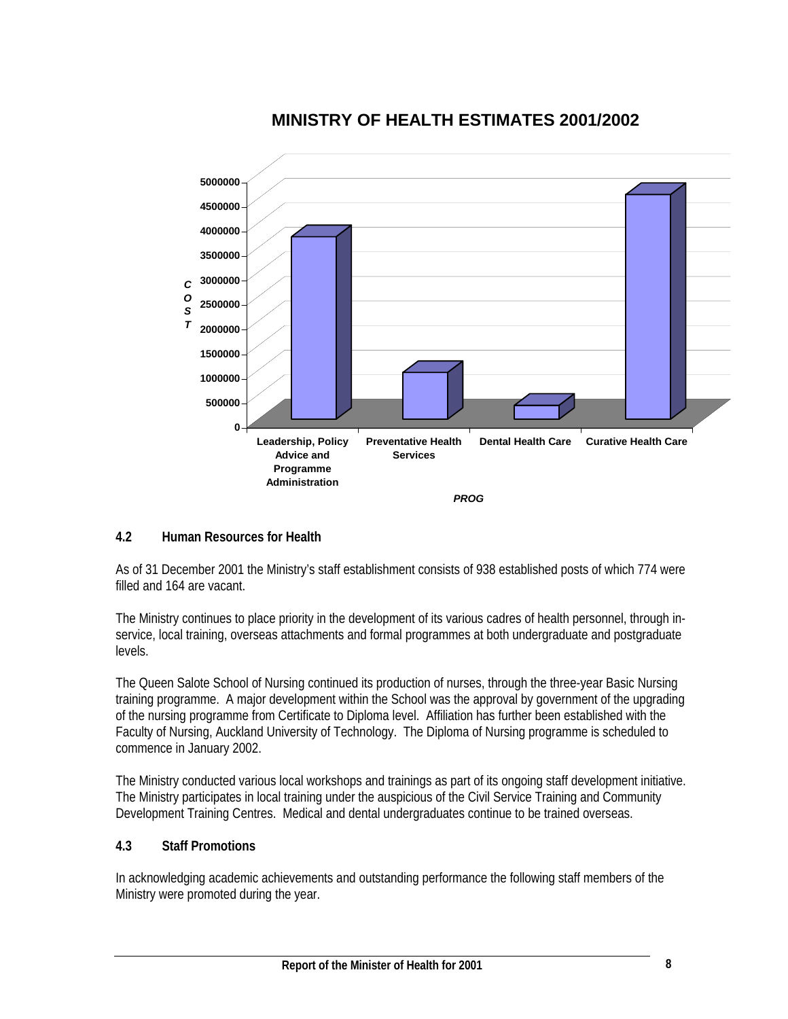

# **MINISTRY OF HEALTH ESTIMATES 2001/2002**

# **4.2 Human Resources for Health**

As of 31 December 2001 the Ministry's staff establishment consists of 938 established posts of which 774 were filled and 164 are vacant.

The Ministry continues to place priority in the development of its various cadres of health personnel, through inservice, local training, overseas attachments and formal programmes at both undergraduate and postgraduate levels.

The Queen Salote School of Nursing continued its production of nurses, through the three-year Basic Nursing training programme. A major development within the School was the approval by government of the upgrading of the nursing programme from Certificate to Diploma level. Affiliation has further been established with the Faculty of Nursing, Auckland University of Technology. The Diploma of Nursing programme is scheduled to commence in January 2002.

The Ministry conducted various local workshops and trainings as part of its ongoing staff development initiative. The Ministry participates in local training under the auspicious of the Civil Service Training and Community Development Training Centres. Medical and dental undergraduates continue to be trained overseas.

# **4.3 Staff Promotions**

In acknowledging academic achievements and outstanding performance the following staff members of the Ministry were promoted during the year.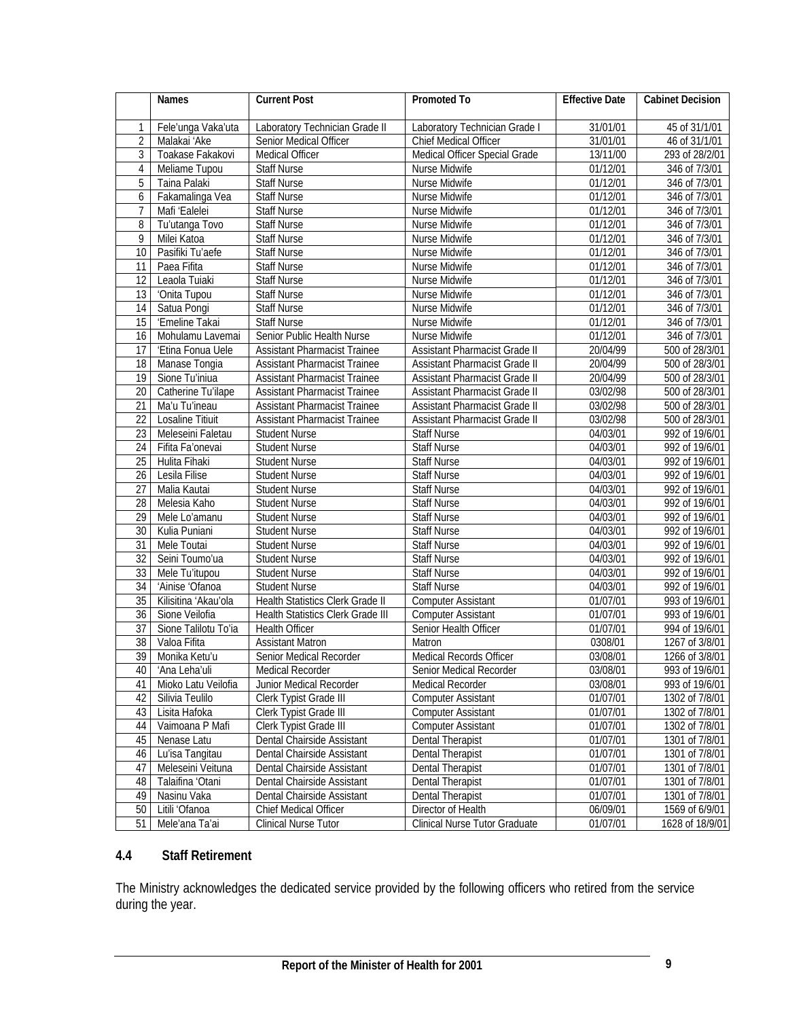|                 | <b>Names</b>         | <b>Current Post</b>                 | Promoted To                   | <b>Effective Date</b> | <b>Cabinet Decision</b> |
|-----------------|----------------------|-------------------------------------|-------------------------------|-----------------------|-------------------------|
| 1               | Fele'unga Vaka'uta   | Laboratory Technician Grade II      | Laboratory Technician Grade I | 31/01/01              | 45 of 31/1/01           |
| $\overline{2}$  | Malakai 'Ake         | Senior Medical Officer              | Chief Medical Officer         | 31/01/01              | 46 of 31/1/01           |
| 3               | Toakase Fakakovi     | <b>Medical Officer</b>              | Medical Officer Special Grade | 13/11/00              | 293 of 28/2/01          |
| 4               | Meliame Tupou        | Staff Nurse                         | Nurse Midwife                 | 01/12/01              | 346 of 7/3/01           |
| 5               | Taina Palaki         | Staff Nurse                         | Nurse Midwife                 | 01/12/01              | 346 of 7/3/01           |
| 6               | Fakamalinga Vea      | Staff Nurse                         | Nurse Midwife                 | 01/12/01              | 346 of 7/3/01           |
| $\overline{7}$  | Mafi 'Ealelei        | Staff Nurse                         | Nurse Midwife                 | 01/12/01              | 346 of 7/3/01           |
| 8               | Tu'utanga Tovo       | Staff Nurse                         | Nurse Midwife                 | 01/12/01              | 346 of 7/3/01           |
| 9               | Milei Katoa          | Staff Nurse                         | Nurse Midwife                 | 01/12/01              | 346 of 7/3/01           |
| 10              | Pasifiki Tu'aefe     | <b>Staff Nurse</b>                  | Nurse Midwife                 | 01/12/01              | 346 of 7/3/01           |
| 11              | Paea Fifita          | Staff Nurse                         | Nurse Midwife                 | 01/12/01              | 346 of 7/3/01           |
| $\overline{12}$ | Leaola Tuiaki        | Staff Nurse                         | Nurse Midwife                 | 01/12/01              | 346 of 7/3/01           |
| $\overline{13}$ | 'Onita Tupou         | Staff Nurse                         | Nurse Midwife                 | 01/12/01              | 346 of 7/3/01           |
| 14              | Satua Pongi          | Staff Nurse                         | Nurse Midwife                 | 01/12/01              | 346 of 7/3/01           |
| 15              | 'Emeline Takai       | <b>Staff Nurse</b>                  | Nurse Midwife                 | 01/12/01              | 346 of 7/3/01           |
| 16              | Mohulamu Lavemai     | Senior Public Health Nurse          | Nurse Midwife                 | 01/12/01              | 346 of 7/3/01           |
| 17              | 'Etina Fonua Uele    | <b>Assistant Pharmacist Trainee</b> | Assistant Pharmacist Grade II | 20/04/99              | 500 of 28/3/01          |
| 18              | Manase Tongia        | <b>Assistant Pharmacist Trainee</b> | Assistant Pharmacist Grade II | 20/04/99              | 500 of 28/3/01          |
| 19              | Sione Tu'iniua       | <b>Assistant Pharmacist Trainee</b> | Assistant Pharmacist Grade II | 20/04/99              | 500 of 28/3/01          |
| $\overline{20}$ | Catherine Tu'ilape   | <b>Assistant Pharmacist Trainee</b> | Assistant Pharmacist Grade II | 03/02/98              | 500 of 28/3/01          |
| $\overline{21}$ | Ma'u Tu'ineau        | <b>Assistant Pharmacist Trainee</b> | Assistant Pharmacist Grade II | 03/02/98              | 500 of 28/3/01          |
| 22              | Losaline Titiuit     | <b>Assistant Pharmacist Trainee</b> | Assistant Pharmacist Grade II | 03/02/98              | 500 of 28/3/01          |
| $\overline{23}$ | Meleseini Faletau    | <b>Student Nurse</b>                | <b>Staff Nurse</b>            | 04/03/01              | 992 of 19/6/01          |
| 24              | Fifita Fa'onevai     | <b>Student Nurse</b>                | <b>Staff Nurse</b>            | 04/03/01              | 992 of 19/6/01          |
| $\overline{25}$ | Hulita Fihaki        | <b>Student Nurse</b>                | <b>Staff Nurse</b>            | 04/03/01              | 992 of 19/6/01          |
| 26              | Lesila Filise        | <b>Student Nurse</b>                | Staff Nurse                   | 04/03/01              | 992 of 19/6/01          |
| $\overline{27}$ | Malia Kautai         | <b>Student Nurse</b>                | <b>Staff Nurse</b>            | 04/03/01              | 992 of 19/6/01          |
| $\overline{28}$ | Melesia Kaho         | Student Nurse                       | <b>Staff Nurse</b>            | 04/03/01              | 992 of 19/6/01          |
| 29              | Mele Lo'amanu        | <b>Student Nurse</b>                | <b>Staff Nurse</b>            | 04/03/01              | 992 of 19/6/01          |
| 30              | Kulia Puniani        | <b>Student Nurse</b>                | <b>Staff Nurse</b>            | 04/03/01              | 992 of 19/6/01          |
| 31              | Mele Toutai          | <b>Student Nurse</b>                | Staff Nurse                   | 04/03/01              | 992 of 19/6/01          |
| 32              | Seini Toumo'ua       | <b>Student Nurse</b>                | Staff Nurse                   | 04/03/01              | 992 of 19/6/01          |
| 33              | Mele Tu'itupou       | <b>Student Nurse</b>                | <b>Staff Nurse</b>            | 04/03/01              | 992 of 19/6/01          |
| 34              | 'Ainise 'Ofanoa      | <b>Student Nurse</b>                | <b>Staff Nurse</b>            | 04/03/01              | 992 of 19/6/01          |
| 35              | Kilisitina 'Akau'ola | Health Statistics Clerk Grade II    | Computer Assistant            | 01/07/01              | 993 of 19/6/01          |
| $\overline{36}$ | Sione Veilofia       | Health Statistics Clerk Grade III   | <b>Computer Assistant</b>     | 01/07/01              | 993 of 19/6/01          |
| 37              | Sione Talilotu To'ia | <b>Health Officer</b>               | Senior Health Officer         | 01/07/01              | 994 of 19/6/01          |
| $\overline{38}$ | Valoa Fifita         | <b>Assistant Matron</b>             | Matron                        | 0308/01               | 1267 of 3/8/01          |
| $\overline{39}$ | Monika Ketu'u        | Senior Medical Recorder             | Medical Records Officer       | 03/08/01              | 1266 of 3/8/01          |
| 40              | 'Ana Leha'uli        | Medical Recorder                    | Senior Medical Recorder       | 03/08/01              | 993 of 19/6/01          |
| 41              | Mioko Latu Veilofia  | Junior Medical Recorder             | Medical Recorder              | 03/08/01              | 993 of 19/6/01          |
| 42              | Silivia Teulilo      | Clerk Typist Grade III              | <b>Computer Assistant</b>     | 01/07/01              | 1302 of 7/8/01          |
| 43              | Lisita Hafoka        | Clerk Typist Grade III              | <b>Computer Assistant</b>     | 01/07/01              | 1302 of 7/8/01          |
| 44              | Vaimoana P Mafi      | Clerk Typist Grade III              | <b>Computer Assistant</b>     | 01/07/01              | 1302 of 7/8/01          |
| 45              | Nenase Latu          | Dental Chairside Assistant          | Dental Therapist              | 01/07/01              | 1301 of 7/8/01          |
| 46              | Lu'isa Tangitau      | Dental Chairside Assistant          | <b>Dental Therapist</b>       | 01/07/01              | 1301 of 7/8/01          |
| 47              | Meleseini Veituna    | Dental Chairside Assistant          | Dental Therapist              | 01/07/01              | 1301 of 7/8/01          |
| 48              | Talaifina 'Otani     | Dental Chairside Assistant          | Dental Therapist              | 01/07/01              | 1301 of 7/8/01          |
| 49              | Nasinu Vaka          | Dental Chairside Assistant          | Dental Therapist              | 01/07/01              | 1301 of 7/8/01          |
| 50              | Litili 'Ofanoa       | Chief Medical Officer               | Director of Health            | 06/09/01              | 1569 of 6/9/01          |
| 51              | Mele'ana Ta'ai       | Clinical Nurse Tutor                | Clinical Nurse Tutor Graduate | 01/07/01              | 1628 of 18/9/01         |

# **4.4 Staff Retirement**

The Ministry acknowledges the dedicated service provided by the following officers who retired from the service during the year.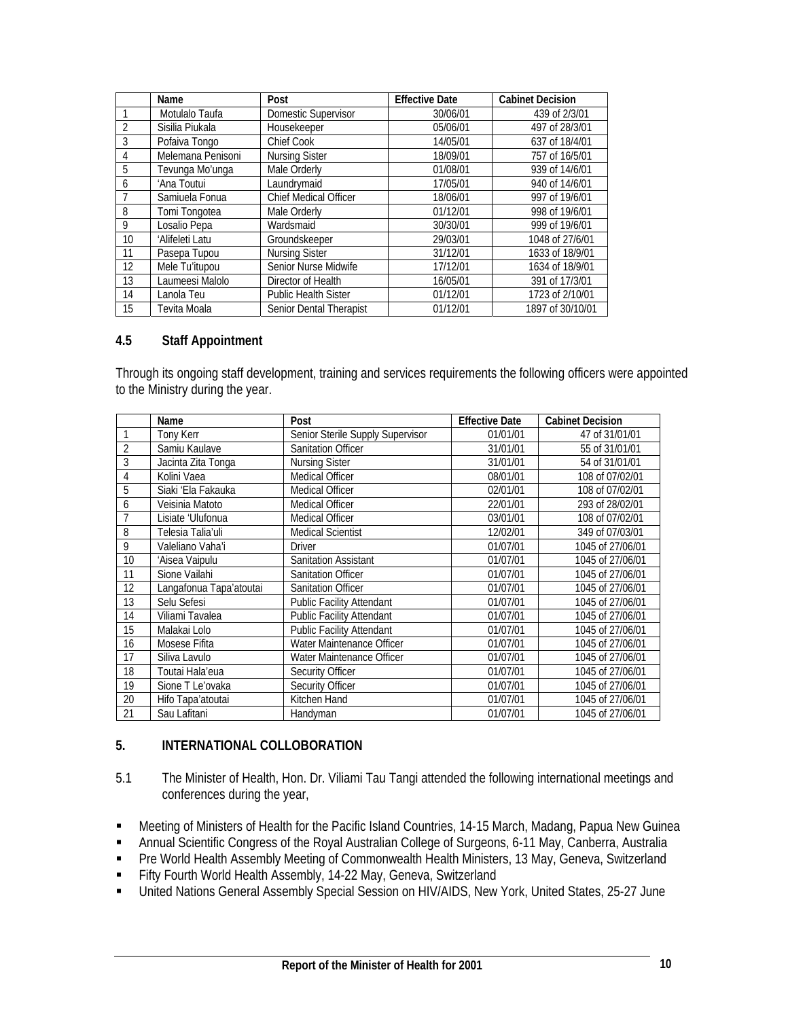|    | Name              | Post                         | <b>Effective Date</b> | Cabinet Decision |
|----|-------------------|------------------------------|-----------------------|------------------|
|    | Motulalo Taufa    | Domestic Supervisor          | 30/06/01              | 439 of 2/3/01    |
| 2  | Sisilia Piukala   | Housekeeper                  | 05/06/01              | 497 of 28/3/01   |
| 3  | Pofaiva Tongo     | Chief Cook                   | 14/05/01              | 637 of 18/4/01   |
| 4  | Melemana Penisoni | <b>Nursing Sister</b>        | 18/09/01              | 757 of 16/5/01   |
| 5  | Tevunga Mo'unga   | Male Orderly                 | 01/08/01              | 939 of 14/6/01   |
| 6  | 'Ana Toutui       | Laundrymaid                  | 17/05/01              | 940 of 14/6/01   |
|    | Samiuela Fonua    | <b>Chief Medical Officer</b> | 18/06/01              | 997 of 19/6/01   |
| 8  | Tomi Tongotea     | Male Orderly                 | 01/12/01              | 998 of 19/6/01   |
| 9  | Losalio Pepa      | Wardsmaid                    | 30/30/01              | 999 of 19/6/01   |
| 10 | 'Alifeleti Latu   | Groundskeeper                | 29/03/01              | 1048 of 27/6/01  |
| 11 | Pasepa Tupou      | <b>Nursing Sister</b>        | 31/12/01              | 1633 of 18/9/01  |
| 12 | Mele Tu'itupou    | Senior Nurse Midwife         | 17/12/01              | 1634 of 18/9/01  |
| 13 | Laumeesi Malolo   | Director of Health           | 16/05/01              | 391 of 17/3/01   |
| 14 | Lanola Teu        | <b>Public Health Sister</b>  | 01/12/01              | 1723 of 2/10/01  |
| 15 | Tevita Moala      | Senior Dental Therapist      | 01/12/01              | 1897 of 30/10/01 |

#### **4.5 Staff Appointment**

Through its ongoing staff development, training and services requirements the following officers were appointed to the Ministry during the year.

|                | Name                    | Post                             | <b>Effective Date</b> | <b>Cabinet Decision</b> |
|----------------|-------------------------|----------------------------------|-----------------------|-------------------------|
|                | Tony Kerr               | Senior Sterile Supply Supervisor | 01/01/01              | 47 of 31/01/01          |
| $\overline{2}$ | Samiu Kaulave           | <b>Sanitation Officer</b>        | 31/01/01              | 55 of 31/01/01          |
| 3              | Jacinta Zita Tonga      | <b>Nursing Sister</b>            | 31/01/01              | 54 of 31/01/01          |
| 4              | Kolini Vaea             | Medical Officer                  | 08/01/01              | 108 of 07/02/01         |
| 5              | Siaki 'Ela Fakauka      | <b>Medical Officer</b>           | 02/01/01              | 108 of 07/02/01         |
| 6              | Veisinia Matoto         | <b>Medical Officer</b>           | 22/01/01              | 293 of 28/02/01         |
| $\overline{1}$ | Lisiate 'Ulufonua       | Medical Officer                  | 03/01/01              | 108 of 07/02/01         |
| 8              | Telesia Talia'uli       | <b>Medical Scientist</b>         | 12/02/01              | 349 of 07/03/01         |
| 9              | Valeliano Vaha'i        | Driver                           | 01/07/01              | 1045 of 27/06/01        |
| 10             | 'Aisea Vaipulu          | <b>Sanitation Assistant</b>      | 01/07/01              | 1045 of 27/06/01        |
| 11             | Sione Vailahi           | <b>Sanitation Officer</b>        | 01/07/01              | 1045 of 27/06/01        |
| 12             | Langafonua Tapa'atoutai | <b>Sanitation Officer</b>        | 01/07/01              | 1045 of 27/06/01        |
| 13             | Selu Sefesi             | <b>Public Facility Attendant</b> | 01/07/01              | 1045 of 27/06/01        |
| 14             | Viliami Tavalea         | <b>Public Facility Attendant</b> | 01/07/01              | 1045 of 27/06/01        |
| 15             | Malakai Lolo            | <b>Public Facility Attendant</b> | 01/07/01              | 1045 of 27/06/01        |
| 16             | Mosese Fifita           | Water Maintenance Officer        | 01/07/01              | 1045 of 27/06/01        |
| 17             | Siliva Lavulo           | Water Maintenance Officer        | 01/07/01              | 1045 of 27/06/01        |
| 18             | Toutai Hala'eua         | <b>Security Officer</b>          | 01/07/01              | 1045 of 27/06/01        |
| 19             | Sione T Le'ovaka        | <b>Security Officer</b>          | 01/07/01              | 1045 of 27/06/01        |
| 20             | Hifo Tapa'atoutai       | Kitchen Hand                     | 01/07/01              | 1045 of 27/06/01        |
| 21             | Sau Lafitani            | Handyman                         | 01/07/01              | 1045 of 27/06/01        |

# **5. INTERNATIONAL COLLOBORATION**

- 5.1 The Minister of Health, Hon. Dr. Viliami Tau Tangi attended the following international meetings and conferences during the year,
- Meeting of Ministers of Health for the Pacific Island Countries, 14-15 March, Madang, Papua New Guinea
- Annual Scientific Congress of the Royal Australian College of Surgeons, 6-11 May, Canberra, Australia
- Pre World Health Assembly Meeting of Commonwealth Health Ministers, 13 May, Geneva, Switzerland
- Fifty Fourth World Health Assembly, 14-22 May, Geneva, Switzerland
- United Nations General Assembly Special Session on HIV/AIDS, New York, United States, 25-27 June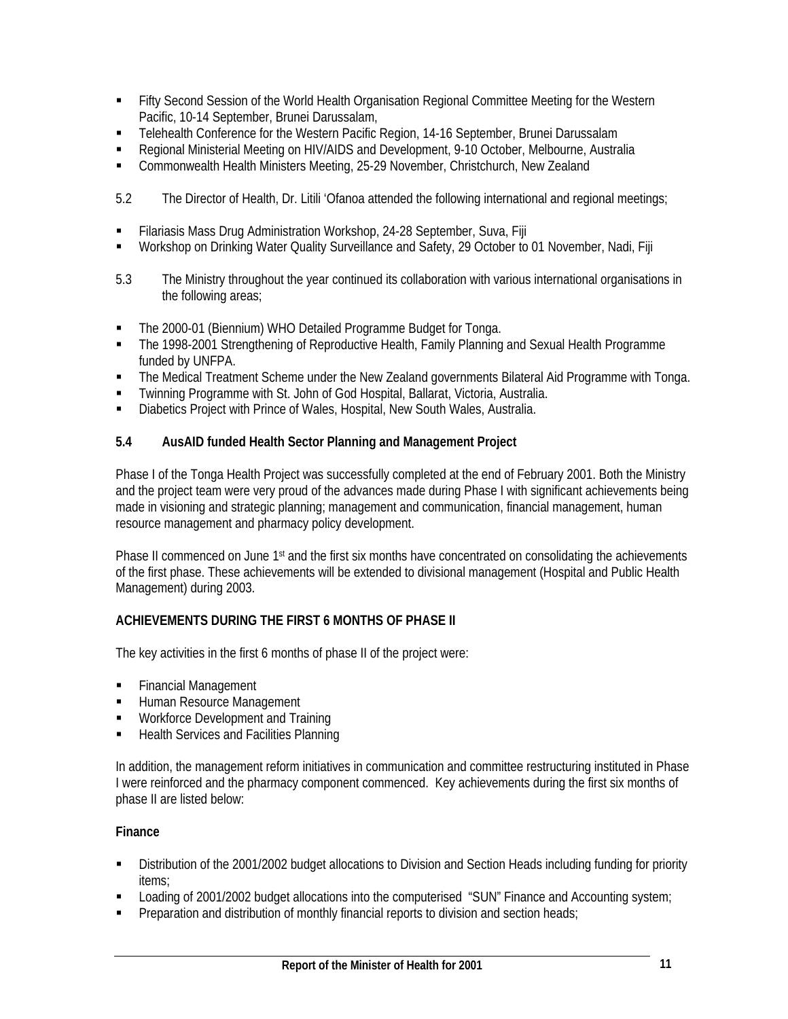- **Fifty Second Session of the World Health Organisation Regional Committee Meeting for the Western** Pacific, 10-14 September, Brunei Darussalam,
- Telehealth Conference for the Western Pacific Region, 14-16 September, Brunei Darussalam
- Regional Ministerial Meeting on HIV/AIDS and Development, 9-10 October, Melbourne, Australia
- Commonwealth Health Ministers Meeting, 25-29 November, Christchurch, New Zealand
- 5.2 The Director of Health, Dr. Litili 'Ofanoa attended the following international and regional meetings;
- Filariasis Mass Drug Administration Workshop, 24-28 September, Suva, Fiji
- Workshop on Drinking Water Quality Surveillance and Safety, 29 October to 01 November, Nadi, Fiji
- 5.3 The Ministry throughout the year continued its collaboration with various international organisations in the following areas;
- The 2000-01 (Biennium) WHO Detailed Programme Budget for Tonga.
- The 1998-2001 Strengthening of Reproductive Health, Family Planning and Sexual Health Programme funded by UNFPA.
- The Medical Treatment Scheme under the New Zealand governments Bilateral Aid Programme with Tonga.
- Twinning Programme with St. John of God Hospital, Ballarat, Victoria, Australia.
- Diabetics Project with Prince of Wales, Hospital, New South Wales, Australia.

# **5.4 AusAID funded Health Sector Planning and Management Project**

Phase I of the Tonga Health Project was successfully completed at the end of February 2001. Both the Ministry and the project team were very proud of the advances made during Phase I with significant achievements being made in visioning and strategic planning; management and communication, financial management, human resource management and pharmacy policy development.

Phase II commenced on June 1<sup>st</sup> and the first six months have concentrated on consolidating the achievements of the first phase. These achievements will be extended to divisional management (Hospital and Public Health Management) during 2003.

# **ACHIEVEMENTS DURING THE FIRST 6 MONTHS OF PHASE II**

The key activities in the first 6 months of phase II of the project were:

- **Financial Management**
- **Human Resource Management**
- **Workforce Development and Training**
- Health Services and Facilities Planning

In addition, the management reform initiatives in communication and committee restructuring instituted in Phase I were reinforced and the pharmacy component commenced. Key achievements during the first six months of phase II are listed below:

#### **Finance**

- Distribution of the 2001/2002 budget allocations to Division and Section Heads including funding for priority items;
- Loading of 2001/2002 budget allocations into the computerised "SUN" Finance and Accounting system;
- **Preparation and distribution of monthly financial reports to division and section heads;**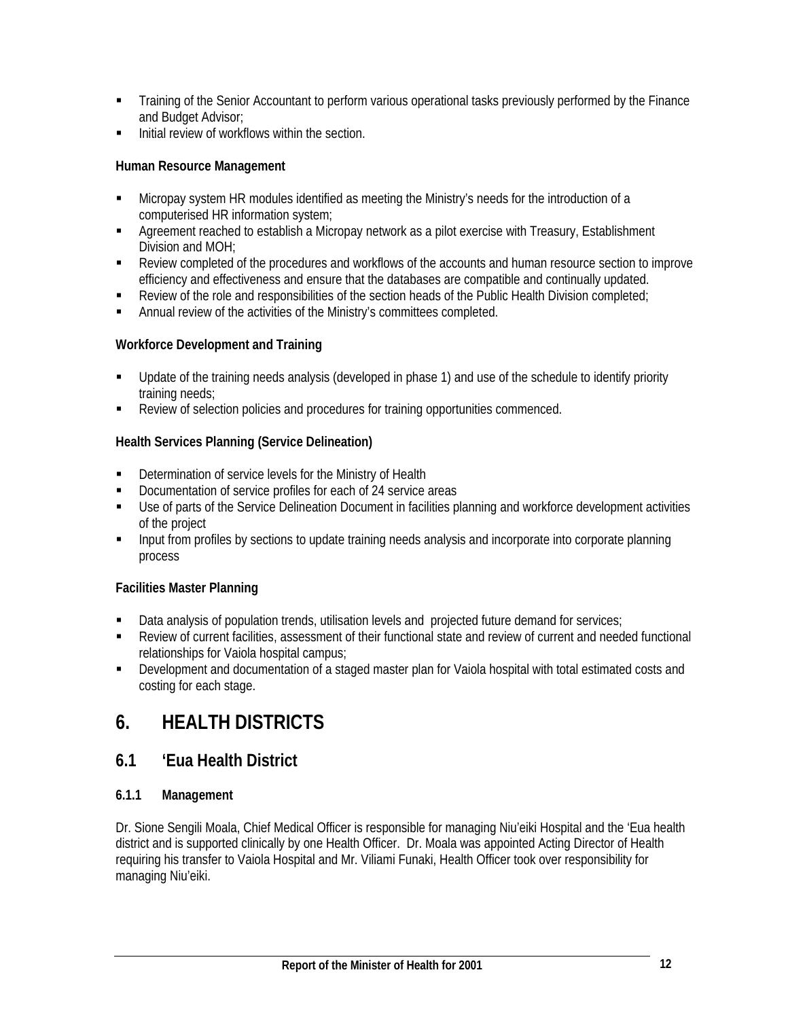- Training of the Senior Accountant to perform various operational tasks previously performed by the Finance and Budget Advisor;
- Initial review of workflows within the section.

# **Human Resource Management**

- Micropay system HR modules identified as meeting the Ministry's needs for the introduction of a computerised HR information system;
- Agreement reached to establish a Micropay network as a pilot exercise with Treasury, Establishment Division and MOH;
- Review completed of the procedures and workflows of the accounts and human resource section to improve efficiency and effectiveness and ensure that the databases are compatible and continually updated.
- Review of the role and responsibilities of the section heads of the Public Health Division completed;
- Annual review of the activities of the Ministry's committees completed.

# **Workforce Development and Training**

- Update of the training needs analysis (developed in phase 1) and use of the schedule to identify priority training needs;
- Review of selection policies and procedures for training opportunities commenced.

# **Health Services Planning (Service Delineation)**

- Determination of service levels for the Ministry of Health
- Documentation of service profiles for each of 24 service areas
- Use of parts of the Service Delineation Document in facilities planning and workforce development activities of the project
- **Input from profiles by sections to update training needs analysis and incorporate into corporate planning** process

# **Facilities Master Planning**

- Data analysis of population trends, utilisation levels and projected future demand for services;
- Review of current facilities, assessment of their functional state and review of current and needed functional relationships for Vaiola hospital campus;
- Development and documentation of a staged master plan for Vaiola hospital with total estimated costs and costing for each stage.

# **6. HEALTH DISTRICTS**

# **6.1 'Eua Health District**

# **6.1.1 Management**

Dr. Sione Sengili Moala, Chief Medical Officer is responsible for managing Niu'eiki Hospital and the 'Eua health district and is supported clinically by one Health Officer. Dr. Moala was appointed Acting Director of Health requiring his transfer to Vaiola Hospital and Mr. Viliami Funaki, Health Officer took over responsibility for managing Niu'eiki.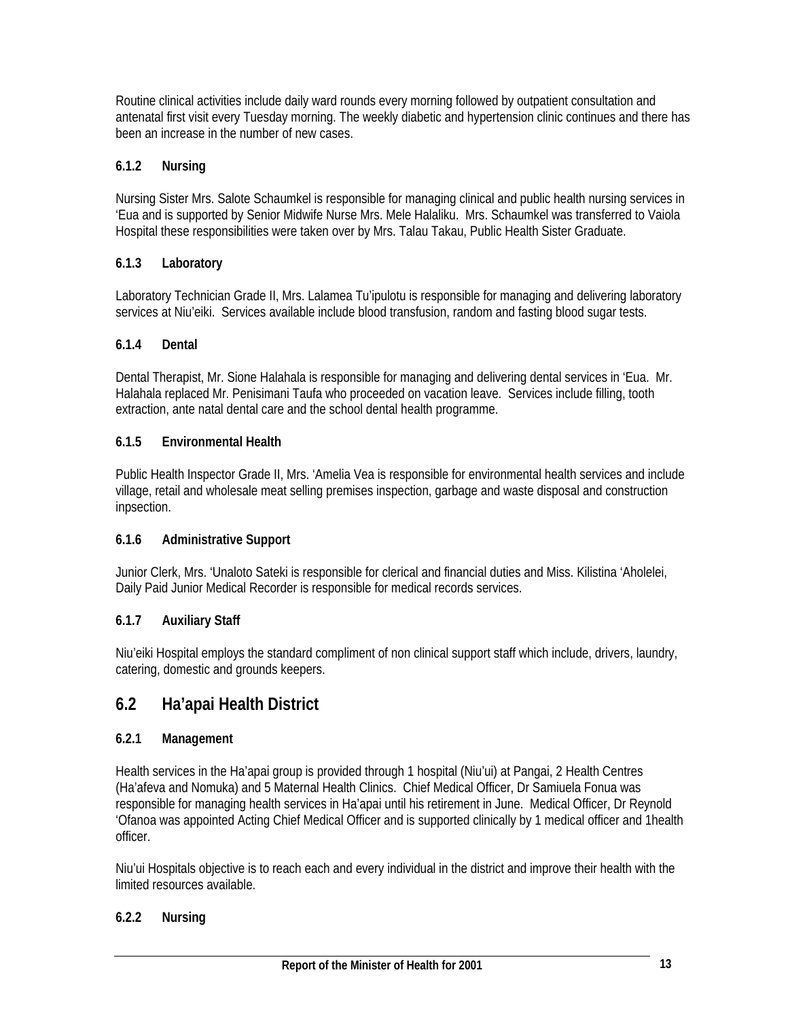Routine clinical activities include daily ward rounds every morning followed by outpatient consultation and antenatal first visit every Tuesday morning. The weekly diabetic and hypertension clinic continues and there has been an increase in the number of new cases.

# **6.1.2 Nursing**

Nursing Sister Mrs. Salote Schaumkel is responsible for managing clinical and public health nursing services in 'Eua and is supported by Senior Midwife Nurse Mrs. Mele Halaliku. Mrs. Schaumkel was transferred to Vaiola Hospital these responsibilities were taken over by Mrs. Talau Takau, Public Health Sister Graduate.

# **6.1.3 Laboratory**

Laboratory Technician Grade II, Mrs. Lalamea Tu'ipulotu is responsible for managing and delivering laboratory services at Niu'eiki. Services available include blood transfusion, random and fasting blood sugar tests.

# **6.1.4 Dental**

Dental Therapist, Mr. Sione Halahala is responsible for managing and delivering dental services in 'Eua. Mr. Halahala replaced Mr. Penisimani Taufa who proceeded on vacation leave. Services include filling, tooth extraction, ante natal dental care and the school dental health programme.

# **6.1.5 Environmental Health**

Public Health Inspector Grade II, Mrs. 'Amelia Vea is responsible for environmental health services and include village, retail and wholesale meat selling premises inspection, garbage and waste disposal and construction inpsection.

# **6.1.6 Administrative Support**

Junior Clerk, Mrs. 'Unaloto Sateki is responsible for clerical and financial duties and Miss. Kilistina 'Aholelei, Daily Paid Junior Medical Recorder is responsible for medical records services.

# **6.1.7 Auxiliary Staff**

Niu'eiki Hospital employs the standard compliment of non clinical support staff which include, drivers, laundry, catering, domestic and grounds keepers.

# **6.2 Ha'apai Health District**

# **6.2.1 Management**

Health services in the Ha'apai group is provided through 1 hospital (Niu'ui) at Pangai, 2 Health Centres (Ha'afeva and Nomuka) and 5 Maternal Health Clinics. Chief Medical Officer, Dr Samiuela Fonua was responsible for managing health services in Ha'apai until his retirement in June. Medical Officer, Dr Reynold 'Ofanoa was appointed Acting Chief Medical Officer and is supported clinically by 1 medical officer and 1health officer.

Niu'ui Hospitals objective is to reach each and every individual in the district and improve their health with the limited resources available.

# **6.2.2 Nursing**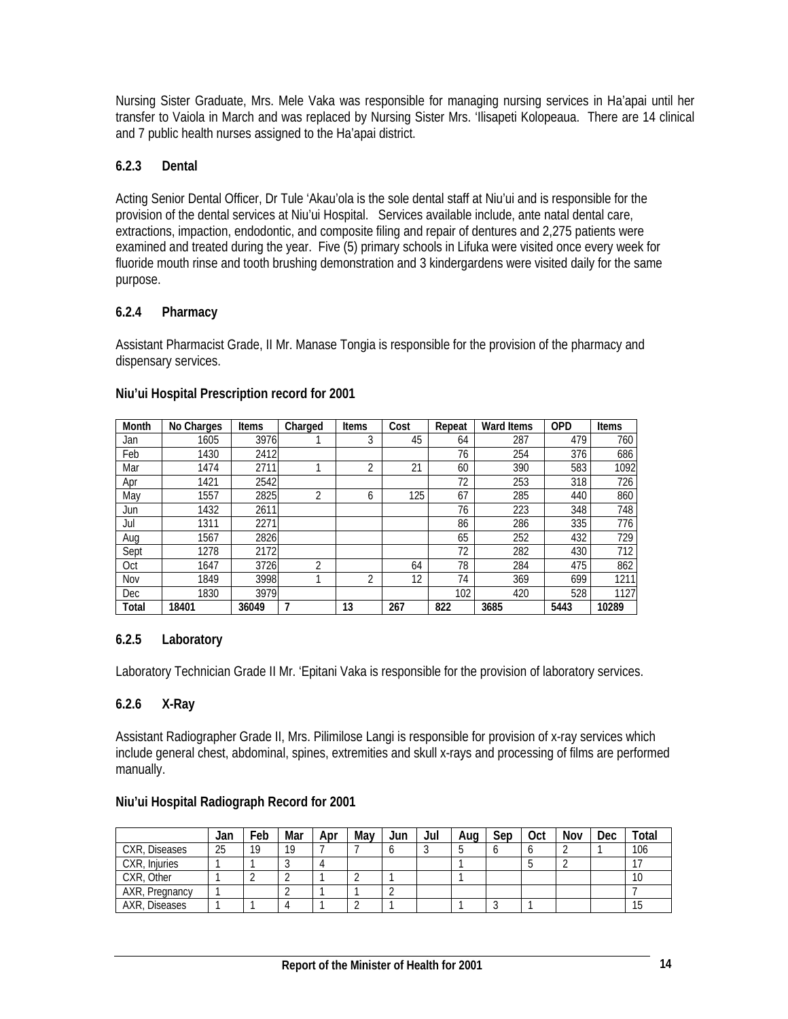Nursing Sister Graduate, Mrs. Mele Vaka was responsible for managing nursing services in Ha'apai until her transfer to Vaiola in March and was replaced by Nursing Sister Mrs. 'Ilisapeti Kolopeaua. There are 14 clinical and 7 public health nurses assigned to the Ha'apai district.

# **6.2.3 Dental**

Acting Senior Dental Officer, Dr Tule 'Akau'ola is the sole dental staff at Niu'ui and is responsible for the provision of the dental services at Niu'ui Hospital. Services available include, ante natal dental care, extractions, impaction, endodontic, and composite filing and repair of dentures and 2,275 patients were examined and treated during the year. Five (5) primary schools in Lifuka were visited once every week for fluoride mouth rinse and tooth brushing demonstration and 3 kindergardens were visited daily for the same purpose.

# **6.2.4 Pharmacy**

Assistant Pharmacist Grade, II Mr. Manase Tongia is responsible for the provision of the pharmacy and dispensary services.

| <b>Month</b> | No Charges | Items | Charged | <b>Items</b>   | Cost | Repeat | <b>Ward Items</b> | <b>OPD</b> | <b>Items</b> |
|--------------|------------|-------|---------|----------------|------|--------|-------------------|------------|--------------|
| Jan          | 1605       | 3976  |         | 3              | 45   | 64     | 287               | 479        | 760          |
| Feb          | 1430       | 2412  |         |                |      | 76     | 254               | 376        | 686          |
| Mar          | 1474       | 2711  |         | $\overline{2}$ | 21   | 60     | 390               | 583        | 1092         |
| Apr          | 1421       | 2542  |         |                |      | 72     | 253               | 318        | 726          |
| May          | 1557       | 2825  | ำ       | 6              | 125  | 67     | 285               | 440        | 860          |
| Jun          | 1432       | 2611  |         |                |      | 76     | 223               | 348        | 748          |
| Jul          | 1311       | 2271  |         |                |      | 86     | 286               | 335        | 776          |
| Aug          | 1567       | 2826  |         |                |      | 65     | 252               | 432        | 729          |
| Sept         | 1278       | 2172  |         |                |      | 72     | 282               | 430        | 712          |
| Oct          | 1647       | 3726  | C       |                | 64   | 78     | 284               | 475        | 862          |
| Nov          | 1849       | 3998  | ◢       | 2              | 12   | 74     | 369               | 699        | 1211         |
| Dec          | 1830       | 3979  |         |                |      | 102    | 420               | 528        | 1127         |
| Total        | 18401      | 36049 | 7       | 13             | 267  | 822    | 3685              | 5443       | 10289        |

#### **Niu'ui Hospital Prescription record for 2001**

# **6.2.5 Laboratory**

Laboratory Technician Grade II Mr. 'Epitani Vaka is responsible for the provision of laboratory services.

# **6.2.6 X-Ray**

Assistant Radiographer Grade II, Mrs. Pilimilose Langi is responsible for provision of x-ray services which include general chest, abdominal, spines, extremities and skull x-rays and processing of films are performed manually.

# **Niu'ui Hospital Radiograph Record for 2001**

|                | Jan | Feb | Mar | Apr | Mav | Jun | Jul | Aug | Sep | Oct | Nov | Dec | <b>Total</b> |
|----------------|-----|-----|-----|-----|-----|-----|-----|-----|-----|-----|-----|-----|--------------|
| CXR, Diseases  | 25  | 19  | 19  |     |     |     |     |     |     |     |     |     | 106          |
| CXR, Injuries  |     |     |     |     |     |     |     |     |     |     |     |     |              |
| CXR, Other     |     |     |     |     |     |     |     |     |     |     |     |     | 10           |
| AXR, Pregnancy |     |     |     |     |     |     |     |     |     |     |     |     |              |
| AXR, Diseases  |     |     |     |     |     |     |     |     |     |     |     |     | 15           |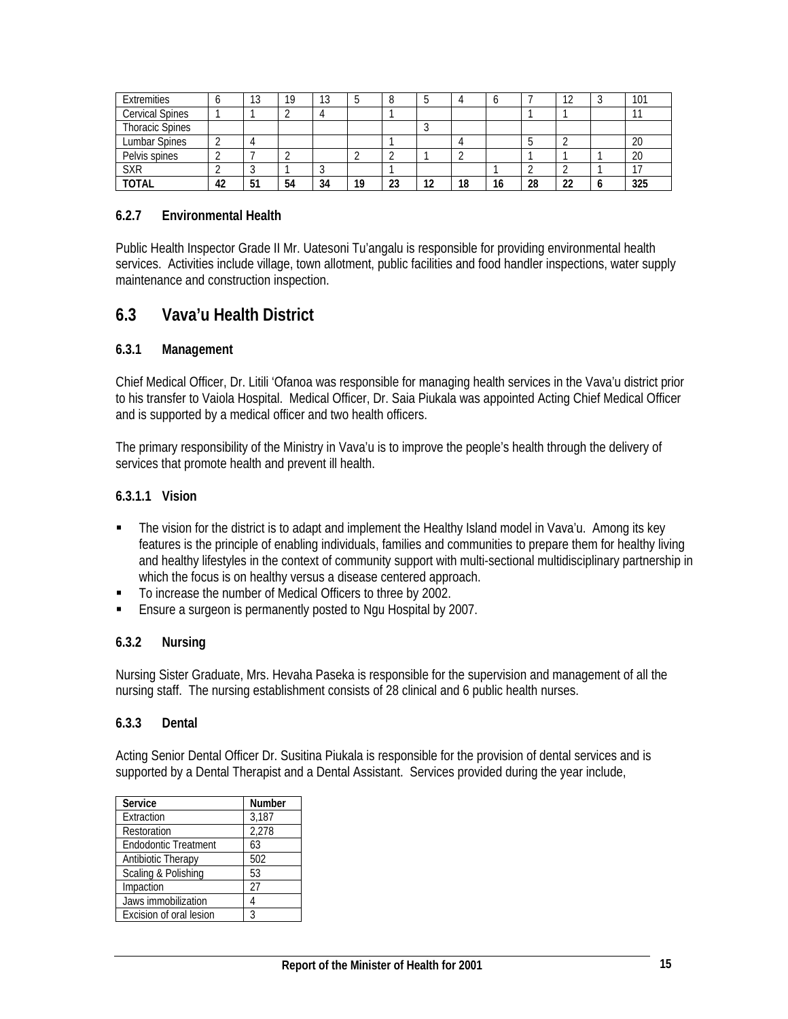| Extremities            |    | $\sim$<br>IJ | 19 | 13 |    |    |    |    |    |    | $\sim$ | 101 |
|------------------------|----|--------------|----|----|----|----|----|----|----|----|--------|-----|
| <b>Cervical Spines</b> |    |              |    |    |    |    |    |    |    |    |        |     |
| <b>Thoracic Spines</b> |    |              |    |    |    |    |    |    |    |    |        |     |
| Lumbar Spines          |    |              |    |    |    |    |    |    |    |    |        | 20  |
| Pelvis spines          |    |              |    |    |    |    |    |    |    |    |        | 20  |
| <b>SXR</b>             |    |              |    |    |    |    |    |    |    |    |        |     |
| <b>TOTAL</b>           | 42 | 51           | 54 | 34 | 10 | 23 | 12 | 18 | 16 | 28 | ົ      | 325 |

#### **6.2.7 Environmental Health**

Public Health Inspector Grade II Mr. Uatesoni Tu'angalu is responsible for providing environmental health services. Activities include village, town allotment, public facilities and food handler inspections, water supply maintenance and construction inspection.

# **6.3 Vava'u Health District**

#### **6.3.1 Management**

Chief Medical Officer, Dr. Litili 'Ofanoa was responsible for managing health services in the Vava'u district prior to his transfer to Vaiola Hospital. Medical Officer, Dr. Saia Piukala was appointed Acting Chief Medical Officer and is supported by a medical officer and two health officers.

The primary responsibility of the Ministry in Vava'u is to improve the people's health through the delivery of services that promote health and prevent ill health.

#### **6.3.1.1 Vision**

- The vision for the district is to adapt and implement the Healthy Island model in Vava'u. Among its key features is the principle of enabling individuals, families and communities to prepare them for healthy living and healthy lifestyles in the context of community support with multi-sectional multidisciplinary partnership in which the focus is on healthy versus a disease centered approach.
- To increase the number of Medical Officers to three by 2002.
- **Ensure a surgeon is permanently posted to Ngu Hospital by 2007.**

#### **6.3.2 Nursing**

Nursing Sister Graduate, Mrs. Hevaha Paseka is responsible for the supervision and management of all the nursing staff. The nursing establishment consists of 28 clinical and 6 public health nurses.

#### **6.3.3 Dental**

Acting Senior Dental Officer Dr. Susitina Piukala is responsible for the provision of dental services and is supported by a Dental Therapist and a Dental Assistant. Services provided during the year include,

| Service                     | <b>Number</b> |
|-----------------------------|---------------|
| Extraction                  | 3,187         |
| Restoration                 | 2,278         |
| <b>Endodontic Treatment</b> | 63            |
| Antibiotic Therapy          | 502           |
| Scaling & Polishing         | 53            |
| Impaction                   | 27            |
| Jaws immobilization         |               |
| Excision of oral lesion     | ς             |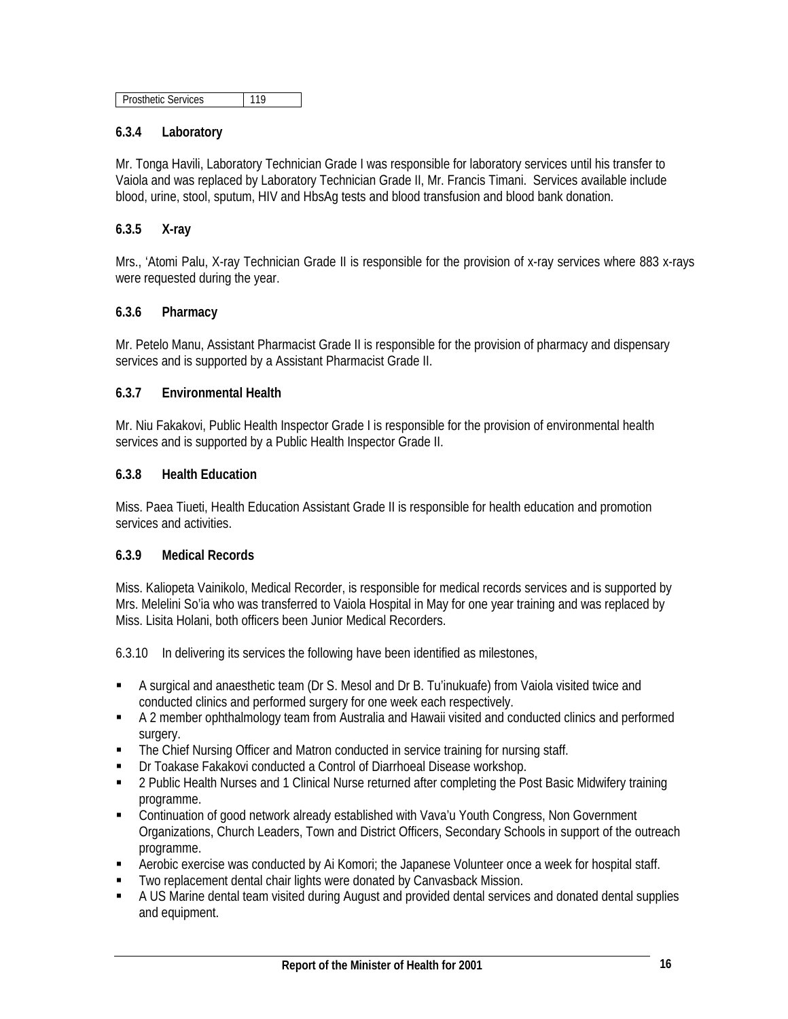| <b>Prosthetic Services</b> |  |
|----------------------------|--|
|                            |  |

# **6.3.4 Laboratory**

Mr. Tonga Havili, Laboratory Technician Grade I was responsible for laboratory services until his transfer to Vaiola and was replaced by Laboratory Technician Grade II, Mr. Francis Timani. Services available include blood, urine, stool, sputum, HIV and HbsAg tests and blood transfusion and blood bank donation.

#### **6.3.5 X-ray**

Mrs., 'Atomi Palu, X-ray Technician Grade II is responsible for the provision of x-ray services where 883 x-rays were requested during the year.

#### **6.3.6 Pharmacy**

Mr. Petelo Manu, Assistant Pharmacist Grade II is responsible for the provision of pharmacy and dispensary services and is supported by a Assistant Pharmacist Grade II.

#### **6.3.7 Environmental Health**

Mr. Niu Fakakovi, Public Health Inspector Grade I is responsible for the provision of environmental health services and is supported by a Public Health Inspector Grade II.

# **6.3.8 Health Education**

Miss. Paea Tiueti, Health Education Assistant Grade II is responsible for health education and promotion services and activities.

#### **6.3.9 Medical Records**

Miss. Kaliopeta Vainikolo, Medical Recorder, is responsible for medical records services and is supported by Mrs. Melelini So'ia who was transferred to Vaiola Hospital in May for one year training and was replaced by Miss. Lisita Holani, both officers been Junior Medical Recorders.

6.3.10 In delivering its services the following have been identified as milestones,

- A surgical and anaesthetic team (Dr S. Mesol and Dr B. Tu'inukuafe) from Vaiola visited twice and conducted clinics and performed surgery for one week each respectively.
- A 2 member ophthalmology team from Australia and Hawaii visited and conducted clinics and performed surgery.
- The Chief Nursing Officer and Matron conducted in service training for nursing staff.
- Dr Toakase Fakakovi conducted a Control of Diarrhoeal Disease workshop.
- 2 Public Health Nurses and 1 Clinical Nurse returned after completing the Post Basic Midwifery training programme.
- Continuation of good network already established with Vava'u Youth Congress, Non Government Organizations, Church Leaders, Town and District Officers, Secondary Schools in support of the outreach programme.
- **-** Aerobic exercise was conducted by Ai Komori; the Japanese Volunteer once a week for hospital staff.
- Two replacement dental chair lights were donated by Canvasback Mission.
- A US Marine dental team visited during August and provided dental services and donated dental supplies and equipment.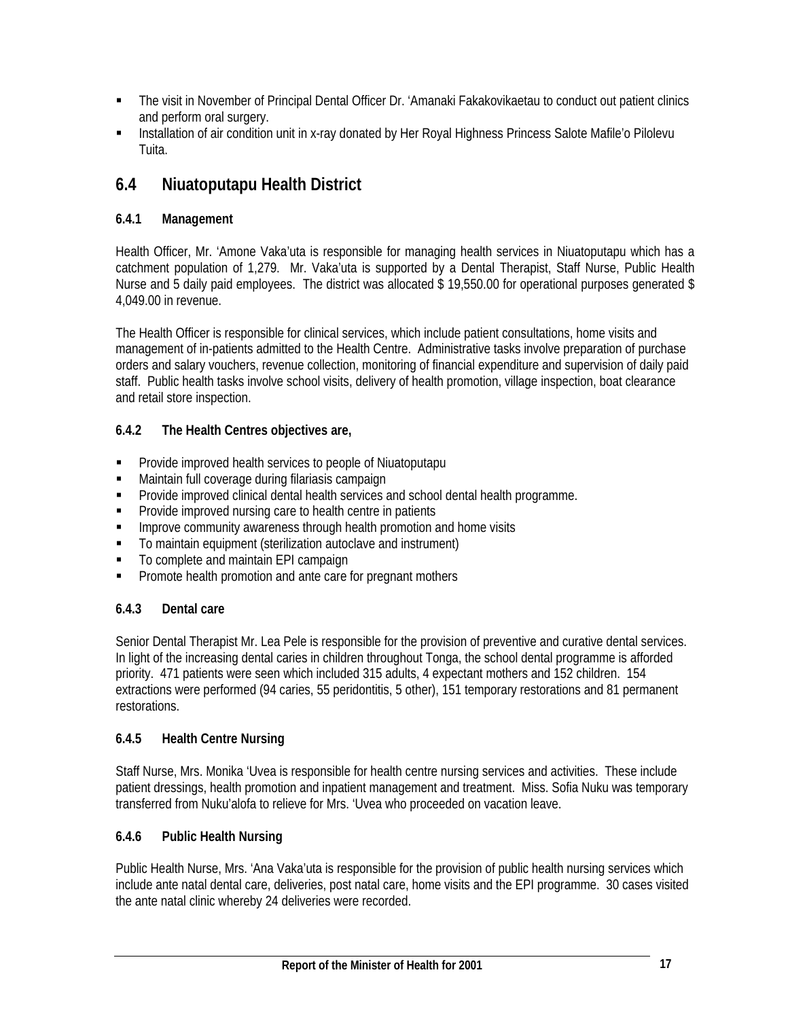- The visit in November of Principal Dental Officer Dr. 'Amanaki Fakakovikaetau to conduct out patient clinics and perform oral surgery.
- Installation of air condition unit in x-ray donated by Her Royal Highness Princess Salote Mafile'o Pilolevu Tuita.

# **6.4 Niuatoputapu Health District**

# **6.4.1 Management**

Health Officer, Mr. 'Amone Vaka'uta is responsible for managing health services in Niuatoputapu which has a catchment population of 1,279. Mr. Vaka'uta is supported by a Dental Therapist, Staff Nurse, Public Health Nurse and 5 daily paid employees. The district was allocated \$19,550.00 for operational purposes generated \$ 4,049.00 in revenue.

The Health Officer is responsible for clinical services, which include patient consultations, home visits and management of in-patients admitted to the Health Centre. Administrative tasks involve preparation of purchase orders and salary vouchers, revenue collection, monitoring of financial expenditure and supervision of daily paid staff. Public health tasks involve school visits, delivery of health promotion, village inspection, boat clearance and retail store inspection.

# **6.4.2 The Health Centres objectives are,**

- **Provide improved health services to people of Niuatoputapu**
- Maintain full coverage during filariasis campaign
- **Provide improved clinical dental health services and school dental health programme.**
- **Provide improved nursing care to health centre in patients**
- **IMPROVE COMMUNITY ANDIERTY INCOUGHT AND MANUTA Interpreteral Interpreteral Inc.** Incomposity
- To maintain equipment (sterilization autoclave and instrument)
- To complete and maintain EPI campaign
- **Promote health promotion and ante care for pregnant mothers**

# **6.4.3 Dental care**

Senior Dental Therapist Mr. Lea Pele is responsible for the provision of preventive and curative dental services. In light of the increasing dental caries in children throughout Tonga, the school dental programme is afforded priority. 471 patients were seen which included 315 adults, 4 expectant mothers and 152 children. 154 extractions were performed (94 caries, 55 peridontitis, 5 other), 151 temporary restorations and 81 permanent restorations.

# **6.4.5 Health Centre Nursing**

Staff Nurse, Mrs. Monika 'Uvea is responsible for health centre nursing services and activities. These include patient dressings, health promotion and inpatient management and treatment. Miss. Sofia Nuku was temporary transferred from Nuku'alofa to relieve for Mrs. 'Uvea who proceeded on vacation leave.

# **6.4.6 Public Health Nursing**

Public Health Nurse, Mrs. 'Ana Vaka'uta is responsible for the provision of public health nursing services which include ante natal dental care, deliveries, post natal care, home visits and the EPI programme. 30 cases visited the ante natal clinic whereby 24 deliveries were recorded.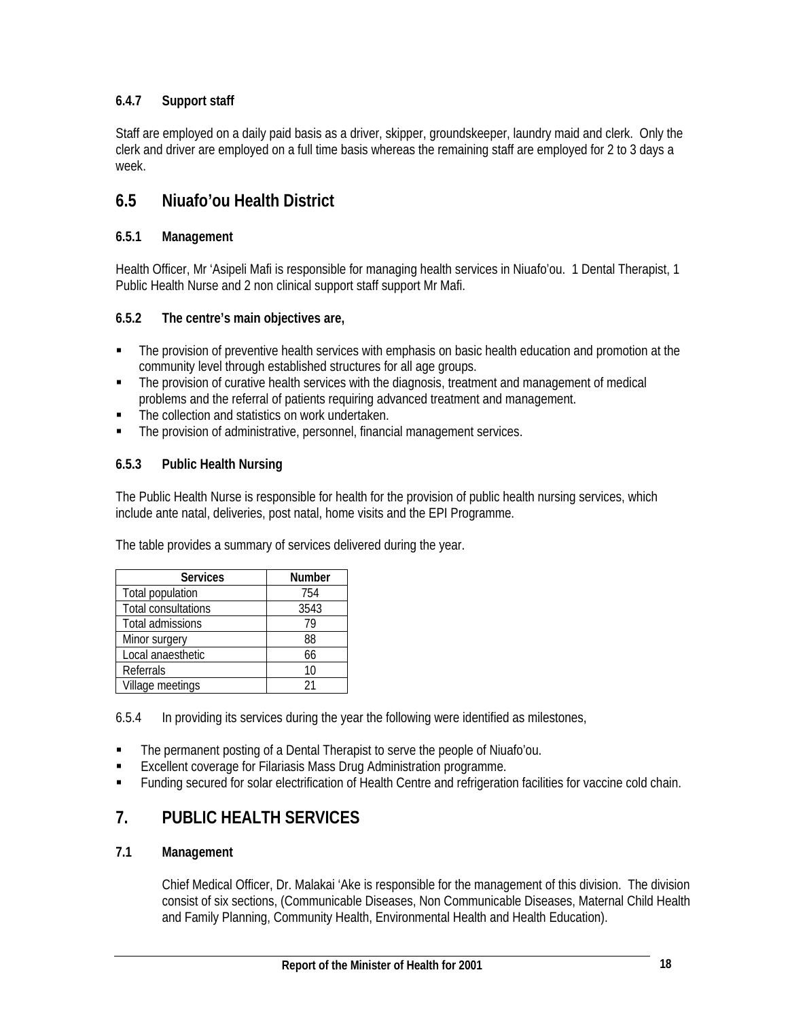# **6.4.7 Support staff**

Staff are employed on a daily paid basis as a driver, skipper, groundskeeper, laundry maid and clerk. Only the clerk and driver are employed on a full time basis whereas the remaining staff are employed for 2 to 3 days a week.

# **6.5 Niuafo'ou Health District**

# **6.5.1 Management**

Health Officer, Mr 'Asipeli Mafi is responsible for managing health services in Niuafo'ou. 1 Dental Therapist, 1 Public Health Nurse and 2 non clinical support staff support Mr Mafi.

# **6.5.2 The centre's main objectives are,**

- The provision of preventive health services with emphasis on basic health education and promotion at the community level through established structures for all age groups.
- The provision of curative health services with the diagnosis, treatment and management of medical problems and the referral of patients requiring advanced treatment and management.
- The collection and statistics on work undertaken.
- The provision of administrative, personnel, financial management services.

# **6.5.3 Public Health Nursing**

The Public Health Nurse is responsible for health for the provision of public health nursing services, which include ante natal, deliveries, post natal, home visits and the EPI Programme.

The table provides a summary of services delivered during the year.

| <b>Services</b>     | Number |
|---------------------|--------|
| Total population    | 754    |
| Total consultations | 3543   |
| Total admissions    | 79     |
| Minor surgery       | 88     |
| Local anaesthetic   | 66     |
| Referrals           | 10     |
| Village meetings    | 21     |

6.5.4 In providing its services during the year the following were identified as milestones,

- The permanent posting of a Dental Therapist to serve the people of Niuafo'ou.
- Excellent coverage for Filariasis Mass Drug Administration programme.
- **Funding secured for solar electrification of Health Centre and refrigeration facilities for vaccine cold chain.**

# **7. PUBLIC HEALTH SERVICES**

# **7.1 Management**

Chief Medical Officer, Dr. Malakai 'Ake is responsible for the management of this division. The division consist of six sections, (Communicable Diseases, Non Communicable Diseases, Maternal Child Health and Family Planning, Community Health, Environmental Health and Health Education).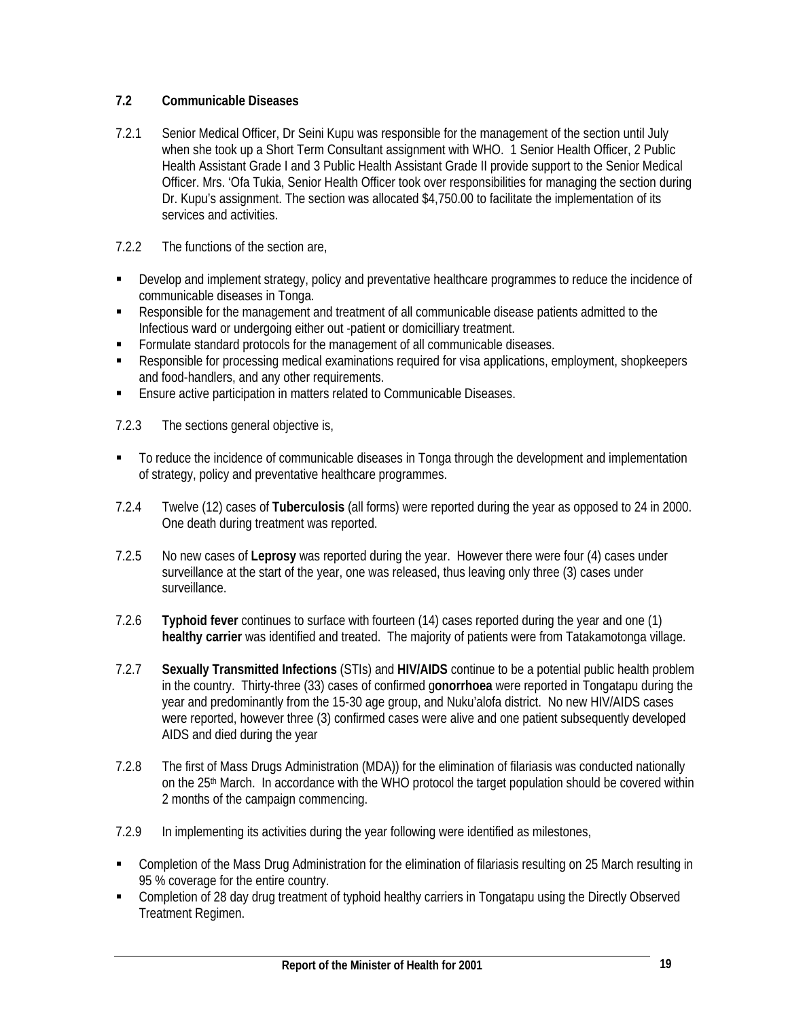# **7.2 Communicable Diseases**

- 7.2.1 Senior Medical Officer, Dr Seini Kupu was responsible for the management of the section until July when she took up a Short Term Consultant assignment with WHO. 1 Senior Health Officer, 2 Public Health Assistant Grade I and 3 Public Health Assistant Grade II provide support to the Senior Medical Officer. Mrs. 'Ofa Tukia, Senior Health Officer took over responsibilities for managing the section during Dr. Kupu's assignment. The section was allocated \$4,750.00 to facilitate the implementation of its services and activities.
- 7.2.2 The functions of the section are,
- Develop and implement strategy, policy and preventative healthcare programmes to reduce the incidence of communicable diseases in Tonga.
- Responsible for the management and treatment of all communicable disease patients admitted to the Infectious ward or undergoing either out -patient or domicilliary treatment.
- **Formulate standard protocols for the management of all communicable diseases.**
- Responsible for processing medical examinations required for visa applications, employment, shopkeepers and food-handlers, and any other requirements.
- **Ensure active participation in matters related to Communicable Diseases.**
- 7.2.3 The sections general objective is,
- To reduce the incidence of communicable diseases in Tonga through the development and implementation of strategy, policy and preventative healthcare programmes.
- 7.2.4 Twelve (12) cases of **Tuberculosis** (all forms) were reported during the year as opposed to 24 in 2000. One death during treatment was reported.
- 7.2.5 No new cases of **Leprosy** was reported during the year. However there were four (4) cases under surveillance at the start of the year, one was released, thus leaving only three (3) cases under surveillance.
- 7.2.6 **Typhoid fever** continues to surface with fourteen (14) cases reported during the year and one (1) **healthy carrier** was identified and treated. The majority of patients were from Tatakamotonga village.
- 7.2.7 **Sexually Transmitted Infections** (STIs) and **HIV/AIDS** continue to be a potential public health problem in the country. Thirty-three (33) cases of confirmed g**onorrhoea** were reported in Tongatapu during the year and predominantly from the 15-30 age group, and Nuku'alofa district. No new HIV/AIDS cases were reported, however three (3) confirmed cases were alive and one patient subsequently developed AIDS and died during the year
- 7.2.8 The first of Mass Drugs Administration (MDA)) for the elimination of filariasis was conducted nationally on the 25<sup>th</sup> March. In accordance with the WHO protocol the target population should be covered within 2 months of the campaign commencing.
- 7.2.9 In implementing its activities during the year following were identified as milestones,
- Completion of the Mass Drug Administration for the elimination of filariasis resulting on 25 March resulting in 95 % coverage for the entire country.
- Completion of 28 day drug treatment of typhoid healthy carriers in Tongatapu using the Directly Observed Treatment Regimen.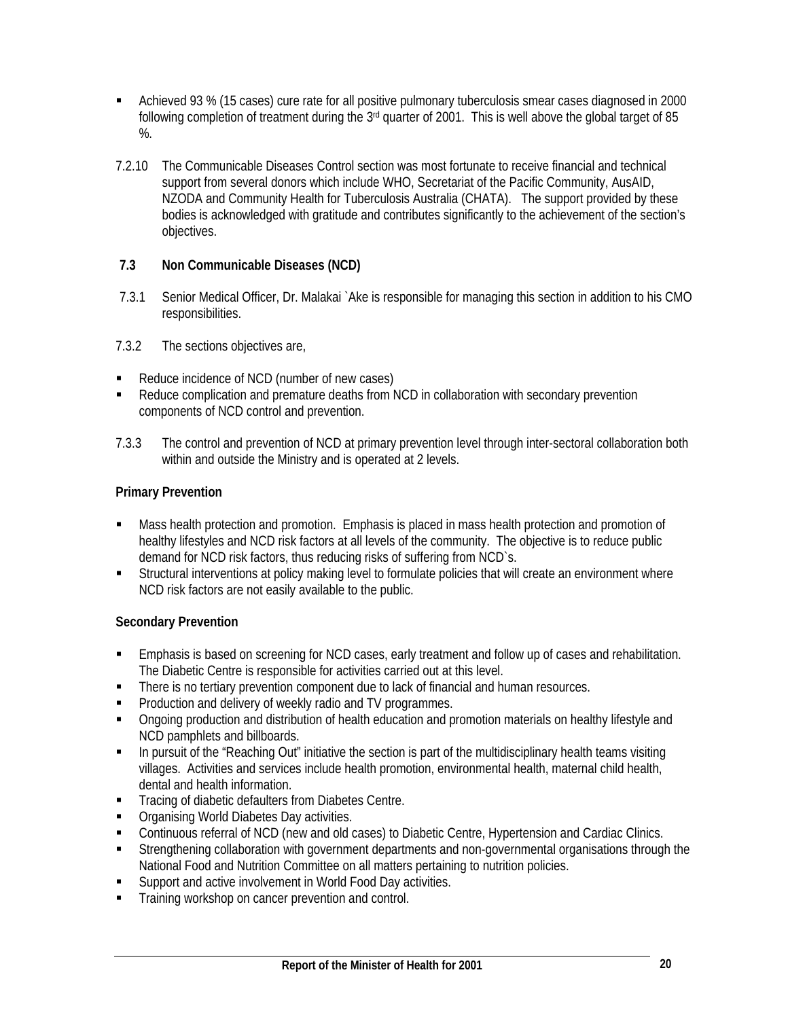- Achieved 93 % (15 cases) cure rate for all positive pulmonary tuberculosis smear cases diagnosed in 2000 following completion of treatment during the  $3<sup>rd</sup>$  quarter of 2001. This is well above the global target of 85  $\%$ .
- 7.2.10 The Communicable Diseases Control section was most fortunate to receive financial and technical support from several donors which include WHO, Secretariat of the Pacific Community, AusAID, NZODA and Community Health for Tuberculosis Australia (CHATA). The support provided by these bodies is acknowledged with gratitude and contributes significantly to the achievement of the section's objectives.

# **7.3 Non Communicable Diseases (NCD)**

- 7.3.1 Senior Medical Officer, Dr. Malakai `Ake is responsible for managing this section in addition to his CMO responsibilities.
- 7.3.2 The sections objectives are,
- Reduce incidence of NCD (number of new cases)
- Reduce complication and premature deaths from NCD in collaboration with secondary prevention components of NCD control and prevention.
- 7.3.3 The control and prevention of NCD at primary prevention level through inter-sectoral collaboration both within and outside the Ministry and is operated at 2 levels.

# **Primary Prevention**

- Mass health protection and promotion. Emphasis is placed in mass health protection and promotion of healthy lifestyles and NCD risk factors at all levels of the community. The objective is to reduce public demand for NCD risk factors, thus reducing risks of suffering from NCD`s.
- **Structural interventions at policy making level to formulate policies that will create an environment where** NCD risk factors are not easily available to the public.

# **Secondary Prevention**

- Emphasis is based on screening for NCD cases, early treatment and follow up of cases and rehabilitation. The Diabetic Centre is responsible for activities carried out at this level.
- **There is no tertiary prevention component due to lack of financial and human resources.**
- Production and delivery of weekly radio and TV programmes.
- Ongoing production and distribution of health education and promotion materials on healthy lifestyle and NCD pamphlets and billboards.
- In pursuit of the "Reaching Out" initiative the section is part of the multidisciplinary health teams visiting villages. Activities and services include health promotion, environmental health, maternal child health, dental and health information.
- **Tracing of diabetic defaulters from Diabetes Centre.**
- **Organising World Diabetes Day activities.**
- Continuous referral of NCD (new and old cases) to Diabetic Centre, Hypertension and Cardiac Clinics.
- Strengthening collaboration with government departments and non-governmental organisations through the National Food and Nutrition Committee on all matters pertaining to nutrition policies.
- **Support and active involvement in World Food Day activities.**
- Training workshop on cancer prevention and control.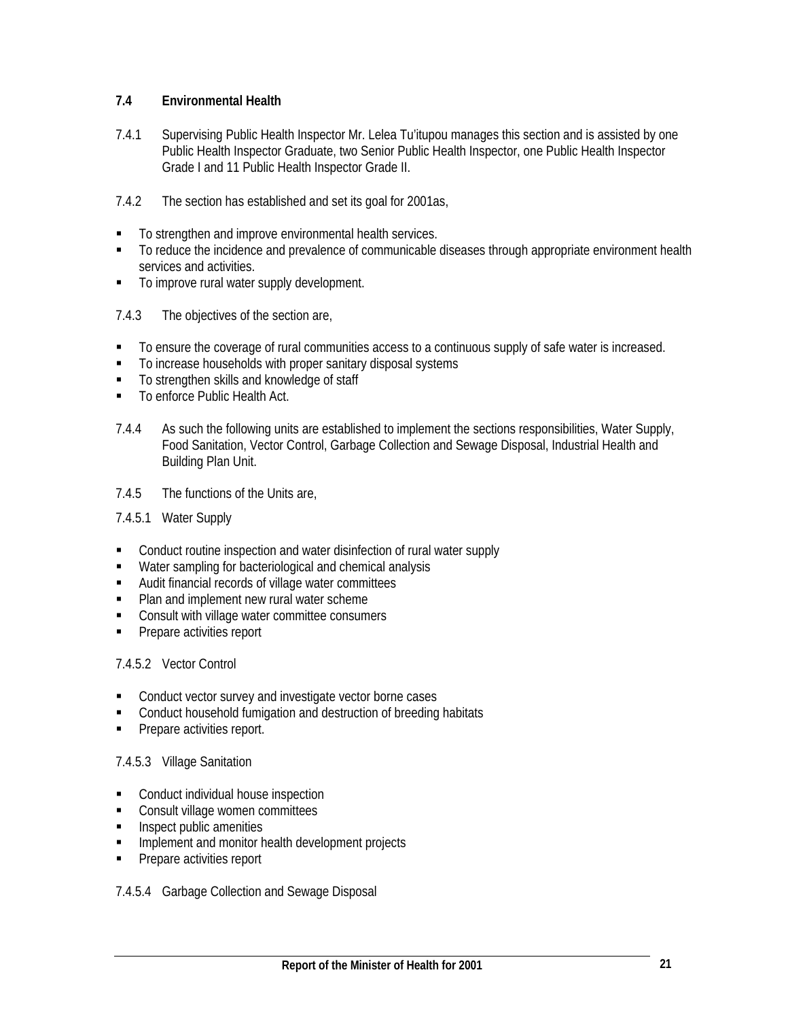# **7.4 Environmental Health**

7.4.1 Supervising Public Health Inspector Mr. Lelea Tu'itupou manages this section and is assisted by one Public Health Inspector Graduate, two Senior Public Health Inspector, one Public Health Inspector Grade I and 11 Public Health Inspector Grade II.

# 7.4.2 The section has established and set its goal for 2001as,

- To strengthen and improve environmental health services.
- To reduce the incidence and prevalence of communicable diseases through appropriate environment health services and activities.
- $\blacksquare$  To improve rural water supply development.
- 7.4.3 The objectives of the section are,
- To ensure the coverage of rural communities access to a continuous supply of safe water is increased.
- To increase households with proper sanitary disposal systems
- To strengthen skills and knowledge of staff
- To enforce Public Health Act.
- 7.4.4 As such the following units are established to implement the sections responsibilities, Water Supply, Food Sanitation, Vector Control, Garbage Collection and Sewage Disposal, Industrial Health and Building Plan Unit.

#### 7.4.5 The functions of the Units are,

# 7.4.5.1 Water Supply

- Conduct routine inspection and water disinfection of rural water supply
- Water sampling for bacteriological and chemical analysis
- Audit financial records of village water committees
- **Plan and implement new rural water scheme**
- **EXECONSULTE:** Consult with village water committee consumers
- **Prepare activities report**

# 7.4.5.2 Vector Control

- Conduct vector survey and investigate vector borne cases
- **EXECONDUCT** Conduct household fumigation and destruction of breeding habitats
- **Prepare activities report.**

# 7.4.5.3 Village Sanitation

- Conduct individual house inspection
- Consult village women committees
- **Inspect public amenities**
- Implement and monitor health development projects
- **Prepare activities report**

#### 7.4.5.4 Garbage Collection and Sewage Disposal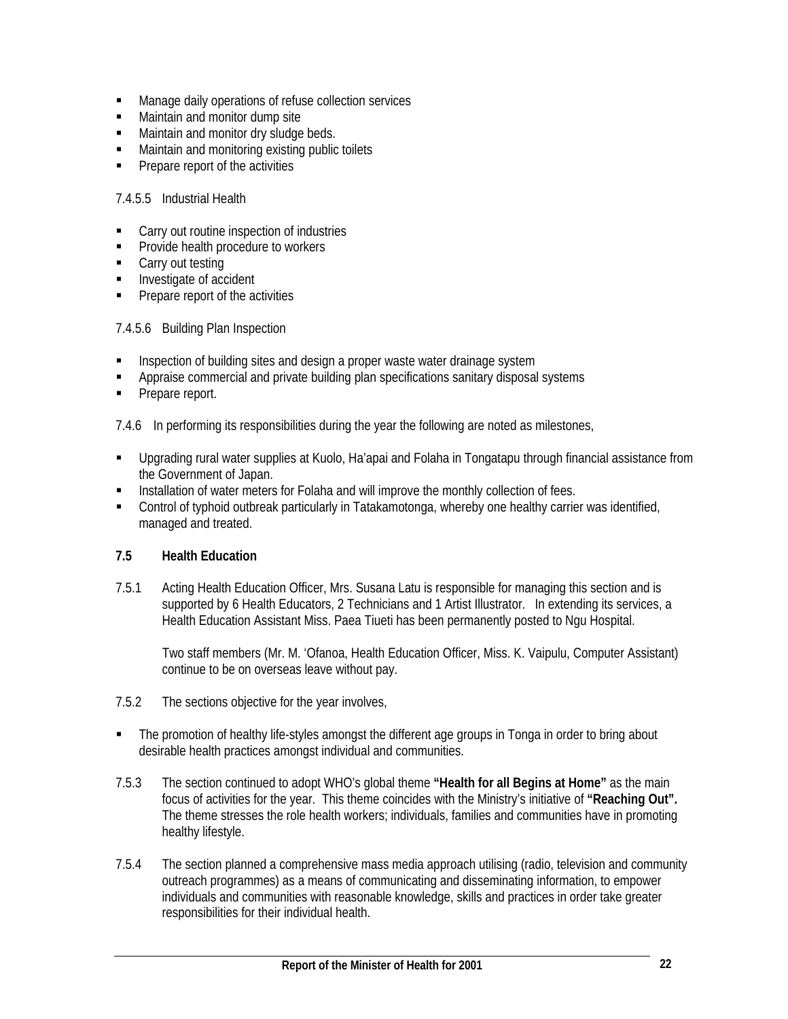- **Manage daily operations of refuse collection services**
- **Maintain and monitor dump site**
- **Maintain and monitor dry sludge beds.**
- **Maintain and monitoring existing public toilets**
- **Prepare report of the activities**

# 7.4.5.5 Industrial Health

- Carry out routine inspection of industries
- **Provide health procedure to workers**
- Carry out testing
- **Investigate of accident**
- Prepare report of the activities

# 7.4.5.6 Building Plan Inspection

- Inspection of building sites and design a proper waste water drainage system
- Appraise commercial and private building plan specifications sanitary disposal systems
- Prepare report.

7.4.6 In performing its responsibilities during the year the following are noted as milestones,

- Upgrading rural water supplies at Kuolo, Ha'apai and Folaha in Tongatapu through financial assistance from the Government of Japan.
- Installation of water meters for Folaha and will improve the monthly collection of fees.
- Control of typhoid outbreak particularly in Tatakamotonga, whereby one healthy carrier was identified, managed and treated.

# **7.5 Health Education**

7.5.1 Acting Health Education Officer, Mrs. Susana Latu is responsible for managing this section and is supported by 6 Health Educators, 2 Technicians and 1 Artist Illustrator. In extending its services, a Health Education Assistant Miss. Paea Tiueti has been permanently posted to Ngu Hospital.

Two staff members (Mr. M. 'Ofanoa, Health Education Officer, Miss. K. Vaipulu, Computer Assistant) continue to be on overseas leave without pay.

- 7.5.2 The sections objective for the year involves,
- The promotion of healthy life-styles amongst the different age groups in Tonga in order to bring about desirable health practices amongst individual and communities.
- 7.5.3 The section continued to adopt WHO's global theme **"Health for all Begins at Home"** as the main focus of activities for the year. This theme coincides with the Ministry's initiative of **"Reaching Out".** The theme stresses the role health workers; individuals, families and communities have in promoting healthy lifestyle.
- 7.5.4 The section planned a comprehensive mass media approach utilising (radio, television and community outreach programmes) as a means of communicating and disseminating information, to empower individuals and communities with reasonable knowledge, skills and practices in order take greater responsibilities for their individual health.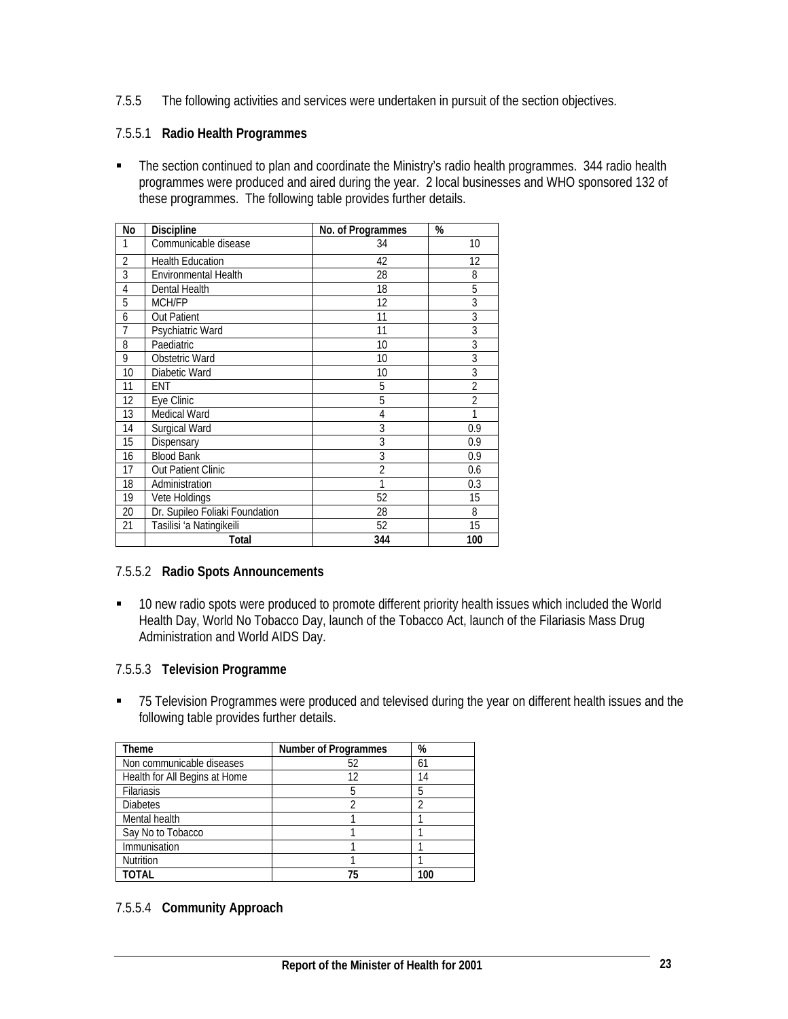7.5.5 The following activities and services were undertaken in pursuit of the section objectives.

# 7.5.5.1 **Radio Health Programmes**

 The section continued to plan and coordinate the Ministry's radio health programmes. 344 radio health programmes were produced and aired during the year. 2 local businesses and WHO sponsored 132 of these programmes. The following table provides further details.

| No             | Discipline                     | No. of Programmes | %              |
|----------------|--------------------------------|-------------------|----------------|
| 1              | Communicable disease           | 34                | 10             |
| $\overline{2}$ | <b>Health Education</b>        | 42                | 12             |
| 3              | <b>Environmental Health</b>    | 28                | 8              |
| $\overline{4}$ | Dental Health                  | 18                | 5              |
| 5              | <b>MCH/FP</b>                  | 12                | 3              |
| 6              | <b>Out Patient</b>             | 11                | $\overline{3}$ |
| 7              | Psychiatric Ward               | 11                | $\overline{3}$ |
| 8              | Paediatric                     | 10                | $\overline{3}$ |
| 9              | Obstetric Ward                 | 10                | 3              |
| 10             | Diabetic Ward                  | 10                | $\overline{3}$ |
| 11             | ENT                            | 5                 | $\overline{2}$ |
| 12             | Eye Clinic                     | 5                 | $\overline{2}$ |
| 13             | Medical Ward                   | $\overline{4}$    | 1              |
| 14             | Surgical Ward                  | $\overline{3}$    | 0.9            |
| 15             | Dispensary                     | $\overline{3}$    | 0.9            |
| 16             | <b>Blood Bank</b>              | $\overline{3}$    | 0.9            |
| 17             | <b>Out Patient Clinic</b>      | $\overline{2}$    | 0.6            |
| 18             | Administration                 | 1                 | 0.3            |
| 19             | Vete Holdings                  | 52                | 15             |
| 20             | Dr. Supileo Foliaki Foundation | 28                | 8              |
| 21             | Tasilisi 'a Natingikeili       | 52                | 15             |
|                | Total                          | 344               | 100            |

# 7.5.5.2 **Radio Spots Announcements**

 10 new radio spots were produced to promote different priority health issues which included the World Health Day, World No Tobacco Day, launch of the Tobacco Act, launch of the Filariasis Mass Drug Administration and World AIDS Day.

# 7.5.5.3 **Television Programme**

■ 75 Television Programmes were produced and televised during the year on different health issues and the following table provides further details.

| Theme                         | <b>Number of Programmes</b> | %   |
|-------------------------------|-----------------------------|-----|
| Non communicable diseases     | 52                          | 61  |
| Health for All Begins at Home | 12                          | 14  |
| <b>Filariasis</b>             |                             | 5   |
| <b>Diabetes</b>               |                             |     |
| Mental health                 |                             |     |
| Say No to Tobacco             |                             |     |
| Immunisation                  |                             |     |
| <b>Nutrition</b>              |                             |     |
| TOTAL                         | 75                          | 100 |

# 7.5.5.4 **Community Approach**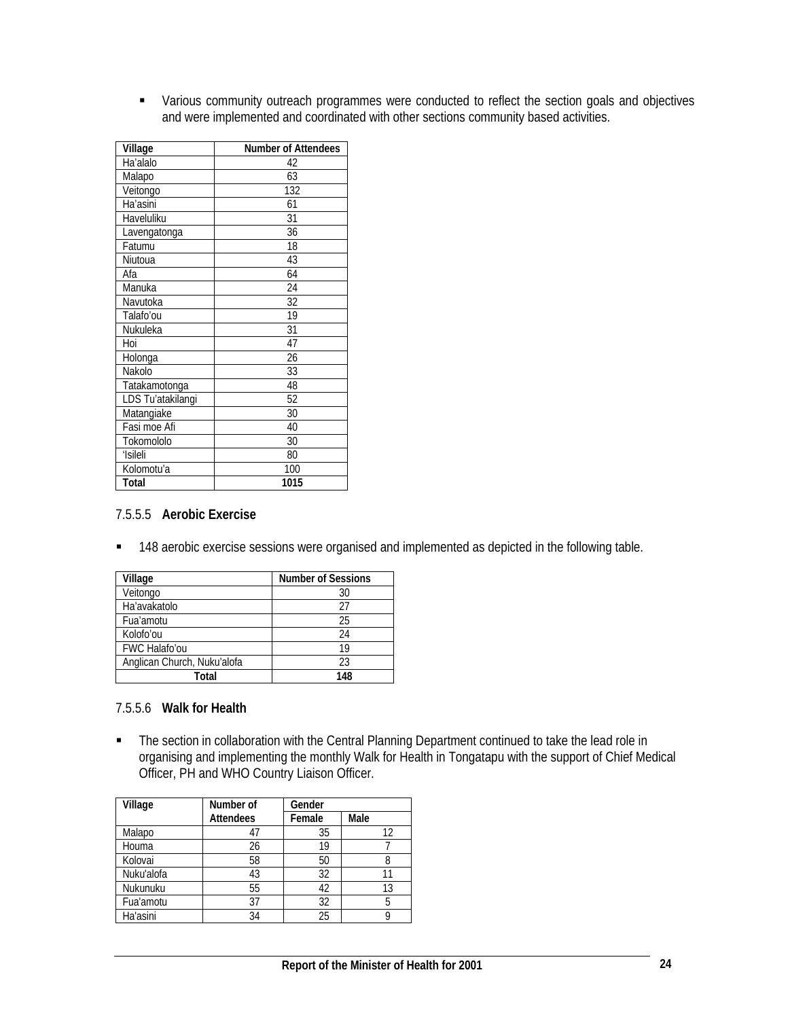Various community outreach programmes were conducted to reflect the section goals and objectives and were implemented and coordinated with other sections community based activities.

| <b>Village</b>    | <b>Number of Attendees</b> |
|-------------------|----------------------------|
| Ha'alalo          | 42                         |
| Malapo            | 63                         |
| Veitongo          | 132                        |
| Ha'asini          | 61                         |
| Haveluliku        | 31                         |
| Lavengatonga      | 36                         |
| Fatumu            | 18                         |
| Niutoua           | 43                         |
| Afa               | 64                         |
| Manuka            | 24                         |
| Navutoka          | 32                         |
| Talafo'ou         | 19                         |
| Nukuleka          | 31                         |
| Hoi               | 47                         |
| Holonga           | 26                         |
| Nakolo            | 33                         |
| Tatakamotonga     | 48                         |
| LDS Tu'atakilangi | 52                         |
| Matangiake        | 30                         |
| Fasi moe Afi      | 40                         |
| Tokomololo        | 30                         |
| 'Isileli          | 80                         |
| Kolomotu'a        | 100                        |
| Total             | 1015                       |

#### 7.5.5.5 **Aerobic Exercise**

**148 aerobic exercise sessions were organised and implemented as depicted in the following table.** 

| Village                     | <b>Number of Sessions</b> |
|-----------------------------|---------------------------|
| Veitongo                    | 30                        |
| Ha'avakatolo                | 27                        |
| Fua'amotu                   | 25                        |
| Kolofo'ou                   | 24                        |
| <b>FWC Halafo'ou</b>        | 19                        |
| Anglican Church, Nuku'alofa | 23                        |
| Total                       | 148                       |

#### 7.5.5.6 **Walk for Health**

• The section in collaboration with the Central Planning Department continued to take the lead role in organising and implementing the monthly Walk for Health in Tongatapu with the support of Chief Medical Officer, PH and WHO Country Liaison Officer.

| Village    | Number of        | Gender |      |  |  |
|------------|------------------|--------|------|--|--|
|            | <b>Attendees</b> | Female | Male |  |  |
| Malapo     |                  | 35     | 12   |  |  |
| Houma      | 26               | 19     |      |  |  |
| Kolovai    | 58               | 50     |      |  |  |
| Nuku'alofa | 43               | 32     |      |  |  |
| Nukunuku   | 55               | 42     | 13   |  |  |
| Fua'amotu  | 37               | 32     | 5    |  |  |
| Ha'asini   | 34               | 25     |      |  |  |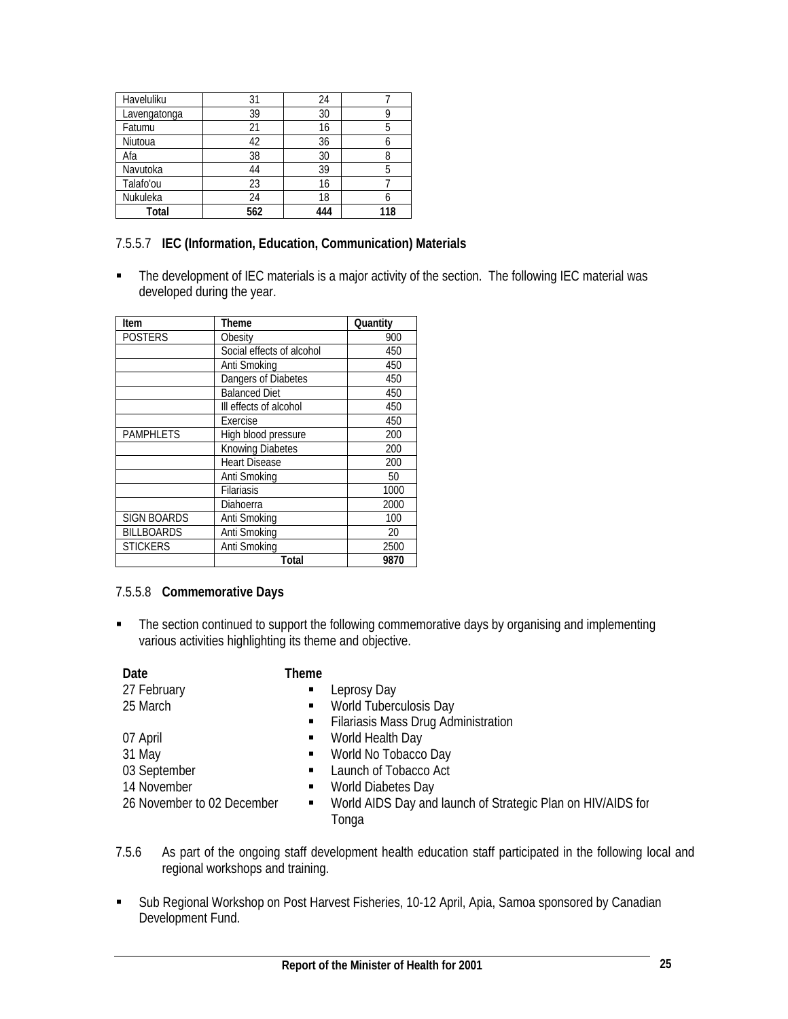| Haveluliku   | 31  | 24  |     |
|--------------|-----|-----|-----|
| Lavengatonga | 39  | 30  |     |
| Fatumu       | 21  | 16  |     |
| Niutoua      | 42  | 36  |     |
| Afa          | 38  | 30  |     |
| Navutoka     | 44  | 39  |     |
| Talafo'ou    | 23  | 16  |     |
| Nukuleka     | 24  | 18  |     |
| Total        | 562 | 444 | 118 |

# 7.5.5.7 **IEC (Information, Education, Communication) Materials**

• The development of IEC materials is a major activity of the section. The following IEC material was developed during the year.

| Item               | Theme                     | Quantity |
|--------------------|---------------------------|----------|
| <b>POSTERS</b>     | Obesity                   | 900      |
|                    | Social effects of alcohol | 450      |
|                    | Anti Smoking              | 450      |
|                    | Dangers of Diabetes       | 450      |
|                    | <b>Balanced Diet</b>      | 450      |
|                    | III effects of alcohol    | 450      |
|                    | Exercise                  | 450      |
| <b>PAMPHLETS</b>   | High blood pressure       | 200      |
|                    | <b>Knowing Diabetes</b>   | 200      |
|                    | <b>Heart Disease</b>      | 200      |
|                    | Anti Smoking              | 50       |
|                    | <b>Filariasis</b>         | 1000     |
|                    | Diahoerra                 | 2000     |
| <b>SIGN BOARDS</b> | Anti Smoking              | 100      |
| <b>BILLBOARDS</b>  | Anti Smoking              | 20       |
| <b>STICKERS</b>    | Anti Smoking              | 2500     |
|                    | Total                     | 9870     |

# 7.5.5.8 **Commemorative Days**

• The section continued to support the following commemorative days by organising and implementing various activities highlighting its theme and objective.

| Date                       | Theme          |                                                                      |
|----------------------------|----------------|----------------------------------------------------------------------|
| 27 February                | $\blacksquare$ | Leprosy Day                                                          |
| 25 March                   | $\blacksquare$ | World Tuberculosis Day                                               |
|                            | п.             | <b>Filariasis Mass Drug Administration</b>                           |
| 07 April                   | $\blacksquare$ | World Health Day                                                     |
| 31 May                     | ٠              | World No Tobacco Day                                                 |
| 03 September               | $\blacksquare$ | Launch of Tobacco Act                                                |
| 14 November                | ٠              | World Diabetes Day                                                   |
| 26 November to 02 December | ٠              | World AIDS Day and launch of Strategic Plan on HIV/AIDS for<br>Tonga |

- 7.5.6 As part of the ongoing staff development health education staff participated in the following local and regional workshops and training.
- **Sub Regional Workshop on Post Harvest Fisheries, 10-12 April, Apia, Samoa sponsored by Canadian** Development Fund.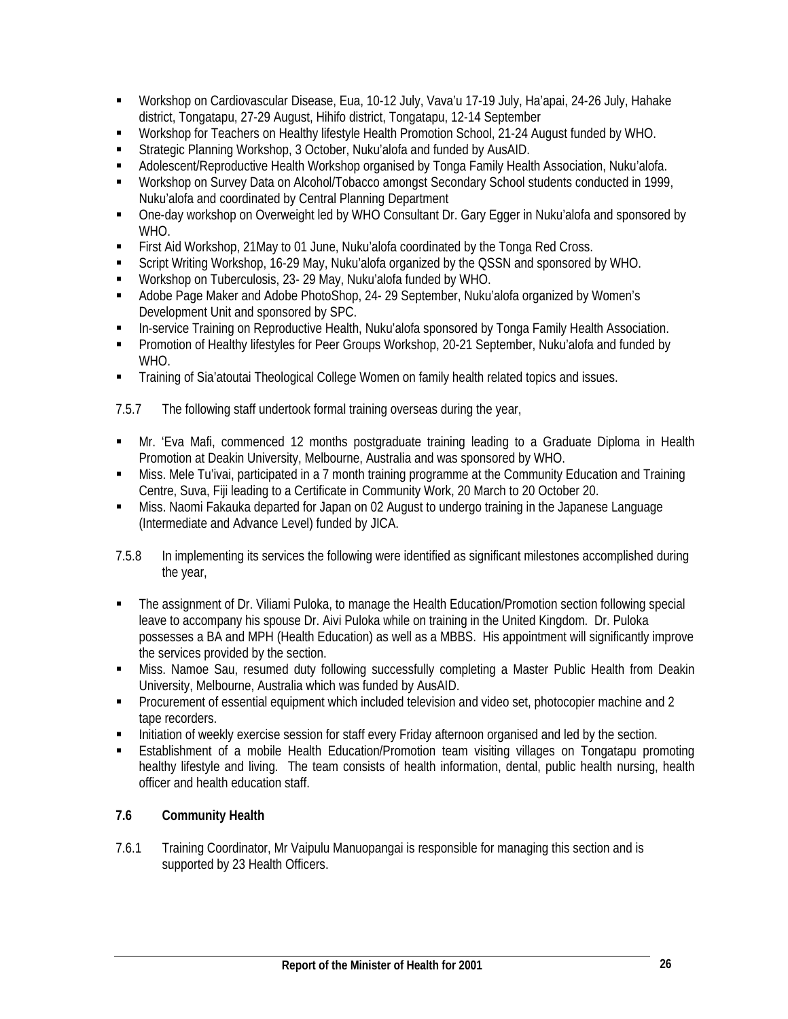- Workshop on Cardiovascular Disease, Eua, 10-12 July, Vava'u 17-19 July, Ha'apai, 24-26 July, Hahake district, Tongatapu, 27-29 August, Hihifo district, Tongatapu, 12-14 September
- Workshop for Teachers on Healthy lifestyle Health Promotion School, 21-24 August funded by WHO.
- Strategic Planning Workshop, 3 October, Nuku'alofa and funded by AusAID.
- Adolescent/Reproductive Health Workshop organised by Tonga Family Health Association, Nuku'alofa.
- Workshop on Survey Data on Alcohol/Tobacco amongst Secondary School students conducted in 1999, Nuku'alofa and coordinated by Central Planning Department
- One-day workshop on Overweight led by WHO Consultant Dr. Gary Egger in Nuku'alofa and sponsored by WHO.
- First Aid Workshop, 21May to 01 June, Nuku'alofa coordinated by the Tonga Red Cross.
- Script Writing Workshop, 16-29 May, Nuku'alofa organized by the QSSN and sponsored by WHO.
- Workshop on Tuberculosis, 23- 29 May, Nuku'alofa funded by WHO.
- Adobe Page Maker and Adobe PhotoShop, 24- 29 September, Nuku'alofa organized by Women's Development Unit and sponsored by SPC.
- In-service Training on Reproductive Health, Nuku'alofa sponsored by Tonga Family Health Association.
- Promotion of Healthy lifestyles for Peer Groups Workshop, 20-21 September, Nuku'alofa and funded by WHO.
- Training of Sia'atoutai Theological College Women on family health related topics and issues.
- 7.5.7 The following staff undertook formal training overseas during the year,
- Mr. 'Eva Mafi, commenced 12 months postgraduate training leading to a Graduate Diploma in Health Promotion at Deakin University, Melbourne, Australia and was sponsored by WHO.
- Miss. Mele Tu'ivai, participated in a 7 month training programme at the Community Education and Training Centre, Suva, Fiji leading to a Certificate in Community Work, 20 March to 20 October 20.
- Miss. Naomi Fakauka departed for Japan on 02 August to undergo training in the Japanese Language (Intermediate and Advance Level) funded by JICA.
- 7.5.8 In implementing its services the following were identified as significant milestones accomplished during the year,
- The assignment of Dr. Viliami Puloka, to manage the Health Education/Promotion section following special leave to accompany his spouse Dr. Aivi Puloka while on training in the United Kingdom. Dr. Puloka possesses a BA and MPH (Health Education) as well as a MBBS. His appointment will significantly improve the services provided by the section.
- Miss. Namoe Sau, resumed duty following successfully completing a Master Public Health from Deakin University, Melbourne, Australia which was funded by AusAID.
- Procurement of essential equipment which included television and video set, photocopier machine and 2 tape recorders.
- Initiation of weekly exercise session for staff every Friday afternoon organised and led by the section.
- Establishment of a mobile Health Education/Promotion team visiting villages on Tongatapu promoting healthy lifestyle and living. The team consists of health information, dental, public health nursing, health officer and health education staff.

# **7.6 Community Health**

7.6.1 Training Coordinator, Mr Vaipulu Manuopangai is responsible for managing this section and is supported by 23 Health Officers.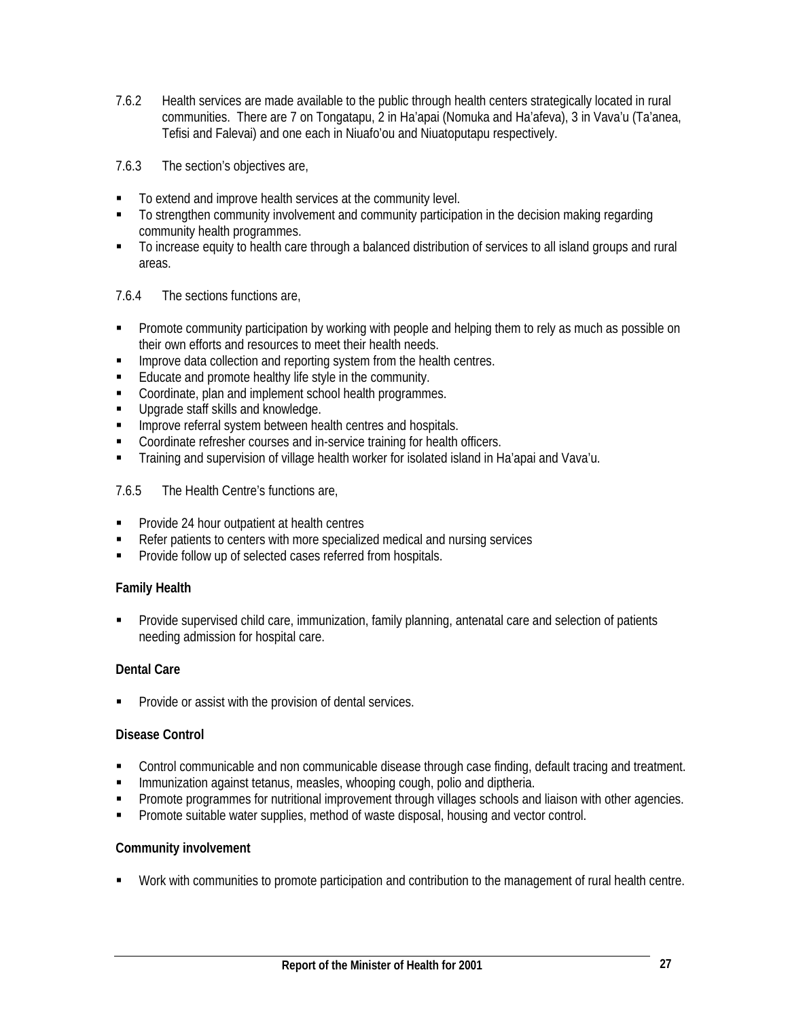7.6.2 Health services are made available to the public through health centers strategically located in rural communities. There are 7 on Tongatapu, 2 in Ha'apai (Nomuka and Ha'afeva), 3 in Vava'u (Ta'anea, Tefisi and Falevai) and one each in Niuafo'ou and Niuatoputapu respectively.

7.6.3 The section's objectives are,

- To extend and improve health services at the community level.
- To strengthen community involvement and community participation in the decision making regarding community health programmes.
- To increase equity to health care through a balanced distribution of services to all island groups and rural areas.
- 7.6.4 The sections functions are,
- **Promote community participation by working with people and helping them to rely as much as possible on** their own efforts and resources to meet their health needs.
- **IMPROVE data collection and reporting system from the health centres.**
- Educate and promote healthy life style in the community.
- Coordinate, plan and implement school health programmes.
- **Upgrade staff skills and knowledge.**
- **IMPROVE referral system between health centres and hospitals.**
- **Coordinate refresher courses and in-service training for health officers.**
- Training and supervision of village health worker for isolated island in Ha'apai and Vava'u.

# 7.6.5 The Health Centre's functions are,

- **Provide 24 hour outpatient at health centres**
- Refer patients to centers with more specialized medical and nursing services
- **Provide follow up of selected cases referred from hospitals.**

# **Family Health**

 Provide supervised child care, immunization, family planning, antenatal care and selection of patients needing admission for hospital care.

# **Dental Care**

**Provide or assist with the provision of dental services.** 

# **Disease Control**

- Control communicable and non communicable disease through case finding, default tracing and treatment.
- **IMMUNIFIGHT IMMUNIFIGHT Against tetanus, measles, whooping cough, polio and diptheria.**
- **Promote programmes for nutritional improvement through villages schools and liaison with other agencies.**
- Promote suitable water supplies, method of waste disposal, housing and vector control.

# **Community involvement**

Work with communities to promote participation and contribution to the management of rural health centre.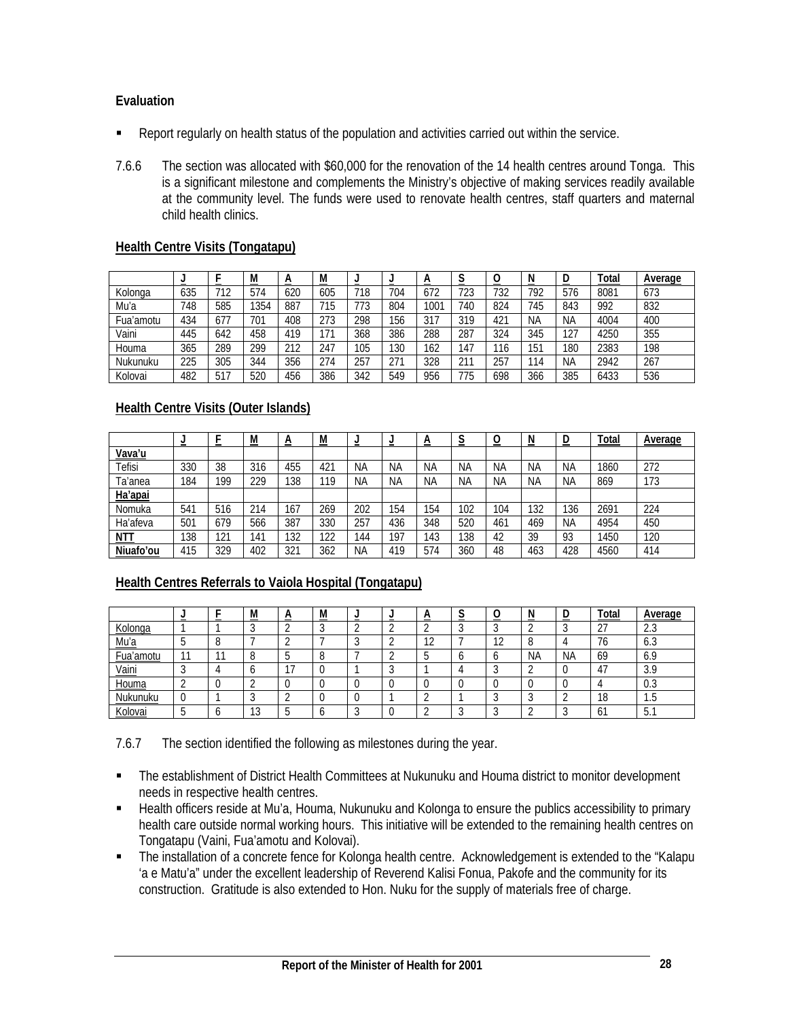# **Evaluation**

- **•** Report regularly on health status of the population and activities carried out within the service.
- 7.6.6 The section was allocated with \$60,000 for the renovation of the 14 health centres around Tonga. This is a significant milestone and complements the Ministry's objective of making services readily available at the community level. The funds were used to renovate health centres, staff quarters and maternal child health clinics.

# **Health Centre Visits (Tongatapu)**

|           | ⋍   |     | ${\sf M}$ | n<br>$\sim$ | M<br>--- | -   | -   | A<br>_ | ∼<br>ີ<br>- | v<br>_ | N<br>$\overline{\phantom{a}}$ | D         | <b>Total</b> | <b>Average</b> |
|-----------|-----|-----|-----------|-------------|----------|-----|-----|--------|-------------|--------|-------------------------------|-----------|--------------|----------------|
| Kolonga   | 635 | 712 | 574       | 620         | 605      | 718 | 704 | 672    | 723         | 732    | 792                           | 576       | 8081         | 673            |
| Mu'a      | 748 | 585 | 1354      | 887         | 715      | 773 | 804 | 1001   | 740         | 824    | 745                           | 843       | 992          | 832            |
| Fua'amotu | 434 | 677 | 701       | 408         | 273      | 298 | 156 | 317    | 319         | 421    | <b>NA</b>                     | <b>NA</b> | 4004         | 400            |
| Vaini     | 445 | 642 | 458       | 419         |          | 368 | 386 | 288    | 287         | 324    | 345                           | 127       | 4250         | 355            |
| Houma     | 365 | 289 | 299       | 212         | 247      | 105 | 130 | 62     | 147         | 116    | 151                           | 180       | 2383         | 198            |
| Nukunuku  | 225 | 305 | 344       | 356         | 274      | 257 | 271 | 328    | 211         | 257    | 14                            | ΝA        | 2942         | 267            |
| Kolovai   | 482 | 517 | 520       | 456         | 386      | 342 | 549 | 956    | 775         | 698    | 366                           | 385       | 6433         | 536            |

# **Health Centre Visits (Outer Islands)**

|               | -   |     | M   | n<br>$\overline{\phantom{a}}$ | M               | =         | =   | <u>A</u>  | $\sim$    | <u>—</u>  | N         | D   | Total | Average |
|---------------|-----|-----|-----|-------------------------------|-----------------|-----------|-----|-----------|-----------|-----------|-----------|-----|-------|---------|
| <u>Vava'u</u> |     |     |     |                               |                 |           |     |           |           |           |           |     |       |         |
| Tefisi        | 330 | 38  | 316 | 455                           | 42 <sup>1</sup> | ΝA        | ΝA  | <b>NA</b> | <b>NA</b> | NА        | <b>NA</b> | ΝA  | 1860  | 272     |
| Ta'anea       | 184 | 199 | 229 | 138                           | 119             | <b>NA</b> | ΝA  | <b>NA</b> | <b>NA</b> | <b>NA</b> | <b>NA</b> | ΝA  | 869   | 173     |
| Ha'apai       |     |     |     |                               |                 |           |     |           |           |           |           |     |       |         |
| Nomuka        | 541 | 516 | 214 | 167                           | 269             | 202       | 154 | 154       | 102       | 104       | 132       | 136 | 2691  | 224     |
| Ha'afeva      | 501 | 679 | 566 | 387                           | 330             | 257       | 436 | 348       | 520       | 461       | 469       | ΝA  | 4954  | 450     |
| MII           | 138 | 121 | 41  | 132                           | 122             | 144       | 197 | 43        | 138       | 42        | 39        | 93  | 450   | 120     |
| Niuafo'ou     | 415 | 329 | 402 | 321                           | 362             | ΝA        | 419 | 574       | 360       | 48        | 463       | 428 | 4560  | 414     |

# **Health Centres Referrals to Vaiola Hospital (Tongatapu)**

|             |        | M             | M |  | n             |               |           |           | Total              | Average       |
|-------------|--------|---------------|---|--|---------------|---------------|-----------|-----------|--------------------|---------------|
| Kolonga     |        |               |   |  |               |               |           |           | $\sim$<br><u>_</u> | $\sim$<br>ن.∠ |
| <u>Mu'a</u> |        |               |   |  | $\sim$<br>1 L | $\sim$<br>1 Z |           |           | -<br>70            | 0.J           |
| Fua'amotu   | $\sim$ |               |   |  |               |               | <b>NA</b> | <b>NA</b> | 69                 | 6 C<br>U.7    |
| Vaini       |        |               |   |  |               |               |           |           | 4                  | 20<br>ت ب     |
| Houma       |        |               |   |  |               |               |           |           |                    | U.3           |
| Nukunuku    |        |               |   |  |               |               |           |           | 18                 | ن. ا          |
| Kolovai     |        | $\sim$<br>. ب |   |  |               |               |           |           | b                  | h<br>◡.       |

7.6.7 The section identified the following as milestones during the year.

- The establishment of District Health Committees at Nukunuku and Houma district to monitor development needs in respective health centres.
- Health officers reside at Mu'a, Houma, Nukunuku and Kolonga to ensure the publics accessibility to primary health care outside normal working hours. This initiative will be extended to the remaining health centres on Tongatapu (Vaini, Fua'amotu and Kolovai).
- The installation of a concrete fence for Kolonga health centre. Acknowledgement is extended to the "Kalapu 'a e Matu'a" under the excellent leadership of Reverend Kalisi Fonua, Pakofe and the community for its construction. Gratitude is also extended to Hon. Nuku for the supply of materials free of charge.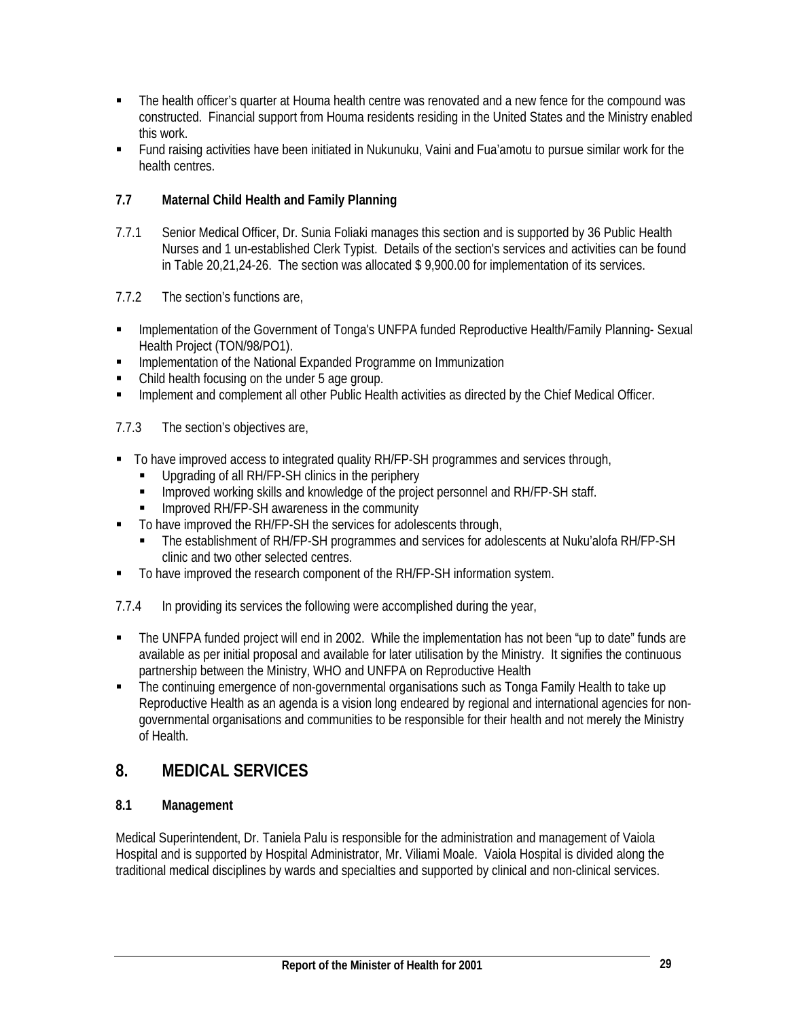- The health officer's quarter at Houma health centre was renovated and a new fence for the compound was constructed. Financial support from Houma residents residing in the United States and the Ministry enabled this work.
- Fund raising activities have been initiated in Nukunuku, Vaini and Fua'amotu to pursue similar work for the health centres.

# **7.7 Maternal Child Health and Family Planning**

- 7.7.1 Senior Medical Officer, Dr. Sunia Foliaki manages this section and is supported by 36 Public Health Nurses and 1 un-established Clerk Typist. Details of the section's services and activities can be found in Table 20,21,24-26. The section was allocated \$ 9,900.00 for implementation of its services.
- 7.7.2 The section's functions are,
- **Implementation of the Government of Tonga's UNFPA funded Reproductive Health/Family Planning- Sexual** Health Project (TON/98/PO1).
- **IMPLEM** Implementation of the National Expanded Programme on Immunization
- Child health focusing on the under 5 age group.
- **Implement and complement all other Public Health activities as directed by the Chief Medical Officer.**
- 7.7.3 The section's objectives are,
- To have improved access to integrated quality RH/FP-SH programmes and services through,
	- **Upgrading of all RH/FP-SH clinics in the periphery**
	- **IMPROVED WORKING SKILLS and knowledge of the project personnel and RH/FP-SH staff.**
	- **IMPROVED RH/FP-SH awareness in the community**
- To have improved the RH/FP-SH the services for adolescents through,
	- The establishment of RH/FP-SH programmes and services for adolescents at Nuku'alofa RH/FP-SH clinic and two other selected centres.
- To have improved the research component of the RH/FP-SH information system.
- 7.7.4 In providing its services the following were accomplished during the year,
- The UNFPA funded project will end in 2002. While the implementation has not been "up to date" funds are available as per initial proposal and available for later utilisation by the Ministry. It signifies the continuous partnership between the Ministry, WHO and UNFPA on Reproductive Health
- The continuing emergence of non-governmental organisations such as Tonga Family Health to take up Reproductive Health as an agenda is a vision long endeared by regional and international agencies for nongovernmental organisations and communities to be responsible for their health and not merely the Ministry of Health.

# **8. MEDICAL SERVICES**

# **8.1 Management**

Medical Superintendent, Dr. Taniela Palu is responsible for the administration and management of Vaiola Hospital and is supported by Hospital Administrator, Mr. Viliami Moale. Vaiola Hospital is divided along the traditional medical disciplines by wards and specialties and supported by clinical and non-clinical services.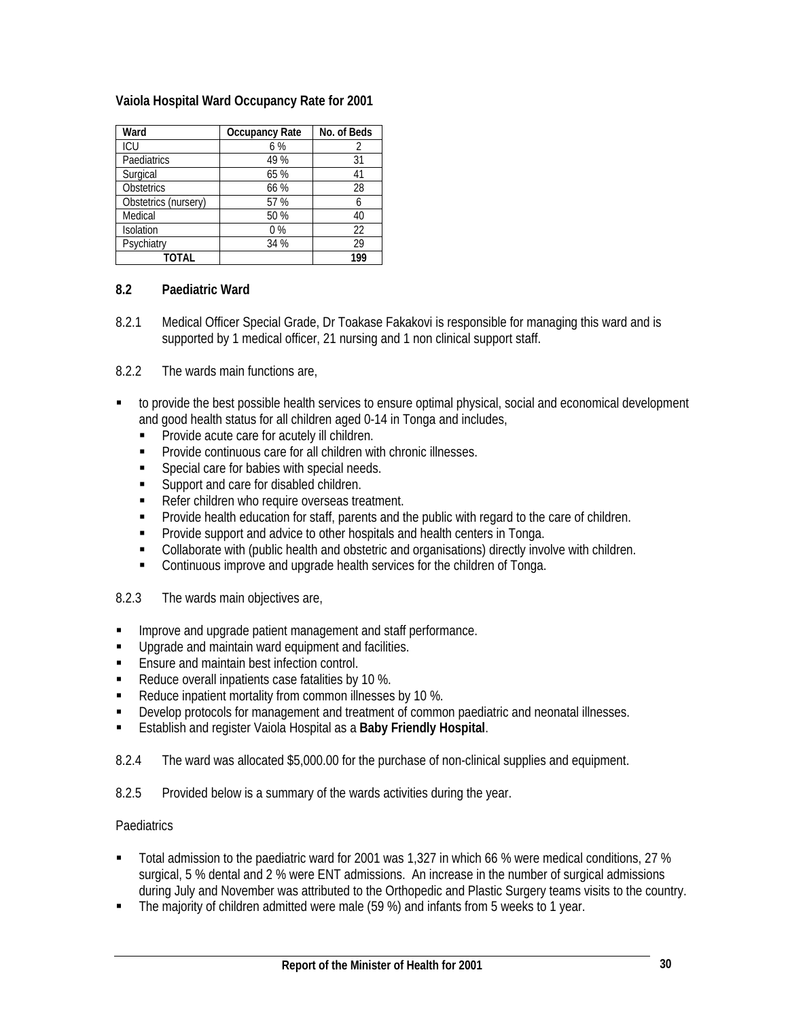# **Vaiola Hospital Ward Occupancy Rate for 2001**

| Ward                 | <b>Occupancy Rate</b> | No. of Beds |
|----------------------|-----------------------|-------------|
| ICU                  | 6 %                   | 2           |
| Paediatrics          | 49 %                  | 31          |
| Surgical             | 65 %                  | 41          |
| <b>Obstetrics</b>    | 66 %                  | 28          |
| Obstetrics (nursery) | 57 %                  | 6           |
| Medical              | 50 %                  | 40          |
| Isolation            | $0\%$                 | 22          |
| Psychiatry           | 34 %                  | 29          |
| <b>TOTAL</b>         |                       | 199         |

# **8.2 Paediatric Ward**

8.2.1 Medical Officer Special Grade, Dr Toakase Fakakovi is responsible for managing this ward and is supported by 1 medical officer, 21 nursing and 1 non clinical support staff.

8.2.2 The wards main functions are,

- to provide the best possible health services to ensure optimal physical, social and economical development and good health status for all children aged 0-14 in Tonga and includes,
	- Provide acute care for acutely ill children.
	- Provide continuous care for all children with chronic illnesses.
	- **Special care for babies with special needs.**
	- **Support and care for disabled children.**
	- Refer children who require overseas treatment.
	- Provide health education for staff, parents and the public with regard to the care of children.
	- **Provide support and advice to other hospitals and health centers in Tonga.**
	- Collaborate with (public health and obstetric and organisations) directly involve with children.
	- **Continuous improve and upgrade health services for the children of Tonga.**
- 8.2.3 The wards main objectives are,
- **Improve and upgrade patient management and staff performance.**
- **Upgrade and maintain ward equipment and facilities.**
- **Ensure and maintain best infection control.**
- Reduce overall inpatients case fatalities by 10 %.
- Reduce inpatient mortality from common illnesses by 10 %.
- Develop protocols for management and treatment of common paediatric and neonatal illnesses.
- Establish and register Vaiola Hospital as a **Baby Friendly Hospital**.
- 8.2.4 The ward was allocated \$5,000.00 for the purchase of non-clinical supplies and equipment.
- 8.2.5 Provided below is a summary of the wards activities during the year.

#### Paediatrics

- Total admission to the paediatric ward for 2001 was 1,327 in which 66 % were medical conditions, 27 % surgical, 5 % dental and 2 % were ENT admissions. An increase in the number of surgical admissions during July and November was attributed to the Orthopedic and Plastic Surgery teams visits to the country.
- The majority of children admitted were male (59 %) and infants from 5 weeks to 1 year.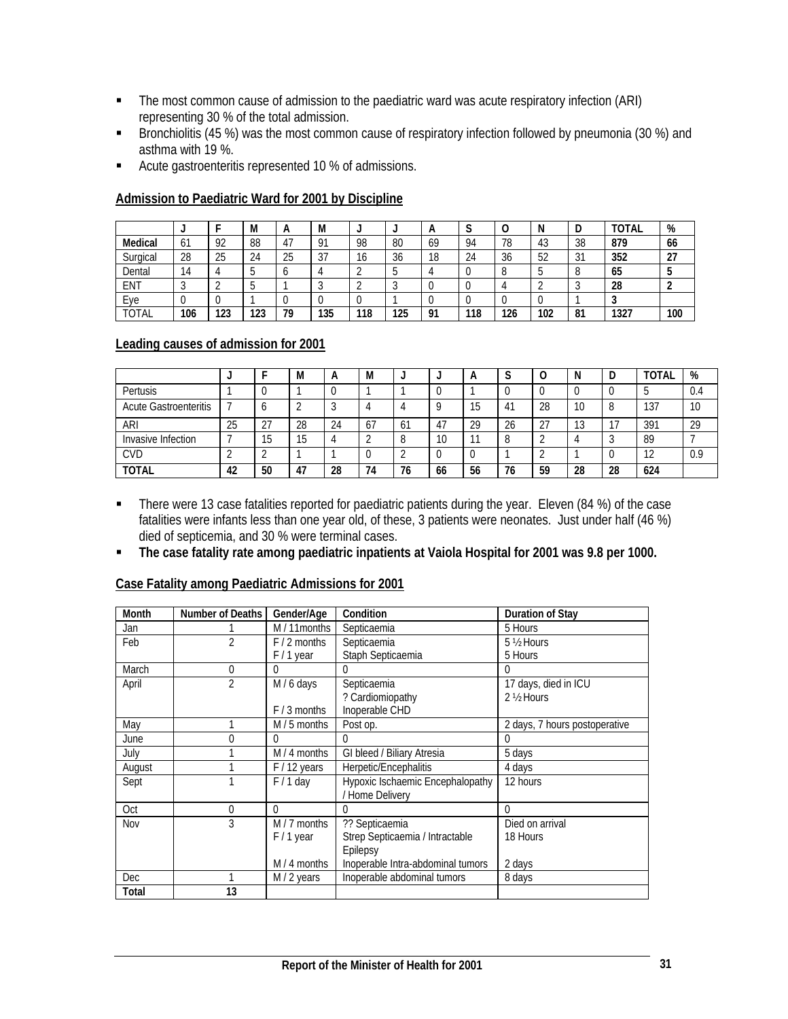- The most common cause of admission to the paediatric ward was acute respiratory infection (ARI) representing 30 % of the total admission.
- Bronchiolitis (45 %) was the most common cause of respiratory infection followed by pneumonia (30 %) and asthma with 19 %.
- Acute gastroenteritis represented 10 % of admissions.

|          |     |     | M   | А         | M                    | J   |     | n  | J   | U   | N        | υ           | <b>TOTAL</b> | %   |
|----------|-----|-----|-----|-----------|----------------------|-----|-----|----|-----|-----|----------|-------------|--------------|-----|
| Medical  | 61  | 92  | 88  | 47<br>ד ו | 91                   | 98  | 80  | 69 | 94  | 78  | 43       | 38          | 879          | 66  |
| Surgical | 28  | 25  | 24  | 25        | $\mathcal{L}$<br>ر ک | 16  | 36  | 18 | 24  | 36  | 52<br>JZ | $\sim$<br>◡ | 352          | 27  |
| Dental   | 14  |     |     |           |                      |     |     |    |     | u   |          |             | 65           |     |
| ENT      |     |     | v   |           |                      |     |     |    |     |     |          |             | 28           |     |
| Eve      |     |     |     |           |                      |     |     |    |     | u   |          |             | w            |     |
| TOTAL    | 106 | 123 | 123 | 79        | 135                  | 118 | 125 | 01 | 118 | 126 | 102      | 81          | 1327         | 100 |

# **Admission to Paediatric Ward for 2001 by Discipline**

# **Leading causes of admission for 2001**

|                              |    |         | м  | n  | M  |    |    | А                     | $\ddot{\phantom{0}}$ |    | N         | IJ              | TOTAL | %   |
|------------------------------|----|---------|----|----|----|----|----|-----------------------|----------------------|----|-----------|-----------------|-------|-----|
| Pertusis                     |    |         |    |    |    |    |    |                       |                      |    |           |                 |       | 0.4 |
| <b>Acute Gastroenteritis</b> |    | O       |    |    |    | ↵  |    | 1 <sub>5</sub><br>ر ا | 41                   | 28 | 10        | 8               | 137   | 10  |
| ARI                          | 25 | ר∩<br>∸ | 28 | 24 | 67 | 61 | 47 | 29                    | 26                   | 27 | 10<br>ن ا |                 | 391   | 29  |
| Invasive Infection           |    | 15      | 15 |    |    | 8  | 10 | -11                   |                      |    |           | $\sqrt{2}$<br>w | 89    |     |
| <b>CVD</b>                   |    |         |    |    |    |    |    |                       |                      |    |           |                 | 12    | 0.9 |
| <b>TOTAL</b>                 | 42 | 50      | 47 | 28 | 74 | 76 | 66 | 56                    | 76                   | 59 | 28        | 28              | 624   |     |

- There were 13 case fatalities reported for paediatric patients during the year. Eleven (84 %) of the case fatalities were infants less than one year old, of these, 3 patients were neonates. Just under half (46 %) died of septicemia, and 30 % were terminal cases.
- **The case fatality rate among paediatric inpatients at Vaiola Hospital for 2001 was 9.8 per 1000.**

| Month  | Number of Deaths | Gender/Age     | Condition                         | <b>Duration of Stay</b>       |
|--------|------------------|----------------|-----------------------------------|-------------------------------|
| Jan    |                  | M / 11 months  | Septicaemia                       | 5 Hours                       |
| Feb    | $\overline{2}$   | $F/2$ months   | Septicaemia                       | 5 ½ Hours                     |
|        |                  | F / 1 year     | Staph Septicaemia                 | 5 Hours                       |
| March  | $\Omega$         | $\Omega$       | 0                                 | 0                             |
| April  | $\overline{2}$   | M / 6 days     | Septicaemia                       | 17 days, died in ICU          |
|        |                  |                | ? Cardiomiopathy                  | 2 ½ Hours                     |
|        |                  | $F / 3$ months | Inoperable CHD                    |                               |
| May    |                  | $M/5$ months   | Post op.                          | 2 days, 7 hours postoperative |
| June   | $\Omega$         | 0              | 0                                 | 0                             |
| July   |                  | M / 4 months   | GI bleed / Biliary Atresia        | 5 days                        |
| August |                  | $F/12$ years   | Herpetic/Encephalitis             | 4 days                        |
| Sept   |                  | $F/1$ day      | Hypoxic Ischaemic Encephalopathy  | 12 hours                      |
|        |                  |                | / Home Delivery                   |                               |
| Oct    | 0                | $\Omega$       | $\theta$                          | 0                             |
| Nov    | 3                | $M/7$ months   | ?? Septicaemia                    | Died on arrival               |
|        |                  | $F/1$ year     | Strep Septicaemia / Intractable   | 18 Hours                      |
|        |                  |                | Epilepsy                          |                               |
|        |                  | M / 4 months   | Inoperable Intra-abdominal tumors | 2 days                        |
| Dec    |                  | M / 2 years    | Inoperable abdominal tumors       | 8 days                        |
| Total  | 13               |                |                                   |                               |

# **Case Fatality among Paediatric Admissions for 2001**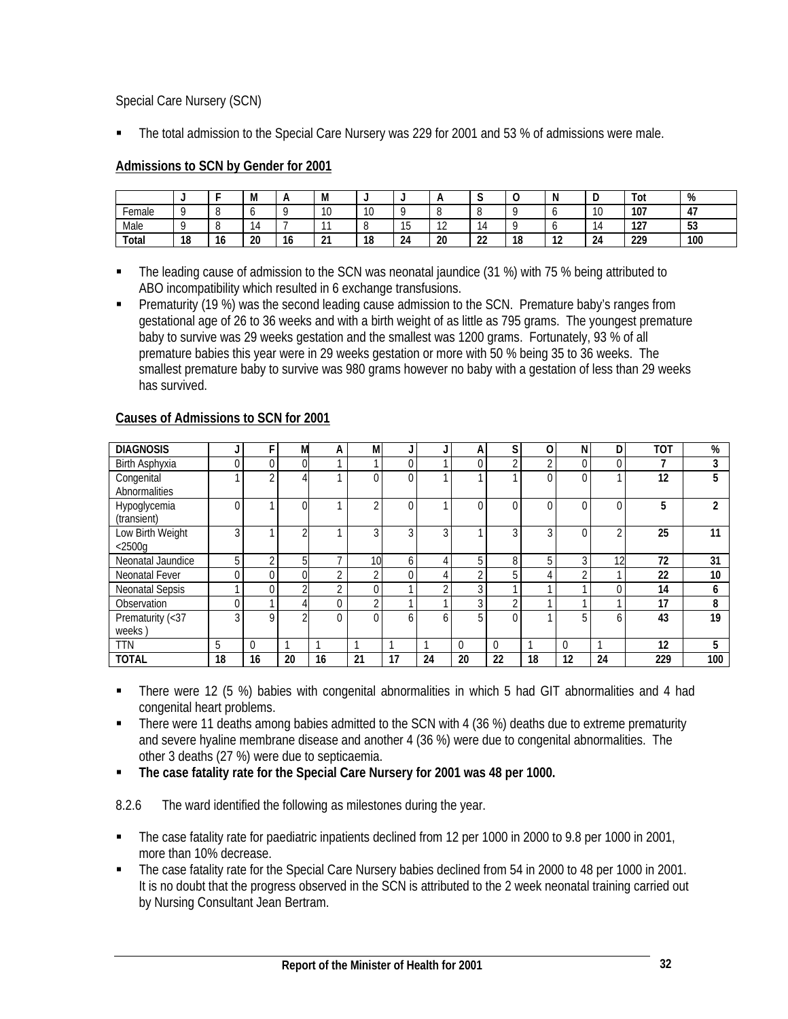Special Care Nursery (SCN)

The total admission to the Special Care Nursery was 229 for 2001 and 53 % of admissions were male.

# **Admissions to SCN by Gender for 2001**

|        | ٠        |                                | M  | $\mathsf{A}$         | M      |           |              |    | ີ            | ╰  |               | ◡              | Tot            | %                    |
|--------|----------|--------------------------------|----|----------------------|--------|-----------|--------------|----|--------------|----|---------------|----------------|----------------|----------------------|
| Female |          |                                |    |                      |        | 10<br>1 U |              |    |              |    |               | 10             | 107            | $\overline{ }$<br>4, |
| Male   |          |                                |    | -                    |        |           | ט ו          | -  | $\mathbf{u}$ |    |               | $\overline{a}$ | $\sim$<br>14 I | 53                   |
| Total  | 10<br>10 | $\overline{\phantom{a}}$<br>١o | 20 | $\overline{ }$<br>16 | $\sim$ | 18        | $\sim$<br>24 | 20 | $\sim$<br>zz | 18 | $\sim$<br>. . | 24             | 229            | 100                  |

- The leading cause of admission to the SCN was neonatal jaundice (31 %) with 75 % being attributed to ABO incompatibility which resulted in 6 exchange transfusions.
- **Prematurity (19 %)** was the second leading cause admission to the SCN. Premature baby's ranges from gestational age of 26 to 36 weeks and with a birth weight of as little as 795 grams. The youngest premature baby to survive was 29 weeks gestation and the smallest was 1200 grams. Fortunately, 93 % of all premature babies this year were in 29 weeks gestation or more with 50 % being 35 to 36 weeks. The smallest premature baby to survive was 980 grams however no baby with a gestation of less than 29 weeks has survived.

| <b>DIAGNOSIS</b>                      |    |                | M        | A        | M              | J              |          | А        | S        | 0              | N.       | D        | <b>TOT</b> | %   |
|---------------------------------------|----|----------------|----------|----------|----------------|----------------|----------|----------|----------|----------------|----------|----------|------------|-----|
| Birth Asphyxia                        | 0  | $\Omega$       | 0        |          |                | 0              |          | $\Omega$ | $\sim$   | $\overline{ }$ |          | $\Omega$ | 7          | 3   |
| Congenital<br>Abnormalities           |    | $\sim$         |          |          | $\Omega$       | $\overline{0}$ | и        |          |          |                |          |          | 12         | 5   |
| Hypoglycemia<br>(transient)           | 0  |                | $\Omega$ |          | C              | 0              |          | ſ        | 0        |                |          | $\Omega$ | 5          | 2   |
| Low Birth Weight<br>$<$ 2500 $\alpha$ | 3  |                | $\Omega$ |          | 3              | 3              | 3        |          | 3        | 3              |          | ◠        | 25         | 11  |
| Neonatal Jaundice                     | 5  | $\overline{ }$ | 5        |          | 10             | 6              | 4        | 5        | 8        | 5              | ົ        | 12       | 72         | 31  |
| Neonatal Fever                        | 0  | 0              | $\Omega$ | $\Omega$ | $\overline{2}$ | 0              | 4        | $\Omega$ | 5        |                |          |          | 22         | 10  |
| <b>Neonatal Sepsis</b>                |    | 0              |          | $\sim$   | $\overline{0}$ | $\overline{ }$ | $\Omega$ | 3        |          |                |          | $\Omega$ | 14         | 6   |
| Observation                           | 0  |                |          | 0        | $\overline{2}$ | $\overline{ }$ | ٠        | 3        | $\sim$   |                |          |          | 17         | 8   |
| Prematurity (<37<br>weeks)            | 3  | 0              | $\sim$   |          | $\Omega$       | 6              | 6        | 5        | $\Omega$ |                |          | h        | 43         | 19  |
| <b>TTN</b>                            | 5  | $\Omega$       |          |          |                |                |          | 0        | $\Omega$ |                | $\Omega$ |          | 12         | 5   |
| <b>TOTAL</b>                          | 18 | 16             | 20       | 16       | 21             | 17             | 24       | 20       | 22       | 18             | 12       | 24       | 229        | 100 |

#### **Causes of Admissions to SCN for 2001**

- There were 12 (5 %) babies with congenital abnormalities in which 5 had GIT abnormalities and 4 had congenital heart problems.
- There were 11 deaths among babies admitted to the SCN with 4 (36 %) deaths due to extreme prematurity and severe hyaline membrane disease and another 4 (36 %) were due to congenital abnormalities. The other 3 deaths (27 %) were due to septicaemia.
- **The case fatality rate for the Special Care Nursery for 2001 was 48 per 1000.**

8.2.6 The ward identified the following as milestones during the year.

- The case fatality rate for paediatric inpatients declined from 12 per 1000 in 2000 to 9.8 per 1000 in 2001, more than 10% decrease.
- The case fatality rate for the Special Care Nursery babies declined from 54 in 2000 to 48 per 1000 in 2001. It is no doubt that the progress observed in the SCN is attributed to the 2 week neonatal training carried out by Nursing Consultant Jean Bertram.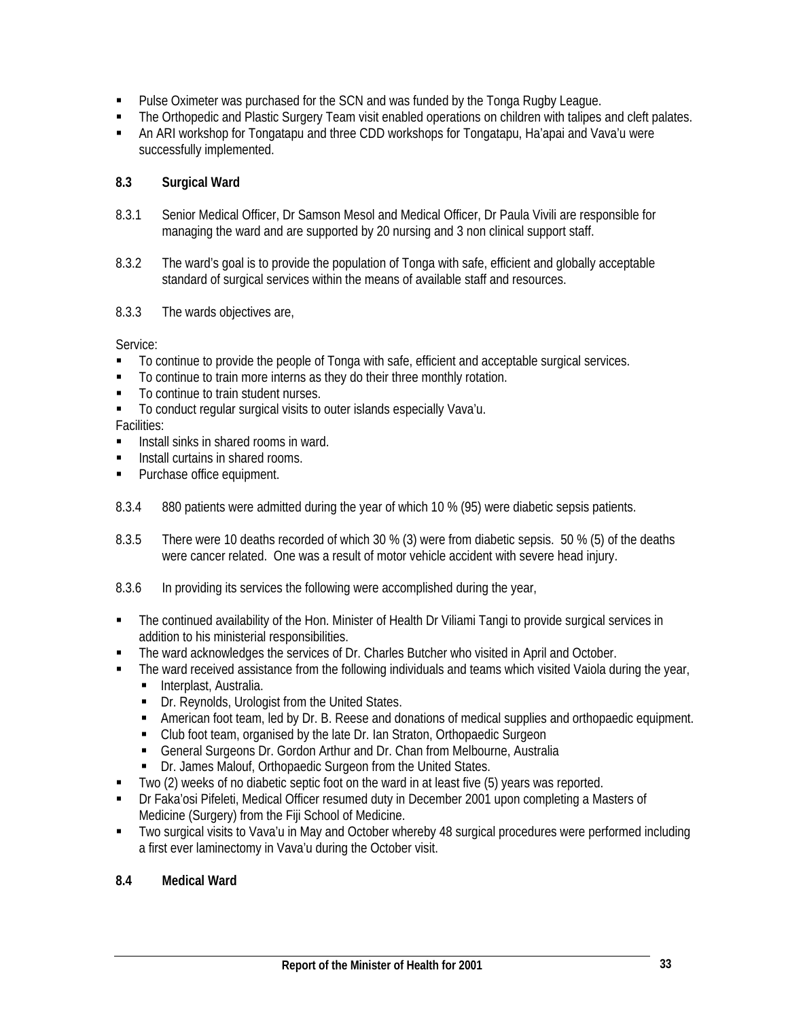- Pulse Oximeter was purchased for the SCN and was funded by the Tonga Rugby League.
- The Orthopedic and Plastic Surgery Team visit enabled operations on children with talipes and cleft palates.
- An ARI workshop for Tongatapu and three CDD workshops for Tongatapu, Ha'apai and Vava'u were successfully implemented.

# **8.3 Surgical Ward**

- 8.3.1 Senior Medical Officer, Dr Samson Mesol and Medical Officer, Dr Paula Vivili are responsible for managing the ward and are supported by 20 nursing and 3 non clinical support staff.
- 8.3.2 The ward's goal is to provide the population of Tonga with safe, efficient and globally acceptable standard of surgical services within the means of available staff and resources.
- 8.3.3 The wards objectives are,

Service:

- To continue to provide the people of Tonga with safe, efficient and acceptable surgical services.
- To continue to train more interns as they do their three monthly rotation.
- To continue to train student nurses.
- To conduct regular surgical visits to outer islands especially Vava'u.

Facilities:

- Install sinks in shared rooms in ward.
- **Install curtains in shared rooms.**
- **Purchase office equipment.**
- 8.3.4 880 patients were admitted during the year of which 10 % (95) were diabetic sepsis patients.
- 8.3.5 There were 10 deaths recorded of which 30 % (3) were from diabetic sepsis. 50 % (5) of the deaths were cancer related. One was a result of motor vehicle accident with severe head injury.
- 8.3.6 In providing its services the following were accomplished during the year,
- The continued availability of the Hon. Minister of Health Dr Viliami Tangi to provide surgical services in addition to his ministerial responsibilities.
- The ward acknowledges the services of Dr. Charles Butcher who visited in April and October.
- The ward received assistance from the following individuals and teams which visited Vaiola during the year,
	- **Interplast, Australia.**
	- Dr. Reynolds, Urologist from the United States.
	- American foot team, led by Dr. B. Reese and donations of medical supplies and orthopaedic equipment.
	- Club foot team, organised by the late Dr. Ian Straton, Orthopaedic Surgeon
	- General Surgeons Dr. Gordon Arthur and Dr. Chan from Melbourne, Australia
	- Dr. James Malouf, Orthopaedic Surgeon from the United States.
- Two (2) weeks of no diabetic septic foot on the ward in at least five (5) years was reported.
- Dr Faka'osi Pifeleti, Medical Officer resumed duty in December 2001 upon completing a Masters of Medicine (Surgery) from the Fiji School of Medicine.
- Two surgical visits to Vava'u in May and October whereby 48 surgical procedures were performed including a first ever laminectomy in Vava'u during the October visit.

# **8.4 Medical Ward**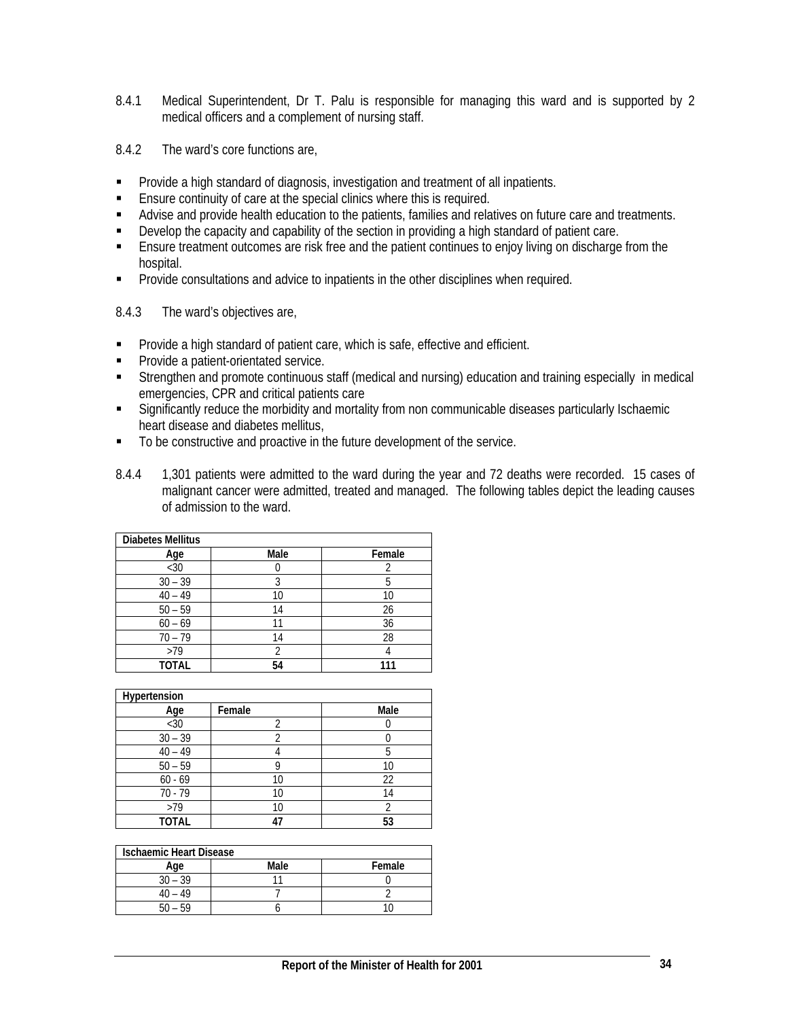- 8.4.1 Medical Superintendent, Dr T. Palu is responsible for managing this ward and is supported by 2 medical officers and a complement of nursing staff.
- 8.4.2 The ward's core functions are,
- **Provide a high standard of diagnosis, investigation and treatment of all inpatients.**
- Ensure continuity of care at the special clinics where this is required.
- Advise and provide health education to the patients, families and relatives on future care and treatments.
- **Develop the capacity and capability of the section in providing a high standard of patient care.**
- Ensure treatment outcomes are risk free and the patient continues to enjoy living on discharge from the hospital.
- **Provide consultations and advice to inpatients in the other disciplines when required.**
- 8.4.3 The ward's objectives are,
- **Provide a high standard of patient care, which is safe, effective and efficient.**
- **Provide a patient-orientated service.**
- Strengthen and promote continuous staff (medical and nursing) education and training especially in medical emergencies, CPR and critical patients care
- Significantly reduce the morbidity and mortality from non communicable diseases particularly Ischaemic heart disease and diabetes mellitus,
- To be constructive and proactive in the future development of the service.
- 8.4.4 1,301 patients were admitted to the ward during the year and 72 deaths were recorded. 15 cases of malignant cancer were admitted, treated and managed. The following tables depict the leading causes of admission to the ward.

| <b>Diabetes Mellitus</b> |      |        |
|--------------------------|------|--------|
| Age                      | Male | Female |
| $30$                     |      |        |
| $30 - 39$                | 3    | 5      |
| $40 - 49$                | 10   | 10     |
| $50 - 59$                | 14   | 26     |
| $60 - 69$                | 11   | 36     |
| $70 - 79$                | 14   | 28     |
| >79                      |      |        |
| <b>TOTAL</b>             | 54   |        |

| Hypertension |        |      |
|--------------|--------|------|
| Age          | Female | Male |
| $<$ 30       |        |      |
| $30 - 39$    |        |      |
| $40 - 49$    |        |      |
| $50 - 59$    | O      | 10   |
| $60 - 69$    | 10     | 22   |
| $70 - 79$    | 10     | 14   |
| >79          | 10     |      |
| <b>TOTAL</b> |        | 53   |

| <b>Ischaemic Heart Disease</b> |      |        |  |  |  |  |  |
|--------------------------------|------|--------|--|--|--|--|--|
| Age                            | Male | Female |  |  |  |  |  |
| $30 - 39$                      |      |        |  |  |  |  |  |
| 40 – 49                        |      |        |  |  |  |  |  |
|                                |      |        |  |  |  |  |  |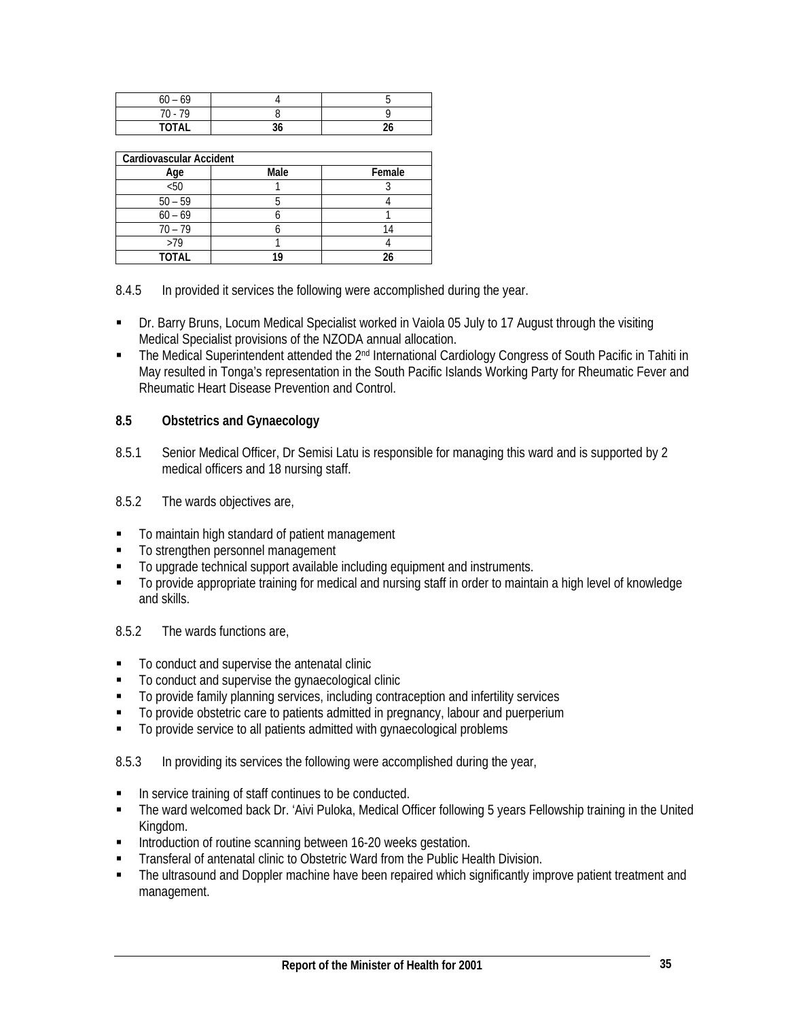| $60 - 69$     |  |
|---------------|--|
| $-70$<br>70 - |  |
| <b>TOTAL</b>  |  |

| Cardiovascular Accident |      |        |
|-------------------------|------|--------|
| Age                     | Male | Female |
| $50$                    |      |        |
| $50 - 59$               |      |        |
| $60 - 69$               |      |        |
| $70 - 79$               |      |        |
| >79                     |      |        |
| <b>TOTAL</b>            |      |        |

8.4.5 In provided it services the following were accomplished during the year.

- Dr. Barry Bruns, Locum Medical Specialist worked in Vaiola 05 July to 17 August through the visiting Medical Specialist provisions of the NZODA annual allocation.
- The Medical Superintendent attended the 2<sup>nd</sup> International Cardiology Congress of South Pacific in Tahiti in May resulted in Tonga's representation in the South Pacific Islands Working Party for Rheumatic Fever and Rheumatic Heart Disease Prevention and Control.

# **8.5 Obstetrics and Gynaecology**

- 8.5.1 Senior Medical Officer, Dr Semisi Latu is responsible for managing this ward and is supported by 2 medical officers and 18 nursing staff.
- 8.5.2 The wards objectives are,
- $\blacksquare$  To maintain high standard of patient management
- $\blacksquare$  To strengthen personnel management
- To upgrade technical support available including equipment and instruments.
- To provide appropriate training for medical and nursing staff in order to maintain a high level of knowledge and skills.

8.5.2 The wards functions are,

- To conduct and supervise the antenatal clinic
- $\blacksquare$  To conduct and supervise the gynaecological clinic
- To provide family planning services, including contraception and infertility services
- To provide obstetric care to patients admitted in pregnancy, labour and puerperium
- $\blacksquare$  To provide service to all patients admitted with gynaecological problems

8.5.3 In providing its services the following were accomplished during the year,

- In service training of staff continues to be conducted.
- The ward welcomed back Dr. 'Aivi Puloka, Medical Officer following 5 years Fellowship training in the United Kingdom.
- **Introduction of routine scanning between 16-20 weeks gestation.**
- **Transferal of antenatal clinic to Obstetric Ward from the Public Health Division.**
- The ultrasound and Doppler machine have been repaired which significantly improve patient treatment and management.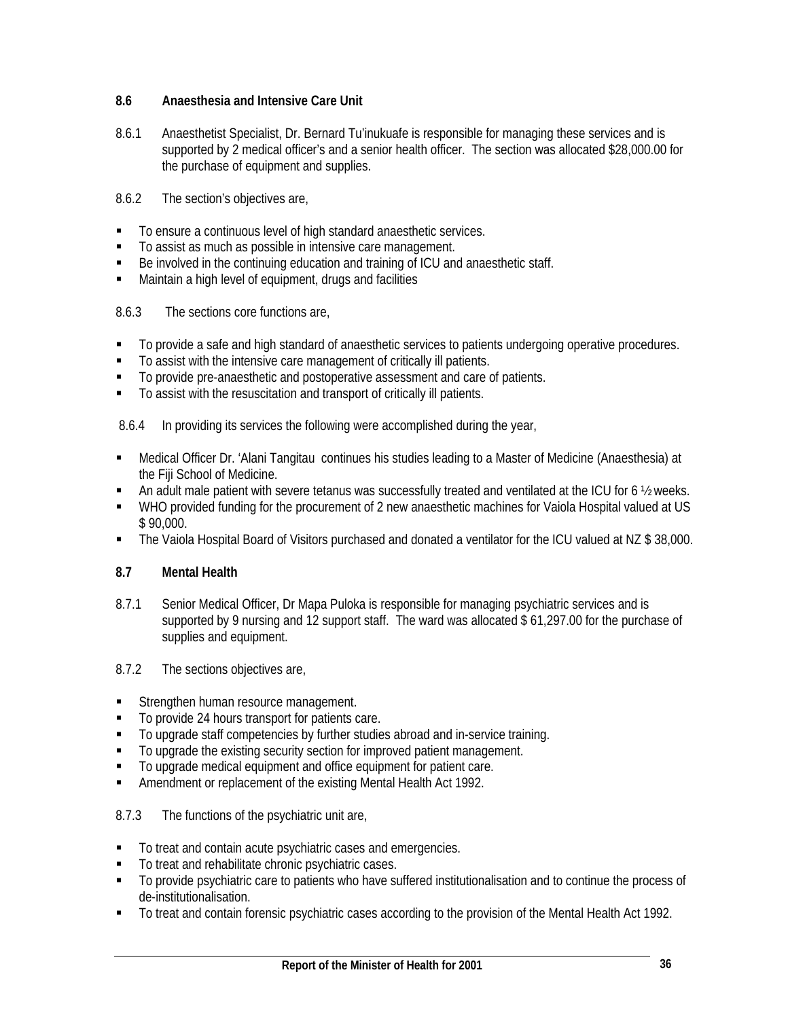# **8.6 Anaesthesia and Intensive Care Unit**

- 8.6.1 Anaesthetist Specialist, Dr. Bernard Tu'inukuafe is responsible for managing these services and is supported by 2 medical officer's and a senior health officer. The section was allocated \$28,000.00 for the purchase of equipment and supplies.
- 8.6.2 The section's objectives are,
- To ensure a continuous level of high standard anaesthetic services.
- To assist as much as possible in intensive care management.
- Be involved in the continuing education and training of ICU and anaesthetic staff.
- **Maintain a high level of equipment, drugs and facilities**

# 8.6.3The sections core functions are,

- To provide a safe and high standard of anaesthetic services to patients undergoing operative procedures.
- To assist with the intensive care management of critically ill patients.
- To provide pre-anaesthetic and postoperative assessment and care of patients.
- To assist with the resuscitation and transport of critically ill patients.

8.6.4 In providing its services the following were accomplished during the year,

- Medical Officer Dr. 'Alani Tangitau continues his studies leading to a Master of Medicine (Anaesthesia) at the Fiji School of Medicine.
- An adult male patient with severe tetanus was successfully treated and ventilated at the ICU for 6 ½ weeks.
- WHO provided funding for the procurement of 2 new anaesthetic machines for Vaiola Hospital valued at US \$ 90,000.
- The Vaiola Hospital Board of Visitors purchased and donated a ventilator for the ICU valued at NZ \$ 38,000.

# **8.7 Mental Health**

- 8.7.1 Senior Medical Officer, Dr Mapa Puloka is responsible for managing psychiatric services and is supported by 9 nursing and 12 support staff. The ward was allocated \$ 61,297.00 for the purchase of supplies and equipment.
- 8.7.2 The sections objectives are,
- Strengthen human resource management.
- To provide 24 hours transport for patients care.
- To upgrade staff competencies by further studies abroad and in-service training.
- $\blacksquare$  To upgrade the existing security section for improved patient management.
- To upgrade medical equipment and office equipment for patient care.
- **Amendment or replacement of the existing Mental Health Act 1992.**

# 8.7.3 The functions of the psychiatric unit are,

- To treat and contain acute psychiatric cases and emergencies.
- $\blacksquare$  To treat and rehabilitate chronic psychiatric cases.
- To provide psychiatric care to patients who have suffered institutionalisation and to continue the process of de-institutionalisation.
- To treat and contain forensic psychiatric cases according to the provision of the Mental Health Act 1992.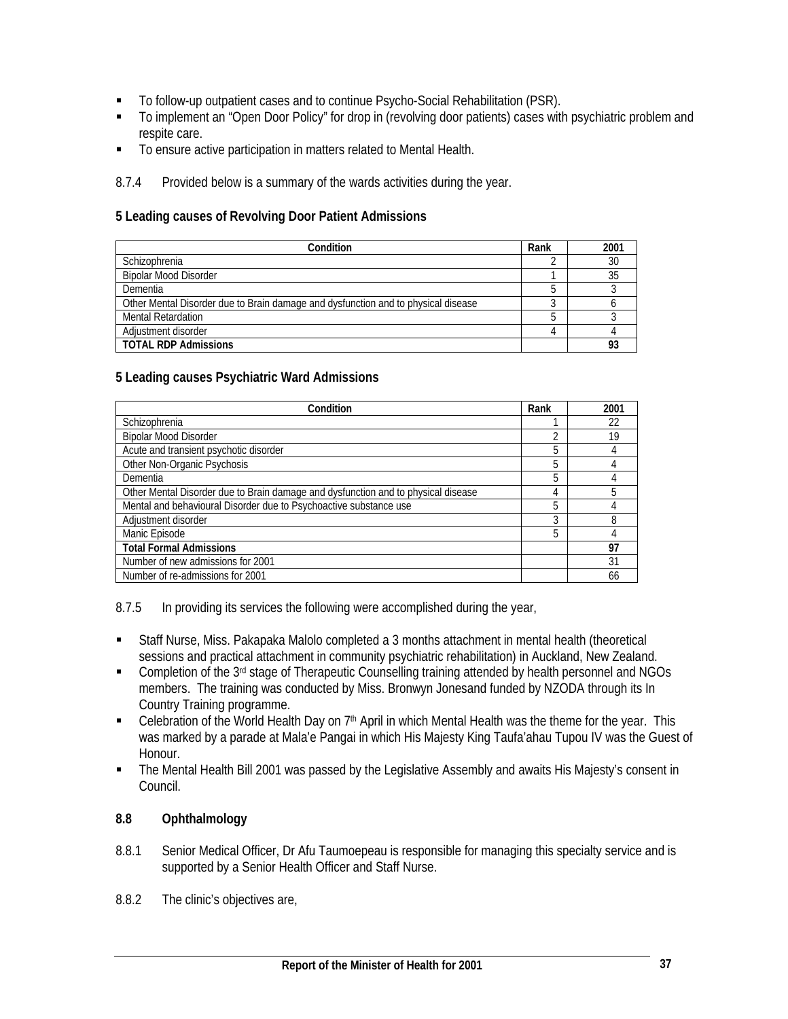- To follow-up outpatient cases and to continue Psycho-Social Rehabilitation (PSR).
- To implement an "Open Door Policy" for drop in (revolving door patients) cases with psychiatric problem and respite care.
- To ensure active participation in matters related to Mental Health.
- 8.7.4 Provided below is a summary of the wards activities during the year.

#### **5 Leading causes of Revolving Door Patient Admissions**

| Condition                                                                         | Rank | 2001 |
|-----------------------------------------------------------------------------------|------|------|
| Schizophrenia                                                                     |      | 30   |
| <b>Bipolar Mood Disorder</b>                                                      |      |      |
| Dementia                                                                          |      |      |
| Other Mental Disorder due to Brain damage and dysfunction and to physical disease |      |      |
| <b>Mental Retardation</b>                                                         |      |      |
| Adiustment disorder                                                               |      |      |
| <b>TOTAL RDP Admissions</b>                                                       |      |      |

#### **5 Leading causes Psychiatric Ward Admissions**

| Condition                                                                         | Rank | 2001 |
|-----------------------------------------------------------------------------------|------|------|
| Schizophrenia                                                                     |      | 22   |
| <b>Bipolar Mood Disorder</b>                                                      |      | 19   |
| Acute and transient psychotic disorder                                            | 5    |      |
| Other Non-Organic Psychosis                                                       | 5    |      |
| Dementia                                                                          | 5    |      |
| Other Mental Disorder due to Brain damage and dysfunction and to physical disease | 4    | 5    |
| Mental and behavioural Disorder due to Psychoactive substance use                 | 5    |      |
| Adjustment disorder                                                               | 3    | 8    |
| Manic Episode                                                                     | 5    |      |
| <b>Total Formal Admissions</b>                                                    |      | 97   |
| Number of new admissions for 2001                                                 |      | 31   |
| Number of re-admissions for 2001                                                  |      | 66   |

8.7.5 In providing its services the following were accomplished during the year,

- Staff Nurse, Miss. Pakapaka Malolo completed a 3 months attachment in mental health (theoretical sessions and practical attachment in community psychiatric rehabilitation) in Auckland, New Zealand.
- Completion of the 3<sup>rd</sup> stage of Therapeutic Counselling training attended by health personnel and NGOs members. The training was conducted by Miss. Bronwyn Jonesand funded by NZODA through its In Country Training programme.
- E Celebration of the World Health Day on  $7<sup>th</sup>$  April in which Mental Health was the theme for the year. This was marked by a parade at Mala'e Pangai in which His Majesty King Taufa'ahau Tupou IV was the Guest of Honour.
- The Mental Health Bill 2001 was passed by the Legislative Assembly and awaits His Majesty's consent in Council.

# **8.8 Ophthalmology**

- 8.8.1 Senior Medical Officer, Dr Afu Taumoepeau is responsible for managing this specialty service and is supported by a Senior Health Officer and Staff Nurse.
- 8.8.2 The clinic's objectives are,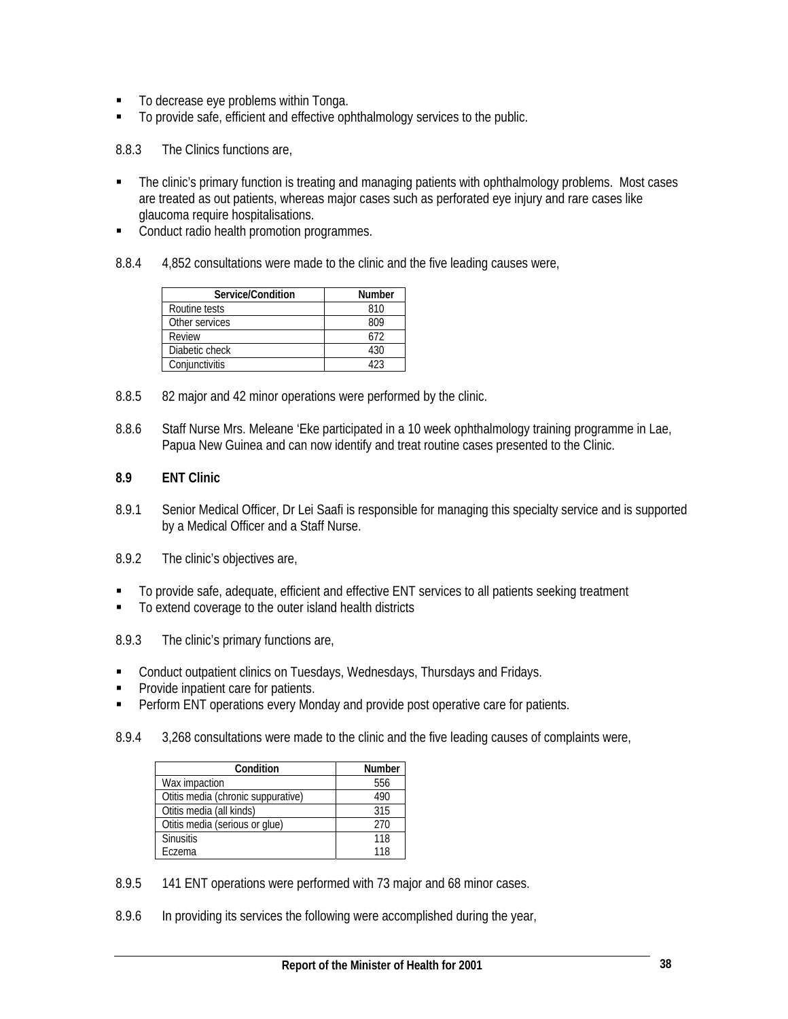- To decrease eye problems within Tonga.
- To provide safe, efficient and effective ophthalmology services to the public.

8.8.3 The Clinics functions are,

- The clinic's primary function is treating and managing patients with ophthalmology problems. Most cases are treated as out patients, whereas major cases such as perforated eye injury and rare cases like glaucoma require hospitalisations.
- Conduct radio health promotion programmes.
- 8.8.4 4,852 consultations were made to the clinic and the five leading causes were,

| Service/Condition | <b>Number</b> |
|-------------------|---------------|
| Routine tests     | 810           |
| Other services    | 809           |
| Review            | 672           |
| Diabetic check    | 430           |
| Conjunctivitis    |               |

- 8.8.5 82 major and 42 minor operations were performed by the clinic.
- 8.8.6 Staff Nurse Mrs. Meleane 'Eke participated in a 10 week ophthalmology training programme in Lae, Papua New Guinea and can now identify and treat routine cases presented to the Clinic.

#### **8.9 ENT Clinic**

- 8.9.1 Senior Medical Officer, Dr Lei Saafi is responsible for managing this specialty service and is supported by a Medical Officer and a Staff Nurse.
- 8.9.2 The clinic's objectives are,
- To provide safe, adequate, efficient and effective ENT services to all patients seeking treatment
- To extend coverage to the outer island health districts
- 8.9.3 The clinic's primary functions are,
- **EXECONDUCT CONDUCT CONDUCTS ON THE EXAM** Conduct outpatient clinics on Tuesdays and Fridays.
- **Provide inpatient care for patients.**
- Perform ENT operations every Monday and provide post operative care for patients.
- 8.9.4 3,268 consultations were made to the clinic and the five leading causes of complaints were,

| Condition                          | <b>Number</b> |
|------------------------------------|---------------|
| Wax impaction                      | 556           |
| Otitis media (chronic suppurative) | 490           |
| Otitis media (all kinds)           | 315           |
| Otitis media (serious or glue)     | 270           |
| <b>Sinusitis</b>                   | 118           |
| Eczema                             | 118           |

- 8.9.5 141 ENT operations were performed with 73 major and 68 minor cases.
- 8.9.6 In providing its services the following were accomplished during the year,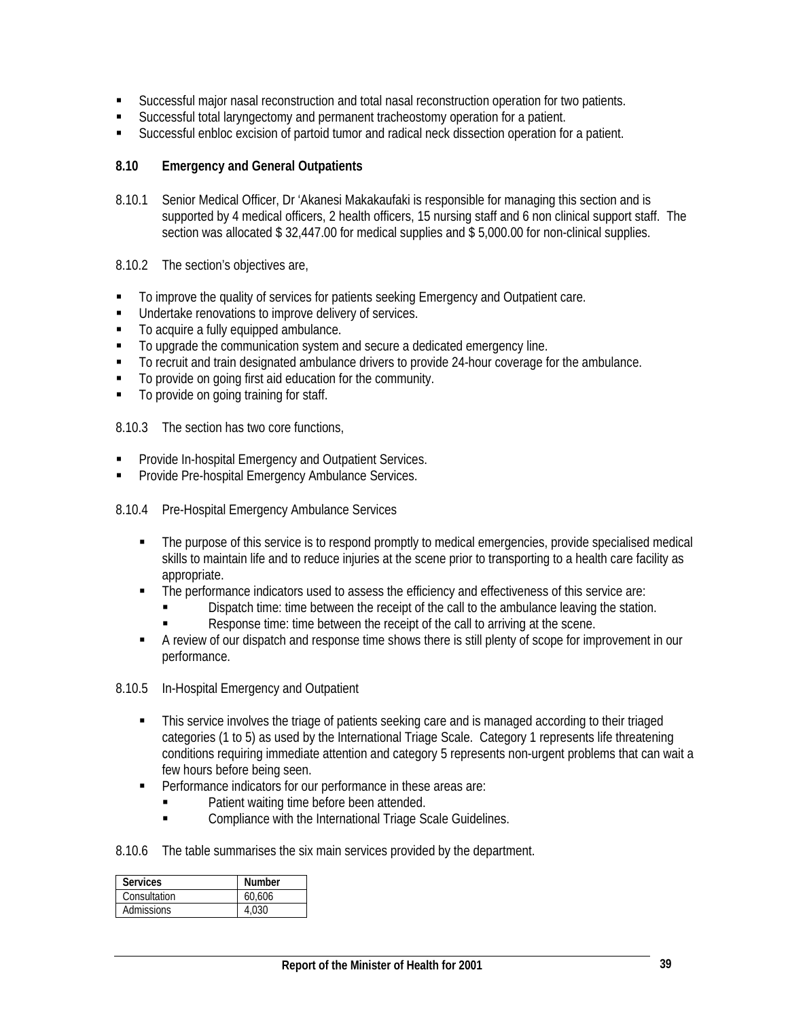- Successful major nasal reconstruction and total nasal reconstruction operation for two patients.
- Successful total laryngectomy and permanent tracheostomy operation for a patient.
- Successful enbloc excision of partoid tumor and radical neck dissection operation for a patient.

# **8.10 Emergency and General Outpatients**

- 8.10.1 Senior Medical Officer, Dr 'Akanesi Makakaufaki is responsible for managing this section and is supported by 4 medical officers, 2 health officers, 15 nursing staff and 6 non clinical support staff. The section was allocated \$ 32,447.00 for medical supplies and \$ 5,000.00 for non-clinical supplies.
- 8.10.2 The section's objectives are,
- To improve the quality of services for patients seeking Emergency and Outpatient care.
- **Undertake renovations to improve delivery of services.**
- To acquire a fully equipped ambulance.
- To upgrade the communication system and secure a dedicated emergency line.
- To recruit and train designated ambulance drivers to provide 24-hour coverage for the ambulance.
- To provide on going first aid education for the community.
- $\blacksquare$  To provide on going training for staff.

8.10.3 The section has two core functions,

- **Provide In-hospital Emergency and Outpatient Services.**
- **Provide Pre-hospital Emergency Ambulance Services.**
- 8.10.4 Pre-Hospital Emergency Ambulance Services
	- The purpose of this service is to respond promptly to medical emergencies, provide specialised medical skills to maintain life and to reduce injuries at the scene prior to transporting to a health care facility as appropriate.
	- The performance indicators used to assess the efficiency and effectiveness of this service are:
		- Dispatch time: time between the receipt of the call to the ambulance leaving the station.
		- Response time: time between the receipt of the call to arriving at the scene.
	- A review of our dispatch and response time shows there is still plenty of scope for improvement in our performance.
- 8.10.5 In-Hospital Emergency and Outpatient
	- This service involves the triage of patients seeking care and is managed according to their triaged categories (1 to 5) as used by the International Triage Scale. Category 1 represents life threatening conditions requiring immediate attention and category 5 represents non-urgent problems that can wait a few hours before being seen.
	- **Performance indicators for our performance in these areas are:** 
		- Patient waiting time before been attended.
		- Compliance with the International Triage Scale Guidelines.
- 8.10.6 The table summarises the six main services provided by the department.

| <b>Services</b>   | <b>Number</b> |
|-------------------|---------------|
| Consultation      | 60.606        |
| <b>Admissions</b> | . റദറ         |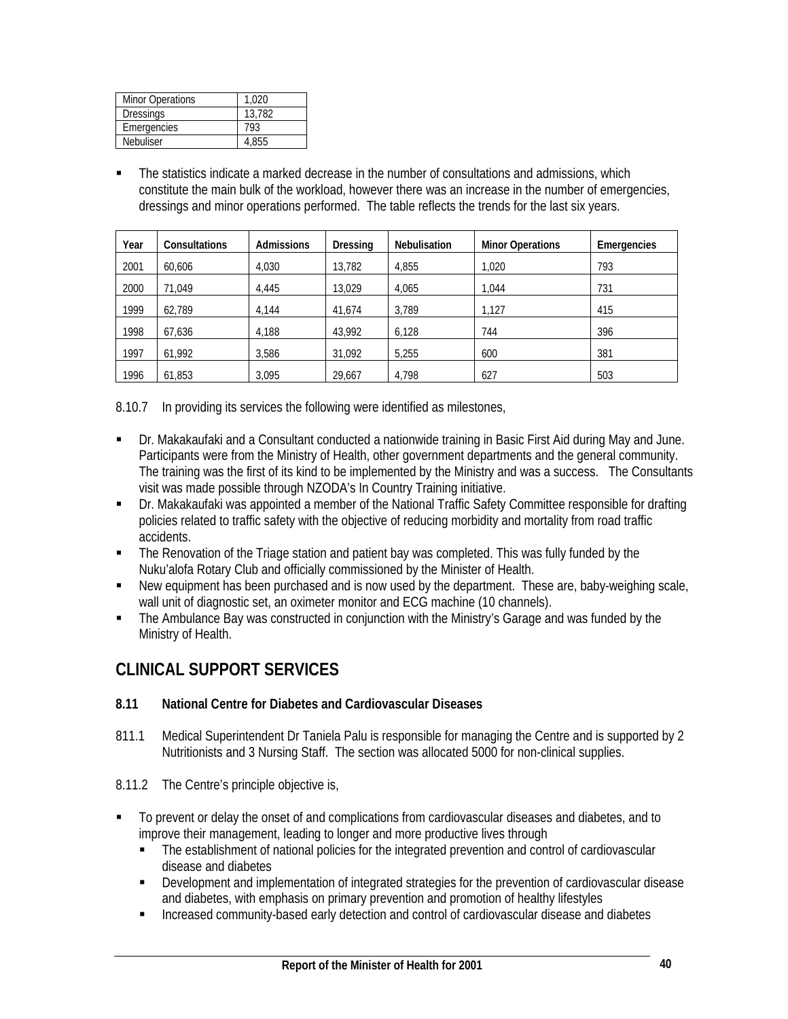| <b>Minor Operations</b> | 1.020  |
|-------------------------|--------|
| <b>Dressings</b>        | 13.782 |
| Emergencies             | 793    |
| Nebuliser               | 4.855  |

 The statistics indicate a marked decrease in the number of consultations and admissions, which constitute the main bulk of the workload, however there was an increase in the number of emergencies, dressings and minor operations performed. The table reflects the trends for the last six years.

| Year | <b>Consultations</b> | <b>Admissions</b> | Dressing | <b>Nebulisation</b> | <b>Minor Operations</b> | Emergencies |
|------|----------------------|-------------------|----------|---------------------|-------------------------|-------------|
| 2001 | 60.606               | 4.030             | 13.782   | 4.855               | 1.020                   | 793         |
| 2000 | 71.049               | 4.445             | 13.029   | 4.065               | 1.044                   | 731         |
| 1999 | 62.789               | 4.144             | 41.674   | 3.789               | 1,127                   | 415         |
| 1998 | 67.636               | 4.188             | 43,992   | 6,128               | 744                     | 396         |
| 1997 | 61.992               | 3.586             | 31.092   | 5.255               | 600                     | 381         |
| 1996 | 61.853               | 3,095             | 29,667   | 4.798               | 627                     | 503         |

8.10.7 In providing its services the following were identified as milestones,

- Dr. Makakaufaki and a Consultant conducted a nationwide training in Basic First Aid during May and June. Participants were from the Ministry of Health, other government departments and the general community. The training was the first of its kind to be implemented by the Ministry and was a success. The Consultants visit was made possible through NZODA's In Country Training initiative.
- Dr. Makakaufaki was appointed a member of the National Traffic Safety Committee responsible for drafting policies related to traffic safety with the objective of reducing morbidity and mortality from road traffic accidents.
- The Renovation of the Triage station and patient bay was completed. This was fully funded by the Nuku'alofa Rotary Club and officially commissioned by the Minister of Health.
- New equipment has been purchased and is now used by the department. These are, baby-weighing scale, wall unit of diagnostic set, an oximeter monitor and ECG machine (10 channels).
- The Ambulance Bay was constructed in conjunction with the Ministry's Garage and was funded by the Ministry of Health.

# **CLINICAL SUPPORT SERVICES**

# **8.11 National Centre for Diabetes and Cardiovascular Diseases**

- 811.1 Medical Superintendent Dr Taniela Palu is responsible for managing the Centre and is supported by 2 Nutritionists and 3 Nursing Staff. The section was allocated 5000 for non-clinical supplies.
- 8.11.2 The Centre's principle objective is,
- To prevent or delay the onset of and complications from cardiovascular diseases and diabetes, and to improve their management, leading to longer and more productive lives through
	- The establishment of national policies for the integrated prevention and control of cardiovascular disease and diabetes
	- Development and implementation of integrated strategies for the prevention of cardiovascular disease and diabetes, with emphasis on primary prevention and promotion of healthy lifestyles
	- **Increased community-based early detection and control of cardiovascular disease and diabetes**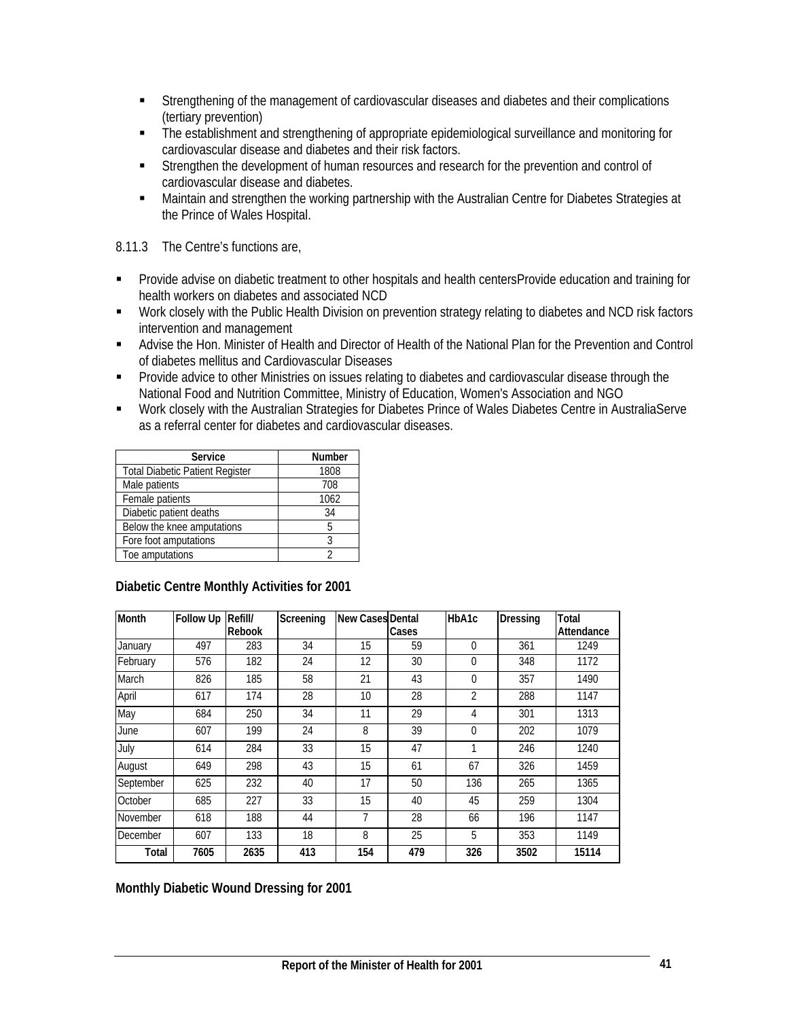- Strengthening of the management of cardiovascular diseases and diabetes and their complications (tertiary prevention)
- The establishment and strengthening of appropriate epidemiological surveillance and monitoring for cardiovascular disease and diabetes and their risk factors.
- **Strengthen the development of human resources and research for the prevention and control of** cardiovascular disease and diabetes.
- Maintain and strengthen the working partnership with the Australian Centre for Diabetes Strategies at the Prince of Wales Hospital.

8.11.3 The Centre's functions are,

- Provide advise on diabetic treatment to other hospitals and health centersProvide education and training for health workers on diabetes and associated NCD
- Work closely with the Public Health Division on prevention strategy relating to diabetes and NCD risk factors intervention and management
- Advise the Hon. Minister of Health and Director of Health of the National Plan for the Prevention and Control of diabetes mellitus and Cardiovascular Diseases
- **Provide advice to other Ministries on issues relating to diabetes and cardiovascular disease through the** National Food and Nutrition Committee, Ministry of Education, Women's Association and NGO
- Work closely with the Australian Strategies for Diabetes Prince of Wales Diabetes Centre in AustraliaServe as a referral center for diabetes and cardiovascular diseases.

| Service                                | <b>Number</b> |
|----------------------------------------|---------------|
| <b>Total Diabetic Patient Register</b> | 1808          |
| Male patients                          | 708           |
| Female patients                        | 1062          |
| Diabetic patient deaths                | 34            |
| Below the knee amputations             | 5             |
| Fore foot amputations                  | Ç             |
| Toe amputations                        |               |

| Month     | <b>Follow Up</b> | Refill/       | Screening | <b>New Cases Dental</b> |       | HbA1c    | <b>Dressing</b> | Total      |
|-----------|------------------|---------------|-----------|-------------------------|-------|----------|-----------------|------------|
|           |                  | <b>Rebook</b> |           |                         | Cases |          |                 | Attendance |
| January   | 497              | 283           | 34        | 15                      | 59    | $\Omega$ | 361             | 1249       |
| February  | 576              | 182           | 24        | 12                      | 30    | $\Omega$ | 348             | 1172       |
| March     | 826              | 185           | 58        | 21                      | 43    | 0        | 357             | 1490       |
| April     | 617              | 174           | 28        | 10                      | 28    | 2        | 288             | 1147       |
| May       | 684              | 250           | 34        | 11                      | 29    | 4        | 301             | 1313       |
| June      | 607              | 199           | 24        | 8                       | 39    | $\theta$ | 202             | 1079       |
| July      | 614              | 284           | 33        | 15                      | 47    | 1        | 246             | 1240       |
| August    | 649              | 298           | 43        | 15                      | 61    | 67       | 326             | 1459       |
| September | 625              | 232           | 40        | 17                      | 50    | 136      | 265             | 1365       |
| October   | 685              | 227           | 33        | 15                      | 40    | 45       | 259             | 1304       |
| November  | 618              | 188           | 44        | 7                       | 28    | 66       | 196             | 1147       |
| December  | 607              | 133           | 18        | 8                       | 25    | 5        | 353             | 1149       |
| Total     | 7605             | 2635          | 413       | 154                     | 479   | 326      | 3502            | 15114      |

**Diabetic Centre Monthly Activities for 2001** 

**Monthly Diabetic Wound Dressing for 2001**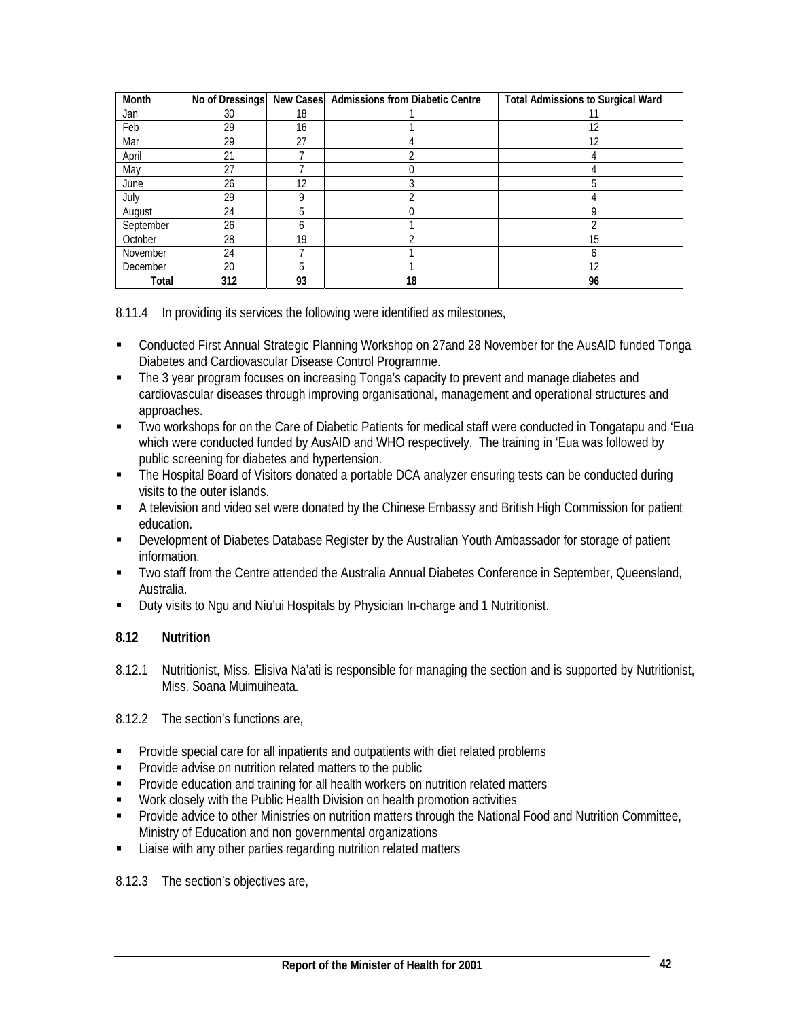| Month     | No of Dressings | <b>New Cases</b> | <b>Admissions from Diabetic Centre</b> | <b>Total Admissions to Surgical Ward</b> |
|-----------|-----------------|------------------|----------------------------------------|------------------------------------------|
| Jan       | 30              | 18               |                                        |                                          |
| Feb       | 29              | 16               |                                        | 12                                       |
| Mar       | 29              | 27               |                                        | 12                                       |
| April     | 21              |                  |                                        |                                          |
| May       | 27              |                  |                                        |                                          |
| June      | 26              | 12               |                                        |                                          |
| July      | 29              | 9                |                                        |                                          |
| August    | 24              | 5                |                                        |                                          |
| September | 26              | 6                |                                        |                                          |
| October   | 28              | 19               |                                        | 15                                       |
| November  | 24              |                  |                                        | n                                        |
| December  | 20              | 5                |                                        | 12                                       |
| Total     | 312             | 93               | 18                                     | 96                                       |

8.11.4 In providing its services the following were identified as milestones,

- Conducted First Annual Strategic Planning Workshop on 27and 28 November for the AusAID funded Tonga Diabetes and Cardiovascular Disease Control Programme.
- The 3 year program focuses on increasing Tonga's capacity to prevent and manage diabetes and cardiovascular diseases through improving organisational, management and operational structures and approaches.
- Two workshops for on the Care of Diabetic Patients for medical staff were conducted in Tongatapu and 'Eua which were conducted funded by AusAID and WHO respectively. The training in 'Eua was followed by public screening for diabetes and hypertension.
- The Hospital Board of Visitors donated a portable DCA analyzer ensuring tests can be conducted during visits to the outer islands.
- A television and video set were donated by the Chinese Embassy and British High Commission for patient education.
- **Development of Diabetes Database Register by the Australian Youth Ambassador for storage of patient** information.
- Two staff from the Centre attended the Australia Annual Diabetes Conference in September, Queensland, Australia.
- Duty visits to Ngu and Niu'ui Hospitals by Physician In-charge and 1 Nutritionist.

# **8.12 Nutrition**

8.12.1 Nutritionist, Miss. Elisiva Na'ati is responsible for managing the section and is supported by Nutritionist, Miss. Soana Muimuiheata.

8.12.2 The section's functions are,

- **Provide special care for all inpatients and outpatients with diet related problems**
- **Provide advise on nutrition related matters to the public**
- **Provide education and training for all health workers on nutrition related matters**
- **Work closely with the Public Health Division on health promotion activities**
- Provide advice to other Ministries on nutrition matters through the National Food and Nutrition Committee, Ministry of Education and non governmental organizations
- **EXECUTE:** Liaise with any other parties regarding nutrition related matters

8.12.3 The section's objectives are,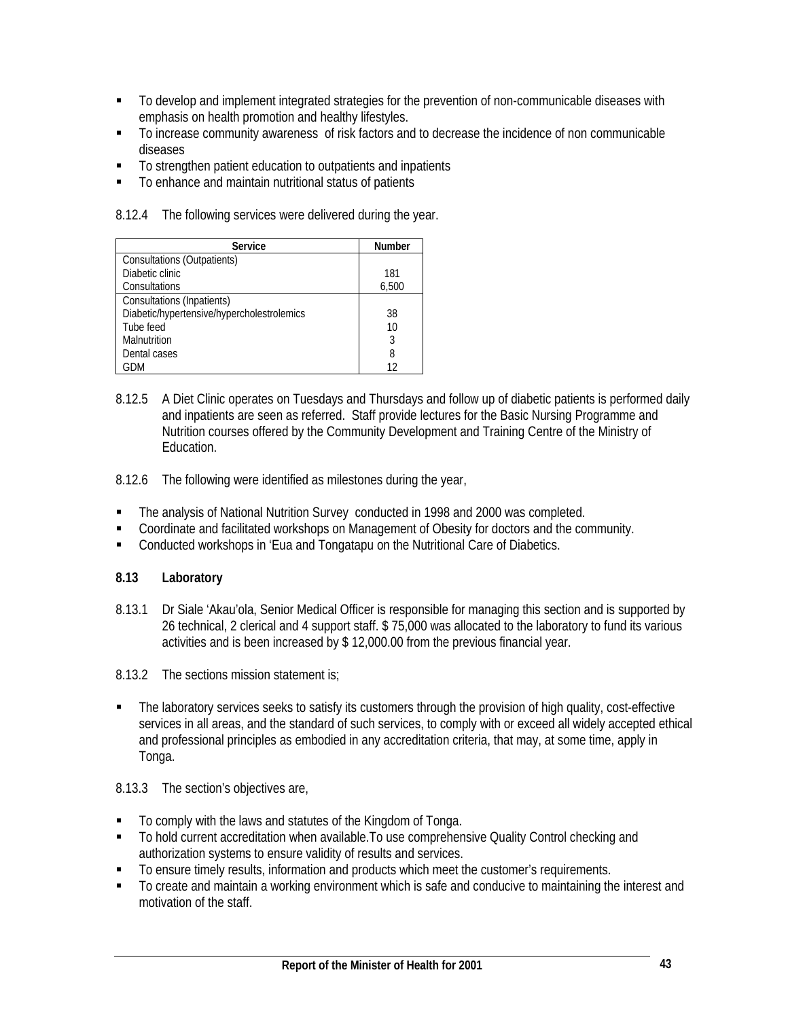- To develop and implement integrated strategies for the prevention of non-communicable diseases with emphasis on health promotion and healthy lifestyles.
- To increase community awareness of risk factors and to decrease the incidence of non communicable diseases
- To strengthen patient education to outpatients and inpatients
- To enhance and maintain nutritional status of patients

8.12.4 The following services were delivered during the year.

| Service                                    | <b>Number</b> |
|--------------------------------------------|---------------|
| Consultations (Outpatients)                |               |
| Diabetic clinic                            | 181           |
| Consultations                              | 6,500         |
| Consultations (Inpatients)                 |               |
| Diabetic/hypertensive/hypercholestrolemics | 38            |
| Tube feed                                  | 10            |
| Malnutrition                               | 3             |
| Dental cases                               | 8             |
| GDM                                        | 12            |

- 8.12.5 A Diet Clinic operates on Tuesdays and Thursdays and follow up of diabetic patients is performed daily and inpatients are seen as referred. Staff provide lectures for the Basic Nursing Programme and Nutrition courses offered by the Community Development and Training Centre of the Ministry of Education.
- 8.12.6 The following were identified as milestones during the year,
- The analysis of National Nutrition Survey conducted in 1998 and 2000 was completed.
- Coordinate and facilitated workshops on Management of Obesity for doctors and the community.
- Conducted workshops in 'Eua and Tongatapu on the Nutritional Care of Diabetics.

# **8.13 Laboratory**

8.13.1 Dr Siale 'Akau'ola, Senior Medical Officer is responsible for managing this section and is supported by 26 technical, 2 clerical and 4 support staff. \$ 75,000 was allocated to the laboratory to fund its various activities and is been increased by \$ 12,000.00 from the previous financial year.

8.13.2 The sections mission statement is;

• The laboratory services seeks to satisfy its customers through the provision of high quality, cost-effective services in all areas, and the standard of such services, to comply with or exceed all widely accepted ethical and professional principles as embodied in any accreditation criteria, that may, at some time, apply in Tonga.

# 8.13.3 The section's objectives are,

- To comply with the laws and statutes of the Kingdom of Tonga.
- To hold current accreditation when available. To use comprehensive Quality Control checking and authorization systems to ensure validity of results and services.
- To ensure timely results, information and products which meet the customer's requirements.
- To create and maintain a working environment which is safe and conducive to maintaining the interest and motivation of the staff.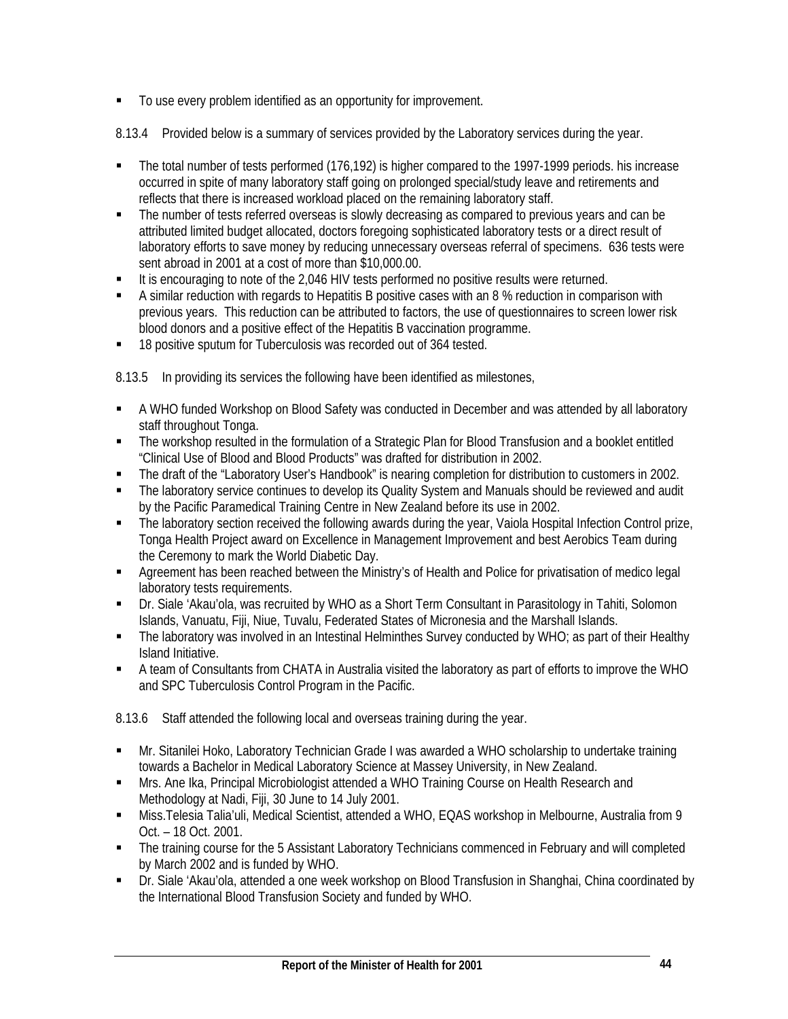$\blacksquare$  To use every problem identified as an opportunity for improvement.

8.13.4 Provided below is a summary of services provided by the Laboratory services during the year.

- The total number of tests performed (176,192) is higher compared to the 1997-1999 periods. his increase occurred in spite of many laboratory staff going on prolonged special/study leave and retirements and reflects that there is increased workload placed on the remaining laboratory staff.
- The number of tests referred overseas is slowly decreasing as compared to previous years and can be attributed limited budget allocated, doctors foregoing sophisticated laboratory tests or a direct result of laboratory efforts to save money by reducing unnecessary overseas referral of specimens. 636 tests were sent abroad in 2001 at a cost of more than \$10,000.00.
- It is encouraging to note of the 2,046 HIV tests performed no positive results were returned.
- A similar reduction with regards to Hepatitis B positive cases with an 8 % reduction in comparison with previous years. This reduction can be attributed to factors, the use of questionnaires to screen lower risk blood donors and a positive effect of the Hepatitis B vaccination programme.
- 18 positive sputum for Tuberculosis was recorded out of 364 tested.

8.13.5 In providing its services the following have been identified as milestones,

- A WHO funded Workshop on Blood Safety was conducted in December and was attended by all laboratory staff throughout Tonga.
- The workshop resulted in the formulation of a Strategic Plan for Blood Transfusion and a booklet entitled "Clinical Use of Blood and Blood Products" was drafted for distribution in 2002.
- The draft of the "Laboratory User's Handbook" is nearing completion for distribution to customers in 2002.
- The laboratory service continues to develop its Quality System and Manuals should be reviewed and audit by the Pacific Paramedical Training Centre in New Zealand before its use in 2002.
- The laboratory section received the following awards during the year, Vaiola Hospital Infection Control prize, Tonga Health Project award on Excellence in Management Improvement and best Aerobics Team during the Ceremony to mark the World Diabetic Day.
- **Agreement has been reached between the Ministry's of Health and Police for privatisation of medico legal** laboratory tests requirements.
- Dr. Siale 'Akau'ola, was recruited by WHO as a Short Term Consultant in Parasitology in Tahiti, Solomon Islands, Vanuatu, Fiji, Niue, Tuvalu, Federated States of Micronesia and the Marshall Islands.
- The laboratory was involved in an Intestinal Helminthes Survey conducted by WHO; as part of their Healthy Island Initiative.
- A team of Consultants from CHATA in Australia visited the laboratory as part of efforts to improve the WHO and SPC Tuberculosis Control Program in the Pacific.

8.13.6 Staff attended the following local and overseas training during the year.

- Mr. Sitanilei Hoko, Laboratory Technician Grade I was awarded a WHO scholarship to undertake training towards a Bachelor in Medical Laboratory Science at Massey University, in New Zealand.
- **Mrs. Ane Ika, Principal Microbiologist attended a WHO Training Course on Health Research and** Methodology at Nadi, Fiji, 30 June to 14 July 2001.
- Miss.Telesia Talia'uli, Medical Scientist, attended a WHO, EQAS workshop in Melbourne, Australia from 9 Oct. – 18 Oct. 2001.
- The training course for the 5 Assistant Laboratory Technicians commenced in February and will completed by March 2002 and is funded by WHO.
- Dr. Siale 'Akau'ola, attended a one week workshop on Blood Transfusion in Shanghai, China coordinated by the International Blood Transfusion Society and funded by WHO.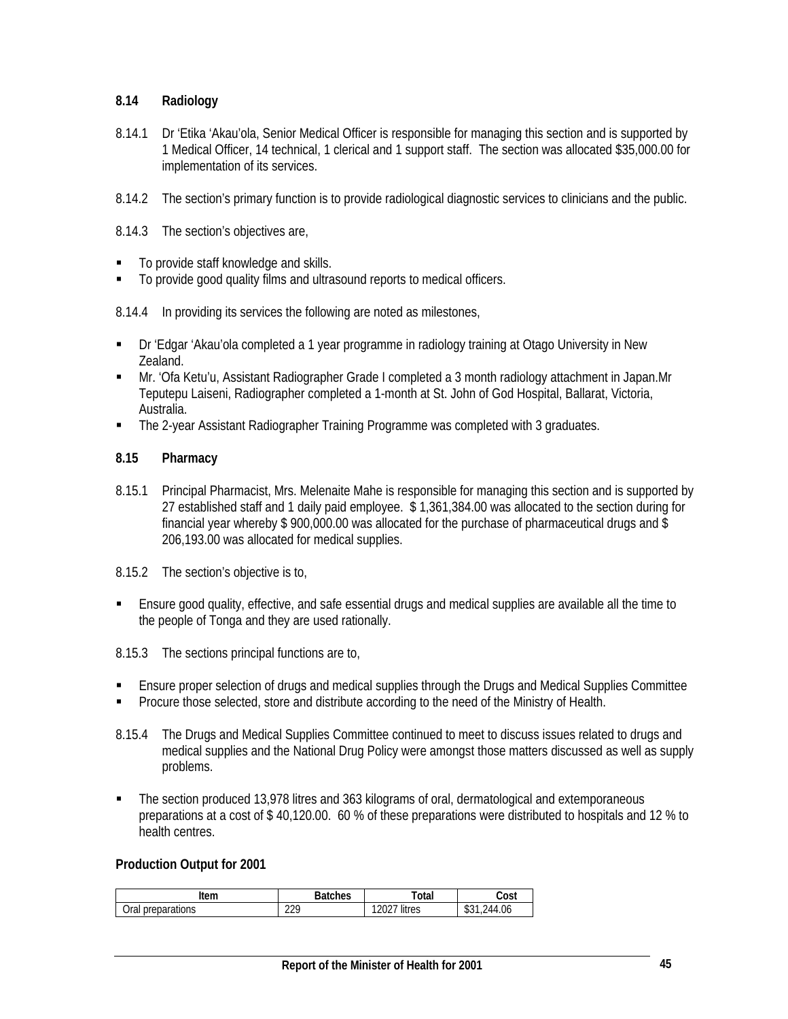# **8.14 Radiology**

- 8.14.1 Dr 'Etika 'Akau'ola, Senior Medical Officer is responsible for managing this section and is supported by 1 Medical Officer, 14 technical, 1 clerical and 1 support staff. The section was allocated \$35,000.00 for implementation of its services.
- 8.14.2 The section's primary function is to provide radiological diagnostic services to clinicians and the public.
- 8.14.3 The section's objectives are,
- To provide staff knowledge and skills.
- $\blacksquare$  To provide good quality films and ultrasound reports to medical officers.
- 8.14.4 In providing its services the following are noted as milestones,
- Dr 'Edgar 'Akau'ola completed a 1 year programme in radiology training at Otago University in New Zealand.
- Mr. 'Ofa Ketu'u, Assistant Radiographer Grade I completed a 3 month radiology attachment in Japan.Mr Teputepu Laiseni, Radiographer completed a 1-month at St. John of God Hospital, Ballarat, Victoria, Australia.
- The 2-year Assistant Radiographer Training Programme was completed with 3 graduates.

#### **8.15 Pharmacy**

- 8.15.1 Principal Pharmacist, Mrs. Melenaite Mahe is responsible for managing this section and is supported by 27 established staff and 1 daily paid employee. \$ 1,361,384.00 was allocated to the section during for financial year whereby \$ 900,000.00 was allocated for the purchase of pharmaceutical drugs and \$ 206,193.00 was allocated for medical supplies.
- 8.15.2 The section's objective is to,
- Ensure good quality, effective, and safe essential drugs and medical supplies are available all the time to the people of Tonga and they are used rationally.
- 8.15.3 The sections principal functions are to,
- Ensure proper selection of drugs and medical supplies through the Drugs and Medical Supplies Committee
- **Procure those selected, store and distribute according to the need of the Ministry of Health.**
- 8.15.4 The Drugs and Medical Supplies Committee continued to meet to discuss issues related to drugs and medical supplies and the National Drug Policy were amongst those matters discussed as well as supply problems.
- The section produced 13,978 litres and 363 kilograms of oral, dermatological and extemporaneous preparations at a cost of \$ 40,120.00. 60 % of these preparations were distributed to hospitals and 12 % to health centres.

#### **Production Output for 2001**

| tem                                  | ਾ <sub>ੀ</sub> ches | Total       | Cost               |
|--------------------------------------|---------------------|-------------|--------------------|
| ١r٤<br>rations<br>prepar<br>aı<br>J. | ววด<br>، ے ے        | litres<br>ັ | 244.06<br>.מ.<br>ັ |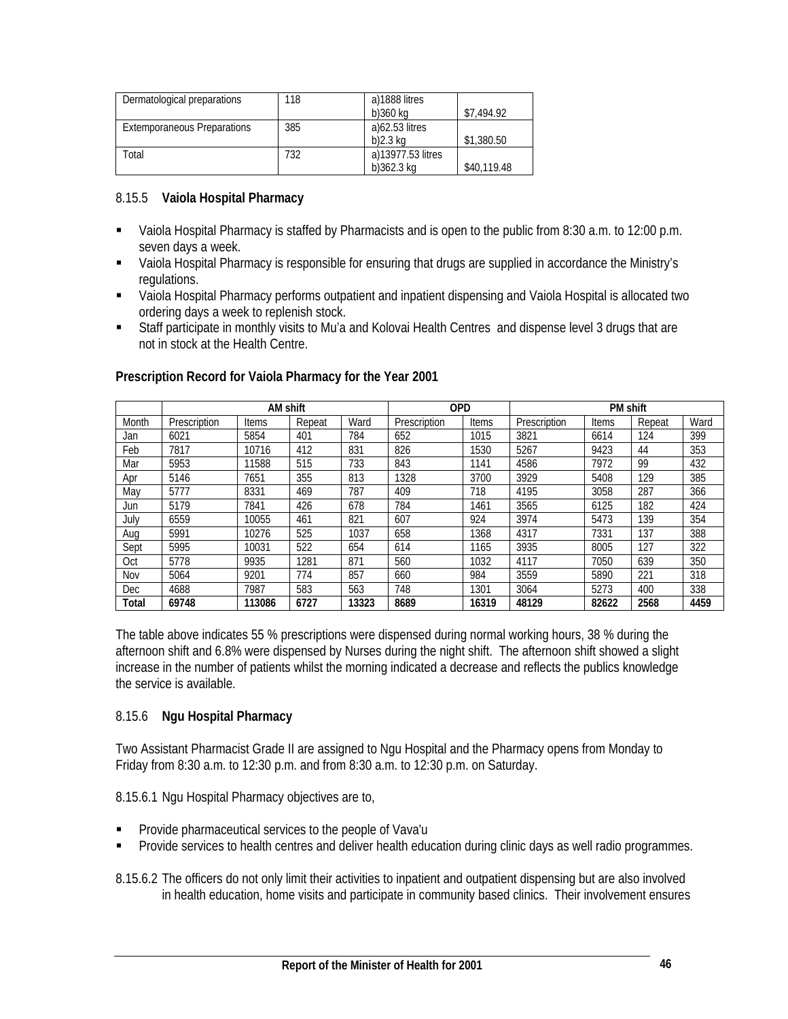| Dermatological preparations | 118 | a)1888 litres     |             |
|-----------------------------|-----|-------------------|-------------|
|                             |     | b)360 ka          | \$7,494.92  |
| Extemporaneous Preparations | 385 | a)62.53 litres    |             |
|                             |     | b)2.3 ka          | \$1,380.50  |
| Total                       | 732 | a)13977.53 litres |             |
|                             |     | $b$ )362.3 kg     | \$40,119.48 |

# 8.15.5 **Vaiola Hospital Pharmacy**

- Vaiola Hospital Pharmacy is staffed by Pharmacists and is open to the public from 8:30 a.m. to 12:00 p.m. seven days a week.
- Vaiola Hospital Pharmacy is responsible for ensuring that drugs are supplied in accordance the Ministry's regulations.
- Vaiola Hospital Pharmacy performs outpatient and inpatient dispensing and Vaiola Hospital is allocated two ordering days a week to replenish stock.
- Staff participate in monthly visits to Mu'a and Kolovai Health Centres and dispense level 3 drugs that are not in stock at the Health Centre.

|            |              | <b>AM shift</b> |        |       | <b>OPD</b>   |       |              | <b>PM shift</b> |        |      |
|------------|--------------|-----------------|--------|-------|--------------|-------|--------------|-----------------|--------|------|
| Month      | Prescription | Items           | Repeat | Ward  | Prescription | Items | Prescription | Items           | Repeat | Ward |
| Jan        | 6021         | 5854            | 401    | 784   | 652          | 1015  | 3821         | 6614            | 124    | 399  |
| Feb        | 7817         | 10716           | 412    | 831   | 826          | 1530  | 5267         | 9423            | 44     | 353  |
| Mar        | 5953         | 11588           | 515    | 733   | 843          | 1141  | 4586         | 7972            | 99     | 432  |
| Apr        | 5146         | 7651            | 355    | 813   | 1328         | 3700  | 3929         | 5408            | 129    | 385  |
| May        | 5777         | 8331            | 469    | 787   | 409          | 718   | 4195         | 3058            | 287    | 366  |
| Jun        | 5179         | 7841            | 426    | 678   | 784          | 1461  | 3565         | 6125            | 182    | 424  |
| July       | 6559         | 10055           | 461    | 821   | 607          | 924   | 3974         | 5473            | 139    | 354  |
| Aug        | 5991         | 10276           | 525    | 1037  | 658          | 1368  | 4317         | 7331            | 137    | 388  |
| Sept       | 5995         | 10031           | 522    | 654   | 614          | 1165  | 3935         | 8005            | 127    | 322  |
| Oct        | 5778         | 9935            | 1281   | 871   | 560          | 1032  | 4117         | 7050            | 639    | 350  |
| Nov        | 5064         | 9201            | 774    | 857   | 660          | 984   | 3559         | 5890            | 221    | 318  |
| <b>Dec</b> | 4688         | 7987            | 583    | 563   | 748          | 1301  | 3064         | 5273            | 400    | 338  |
| Total      | 69748        | 113086          | 6727   | 13323 | 8689         | 16319 | 48129        | 82622           | 2568   | 4459 |

#### **Prescription Record for Vaiola Pharmacy for the Year 2001**

The table above indicates 55 % prescriptions were dispensed during normal working hours, 38 % during the afternoon shift and 6.8% were dispensed by Nurses during the night shift. The afternoon shift showed a slight increase in the number of patients whilst the morning indicated a decrease and reflects the publics knowledge the service is available.

# 8.15.6 **Ngu Hospital Pharmacy**

Two Assistant Pharmacist Grade II are assigned to Ngu Hospital and the Pharmacy opens from Monday to Friday from 8:30 a.m. to 12:30 p.m. and from 8:30 a.m. to 12:30 p.m. on Saturday.

8.15.6.1 Ngu Hospital Pharmacy objectives are to,

- Provide pharmaceutical services to the people of Vava'u
- Provide services to health centres and deliver health education during clinic days as well radio programmes.

8.15.6.2 The officers do not only limit their activities to inpatient and outpatient dispensing but are also involved in health education, home visits and participate in community based clinics. Their involvement ensures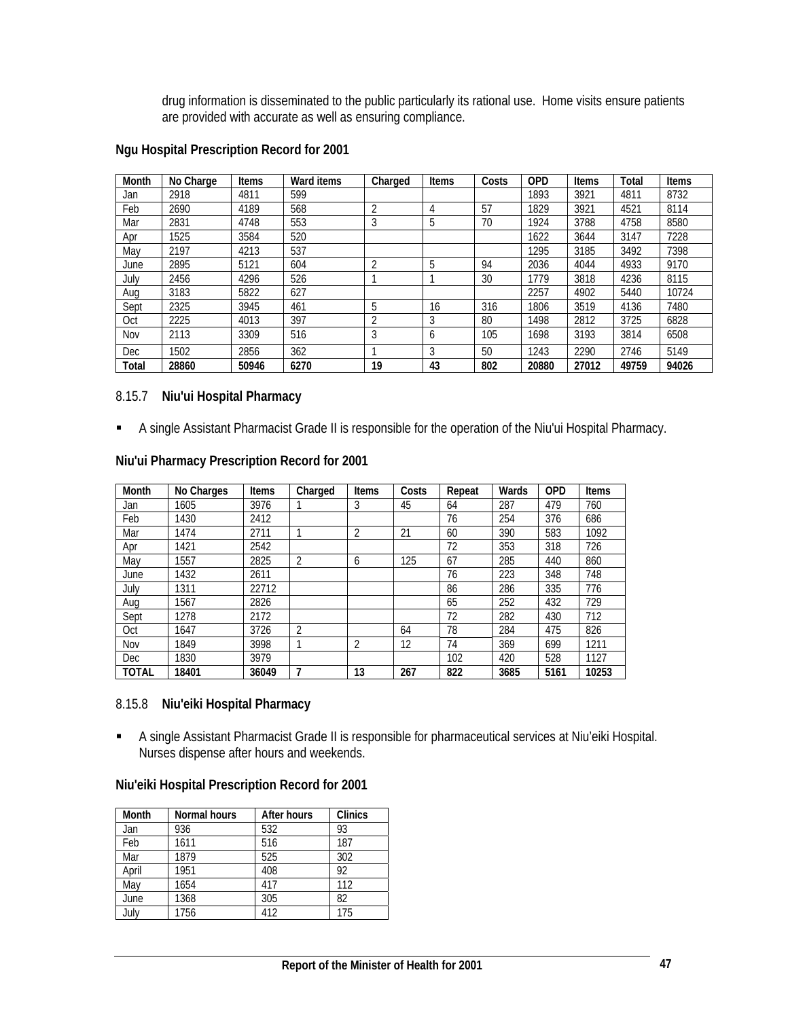drug information is disseminated to the public particularly its rational use. Home visits ensure patients are provided with accurate as well as ensuring compliance.

| Month | No Charge | <b>Items</b> | Ward items | Charged        | <b>Items</b> | Costs | <b>OPD</b> | Items | Total | <b>Items</b> |
|-------|-----------|--------------|------------|----------------|--------------|-------|------------|-------|-------|--------------|
| Jan   | 2918      | 4811         | 599        |                |              |       | 1893       | 3921  | 4811  | 8732         |
| Feb   | 2690      | 4189         | 568        | $\overline{2}$ | 4            | 57    | 1829       | 3921  | 4521  | 8114         |
| Mar   | 2831      | 4748         | 553        | 3              | 5            | 70    | 1924       | 3788  | 4758  | 8580         |
| Apr   | 1525      | 3584         | 520        |                |              |       | 1622       | 3644  | 3147  | 7228         |
| May   | 2197      | 4213         | 537        |                |              |       | 1295       | 3185  | 3492  | 7398         |
| June  | 2895      | 5121         | 604        | $\overline{2}$ | 5            | 94    | 2036       | 4044  | 4933  | 9170         |
| July  | 2456      | 4296         | 526        |                |              | 30    | 1779       | 3818  | 4236  | 8115         |
| Aug   | 3183      | 5822         | 627        |                |              |       | 2257       | 4902  | 5440  | 10724        |
| Sept  | 2325      | 3945         | 461        | 5              | 16           | 316   | 1806       | 3519  | 4136  | 7480         |
| Oct   | 2225      | 4013         | 397        | 2              | 3            | 80    | 1498       | 2812  | 3725  | 6828         |
| Nov   | 2113      | 3309         | 516        | 3              | 6            | 105   | 1698       | 3193  | 3814  | 6508         |
| Dec   | 1502      | 2856         | 362        |                | 3            | 50    | 1243       | 2290  | 2746  | 5149         |
| Total | 28860     | 50946        | 6270       | 19             | 43           | 802   | 20880      | 27012 | 49759 | 94026        |

#### **Ngu Hospital Prescription Record for 2001**

#### 8.15.7 **Niu'ui Hospital Pharmacy**

A single Assistant Pharmacist Grade II is responsible for the operation of the Niu'ui Hospital Pharmacy.

| Month | No Charges | <b>Items</b> | Charged | <b>Items</b>   | Costs | Repeat | Wards | <b>OPD</b> | <b>Items</b> |
|-------|------------|--------------|---------|----------------|-------|--------|-------|------------|--------------|
| Jan   | 1605       | 3976         |         | 3              | 45    | 64     | 287   | 479        | 760          |
| Feb   | 1430       | 2412         |         |                |       | 76     | 254   | 376        | 686          |
| Mar   | 1474       | 2711         |         | $\overline{2}$ | 21    | 60     | 390   | 583        | 1092         |
| Apr   | 1421       | 2542         |         |                |       | 72     | 353   | 318        | 726          |
| May   | 1557       | 2825         | 2       | 6              | 125   | 67     | 285   | 440        | 860          |
| June  | 1432       | 2611         |         |                |       | 76     | 223   | 348        | 748          |
| July  | 1311       | 22712        |         |                |       | 86     | 286   | 335        | 776          |
| Aug   | 1567       | 2826         |         |                |       | 65     | 252   | 432        | 729          |
| Sept  | 1278       | 2172         |         |                |       | 72     | 282   | 430        | 712          |
| Oct   | 1647       | 3726         | 2       |                | 64    | 78     | 284   | 475        | 826          |
| Nov   | 1849       | 3998         |         | $\overline{2}$ | 12    | 74     | 369   | 699        | 1211         |
| Dec   | 1830       | 3979         |         |                |       | 102    | 420   | 528        | 1127         |
| TOTAL | 18401      | 36049        | 7       | 13             | 267   | 822    | 3685  | 5161       | 10253        |

#### **Niu'ui Pharmacy Prescription Record for 2001**

#### 8.15.8 **Niu'eiki Hospital Pharmacy**

 A single Assistant Pharmacist Grade II is responsible for pharmaceutical services at Niu'eiki Hospital. Nurses dispense after hours and weekends.

# **Niu'eiki Hospital Prescription Record for 2001**

| Month | Normal hours | After hours | <b>Clinics</b> |
|-------|--------------|-------------|----------------|
| Jan   | 936          | 532         | 93             |
| Feb   | 1611         | 516         | 187            |
| Mar   | 1879         | 525         | 302            |
| April | 1951         | 408         | 92             |
| May   | 1654         | 417         | 112            |
| June  | 1368         | 305         | 82             |
| July  | 1756         | 412         | 175            |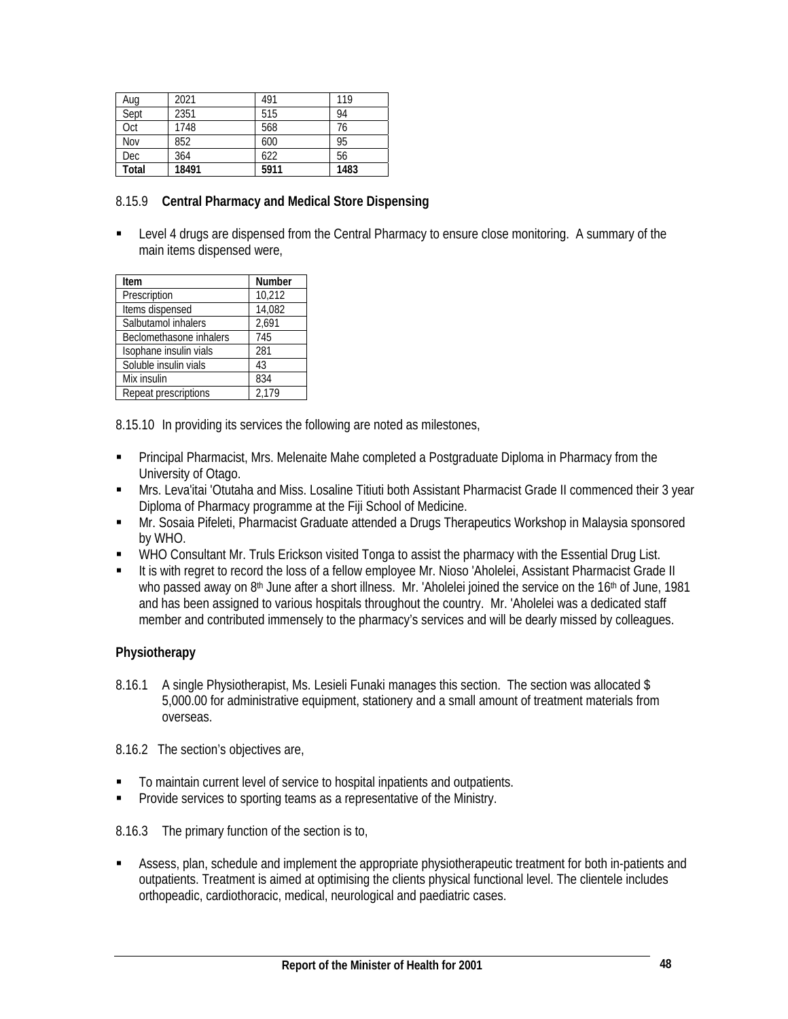| Aug   | 2021  | 491  | 119  |
|-------|-------|------|------|
| Sept  | 2351  | 515  | 94   |
| Oct   | 1748  | 568  | 76   |
| Nov   | 852   | 600  | 95   |
| Dec   | 364   | 622  | 56   |
| Total | 18491 | 5911 | 1483 |

# 8.15.9 **Central Pharmacy and Medical Store Dispensing**

**EXECT** Level 4 drugs are dispensed from the Central Pharmacy to ensure close monitoring. A summary of the main items dispensed were,

| Item                    | <b>Number</b> |
|-------------------------|---------------|
| Prescription            | 10,212        |
| Items dispensed         | 14,082        |
| Salbutamol inhalers     | 2,691         |
| Beclomethasone inhalers | 745           |
| Isophane insulin vials  | 281           |
| Soluble insulin vials   | 43            |
| Mix insulin             | 834           |
| Repeat prescriptions    | 2.179         |

8.15.10 In providing its services the following are noted as milestones,

- Principal Pharmacist, Mrs. Melenaite Mahe completed a Postgraduate Diploma in Pharmacy from the University of Otago.
- Mrs. Leva'itai 'Otutaha and Miss. Losaline Titiuti both Assistant Pharmacist Grade II commenced their 3 year Diploma of Pharmacy programme at the Fiji School of Medicine.
- Mr. Sosaia Pifeleti, Pharmacist Graduate attended a Drugs Therapeutics Workshop in Malaysia sponsored by WHO.
- WHO Consultant Mr. Truls Erickson visited Tonga to assist the pharmacy with the Essential Drug List.
- It is with regret to record the loss of a fellow employee Mr. Nioso 'Aholelei, Assistant Pharmacist Grade II who passed away on 8<sup>th</sup> June after a short illness. Mr. 'Aholelei joined the service on the 16<sup>th</sup> of June, 1981 and has been assigned to various hospitals throughout the country. Mr. 'Aholelei was a dedicated staff member and contributed immensely to the pharmacy's services and will be dearly missed by colleagues.

# **Physiotherapy**

8.16.1 A single Physiotherapist, Ms. Lesieli Funaki manages this section. The section was allocated \$ 5,000.00 for administrative equipment, stationery and a small amount of treatment materials from overseas.

8.16.2 The section's objectives are,

- To maintain current level of service to hospital inpatients and outpatients.
- **Provide services to sporting teams as a representative of the Ministry.**

8.16.3 The primary function of the section is to,

 Assess, plan, schedule and implement the appropriate physiotherapeutic treatment for both in-patients and outpatients. Treatment is aimed at optimising the clients physical functional level. The clientele includes orthopeadic, cardiothoracic, medical, neurological and paediatric cases.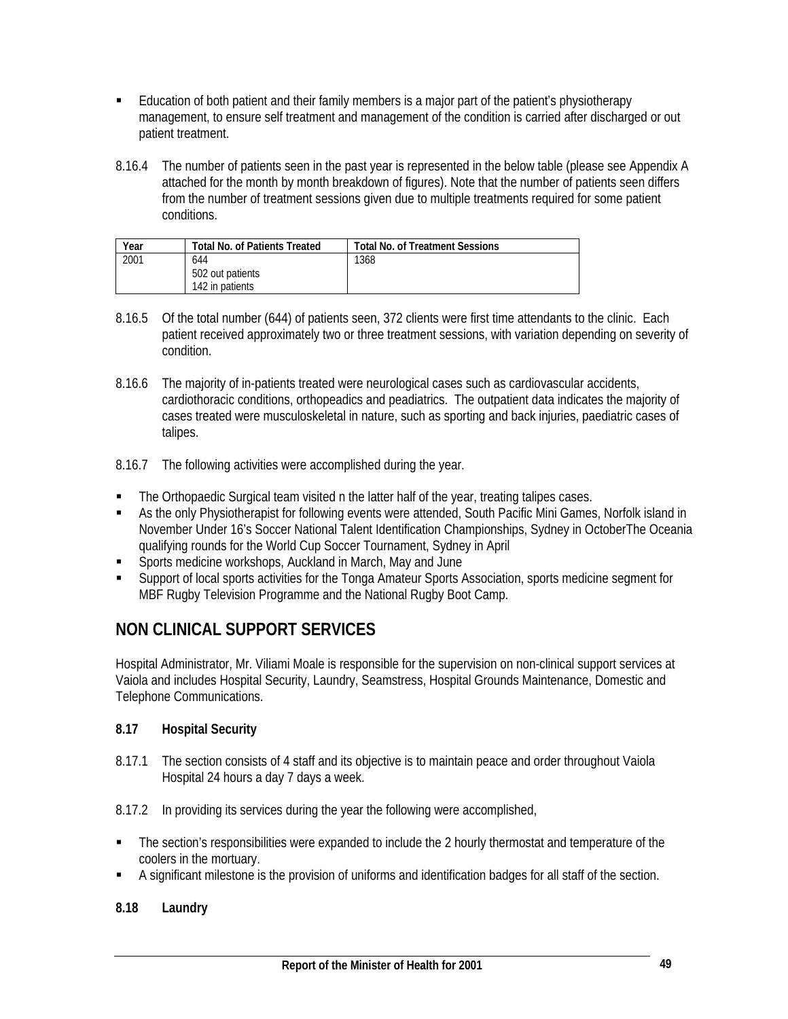- Education of both patient and their family members is a major part of the patient's physiotherapy management, to ensure self treatment and management of the condition is carried after discharged or out patient treatment.
- 8.16.4 The number of patients seen in the past year is represented in the below table (please see Appendix A attached for the month by month breakdown of figures). Note that the number of patients seen differs from the number of treatment sessions given due to multiple treatments required for some patient conditions.

| Year | <b>Total No. of Patients Treated</b> | <b>Total No. of Treatment Sessions</b> |
|------|--------------------------------------|----------------------------------------|
| 2001 | 644                                  | 1368                                   |
|      | 502 out patients                     |                                        |
|      | 142 in patients                      |                                        |

- 8.16.5 Of the total number (644) of patients seen, 372 clients were first time attendants to the clinic. Each patient received approximately two or three treatment sessions, with variation depending on severity of condition.
- 8.16.6 The majority of in-patients treated were neurological cases such as cardiovascular accidents, cardiothoracic conditions, orthopeadics and peadiatrics. The outpatient data indicates the majority of cases treated were musculoskeletal in nature, such as sporting and back injuries, paediatric cases of talipes.
- 8.16.7 The following activities were accomplished during the year.
- The Orthopaedic Surgical team visited n the latter half of the year, treating talipes cases.
- As the only Physiotherapist for following events were attended, South Pacific Mini Games, Norfolk island in November Under 16's Soccer National Talent Identification Championships, Sydney in OctoberThe Oceania qualifying rounds for the World Cup Soccer Tournament, Sydney in April
- Sports medicine workshops, Auckland in March, May and June
- Support of local sports activities for the Tonga Amateur Sports Association, sports medicine segment for MBF Rugby Television Programme and the National Rugby Boot Camp.

# **NON CLINICAL SUPPORT SERVICES**

Hospital Administrator, Mr. Viliami Moale is responsible for the supervision on non-clinical support services at Vaiola and includes Hospital Security, Laundry, Seamstress, Hospital Grounds Maintenance, Domestic and Telephone Communications.

# **8.17 Hospital Security**

- 8.17.1 The section consists of 4 staff and its objective is to maintain peace and order throughout Vaiola Hospital 24 hours a day 7 days a week.
- 8.17.2 In providing its services during the year the following were accomplished,
- The section's responsibilities were expanded to include the 2 hourly thermostat and temperature of the coolers in the mortuary.
- A significant milestone is the provision of uniforms and identification badges for all staff of the section.

# **8.18 Laundry**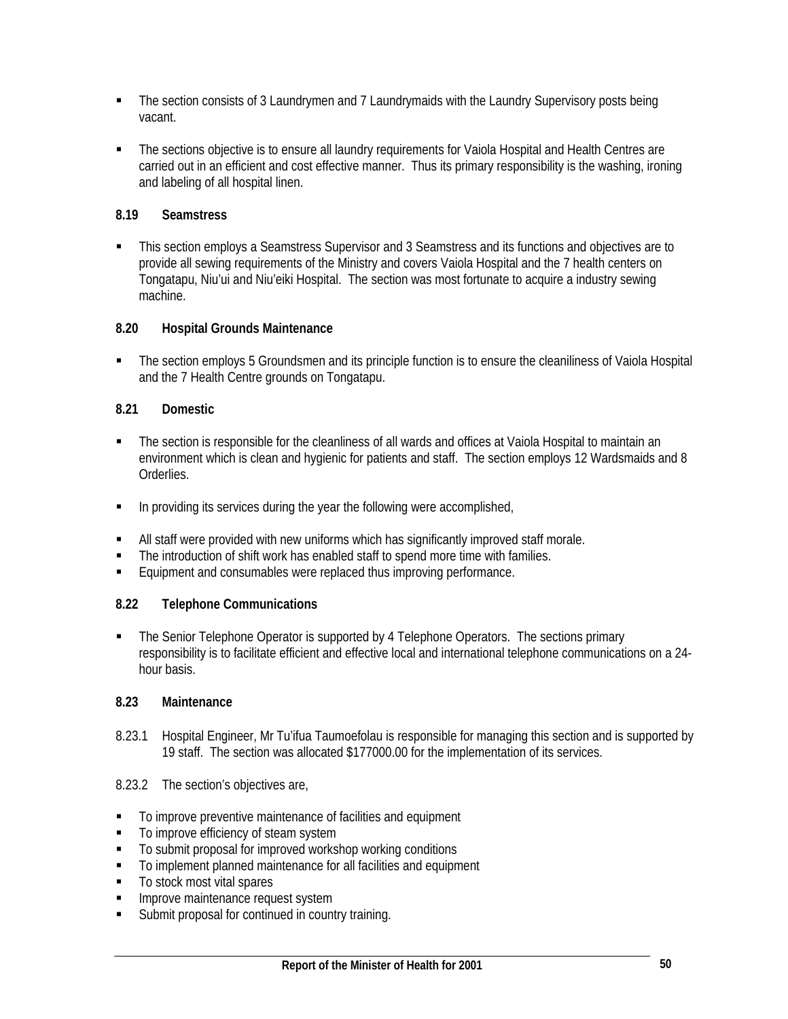- The section consists of 3 Laundrymen and 7 Laundrymaids with the Laundry Supervisory posts being vacant.
- The sections objective is to ensure all laundry requirements for Vaiola Hospital and Health Centres are carried out in an efficient and cost effective manner. Thus its primary responsibility is the washing, ironing and labeling of all hospital linen.

# **8.19 Seamstress**

 This section employs a Seamstress Supervisor and 3 Seamstress and its functions and objectives are to provide all sewing requirements of the Ministry and covers Vaiola Hospital and the 7 health centers on Tongatapu, Niu'ui and Niu'eiki Hospital. The section was most fortunate to acquire a industry sewing machine.

# **8.20 Hospital Grounds Maintenance**

• The section employs 5 Groundsmen and its principle function is to ensure the cleaniliness of Vaiola Hospital and the 7 Health Centre grounds on Tongatapu.

# **8.21 Domestic**

- The section is responsible for the cleanliness of all wards and offices at Vaiola Hospital to maintain an environment which is clean and hygienic for patients and staff. The section employs 12 Wardsmaids and 8 Orderlies.
- **In providing its services during the year the following were accomplished,**
- All staff were provided with new uniforms which has significantly improved staff morale.
- The introduction of shift work has enabled staff to spend more time with families.
- Equipment and consumables were replaced thus improving performance.

# **8.22 Telephone Communications**

 The Senior Telephone Operator is supported by 4 Telephone Operators. The sections primary responsibility is to facilitate efficient and effective local and international telephone communications on a 24 hour basis.

#### **8.23 Maintenance**

- 8.23.1 Hospital Engineer, Mr Tu'ifua Taumoefolau is responsible for managing this section and is supported by 19 staff. The section was allocated \$177000.00 for the implementation of its services.
- 8.23.2 The section's objectives are,
- To improve preventive maintenance of facilities and equipment
- To improve efficiency of steam system
- To submit proposal for improved workshop working conditions
- To implement planned maintenance for all facilities and equipment
- To stock most vital spares
- **IMPROVE Maintenance request system**
- **Submit proposal for continued in country training.**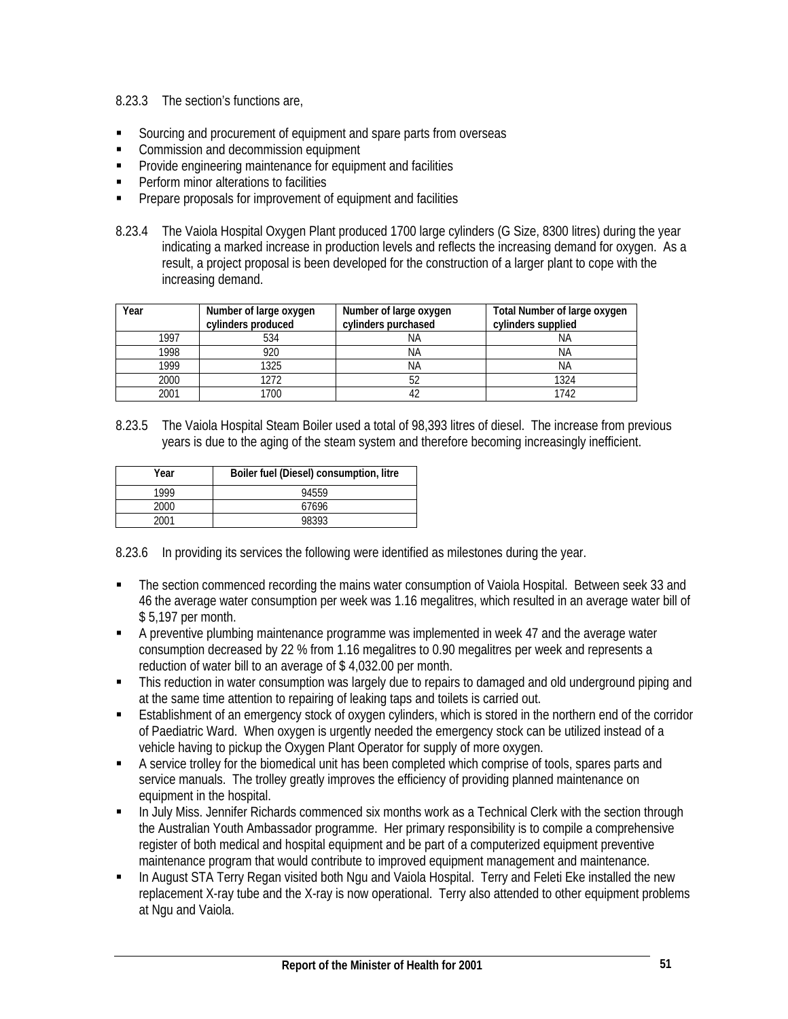# 8.23.3 The section's functions are,

- Sourcing and procurement of equipment and spare parts from overseas
- Commission and decommission equipment
- **•** Provide engineering maintenance for equipment and facilities
- **Perform minor alterations to facilities**
- **Prepare proposals for improvement of equipment and facilities**
- 8.23.4 The Vaiola Hospital Oxygen Plant produced 1700 large cylinders (G Size, 8300 litres) during the year indicating a marked increase in production levels and reflects the increasing demand for oxygen. As a result, a project proposal is been developed for the construction of a larger plant to cope with the increasing demand.

| Year | Number of large oxygen<br>cylinders produced | Number of large oxygen<br>cylinders purchased | Total Number of large oxygen<br>cylinders supplied |
|------|----------------------------------------------|-----------------------------------------------|----------------------------------------------------|
| 1997 | 534                                          | ΝA                                            | ΝA                                                 |
| 1998 | 920                                          | ΝA                                            | ΝA                                                 |
| 1999 | 1325                                         | ΝA                                            | ΝA                                                 |
| 2000 | 1272                                         |                                               | 1324                                               |
| 2001 | 1700                                         |                                               | 1742                                               |

8.23.5 The Vaiola Hospital Steam Boiler used a total of 98,393 litres of diesel. The increase from previous years is due to the aging of the steam system and therefore becoming increasingly inefficient.

| Year | Boiler fuel (Diesel) consumption, litre |
|------|-----------------------------------------|
| 1999 | 94559                                   |
| 2000 | 67696                                   |
| 2001 | 98393                                   |

8.23.6 In providing its services the following were identified as milestones during the year.

- The section commenced recording the mains water consumption of Vaiola Hospital. Between seek 33 and 46 the average water consumption per week was 1.16 megalitres, which resulted in an average water bill of \$ 5,197 per month.
- A preventive plumbing maintenance programme was implemented in week 47 and the average water consumption decreased by 22 % from 1.16 megalitres to 0.90 megalitres per week and represents a reduction of water bill to an average of \$ 4,032.00 per month.
- This reduction in water consumption was largely due to repairs to damaged and old underground piping and at the same time attention to repairing of leaking taps and toilets is carried out.
- **Establishment of an emergency stock of oxygen cylinders, which is stored in the northern end of the corridor** of Paediatric Ward. When oxygen is urgently needed the emergency stock can be utilized instead of a vehicle having to pickup the Oxygen Plant Operator for supply of more oxygen.
- A service trolley for the biomedical unit has been completed which comprise of tools, spares parts and service manuals. The trolley greatly improves the efficiency of providing planned maintenance on equipment in the hospital.
- In July Miss. Jennifer Richards commenced six months work as a Technical Clerk with the section through the Australian Youth Ambassador programme. Her primary responsibility is to compile a comprehensive register of both medical and hospital equipment and be part of a computerized equipment preventive maintenance program that would contribute to improved equipment management and maintenance.
- **In August STA Terry Regan visited both Ngu and Vaiola Hospital. Terry and Feleti Eke installed the new** replacement X-ray tube and the X-ray is now operational. Terry also attended to other equipment problems at Ngu and Vaiola.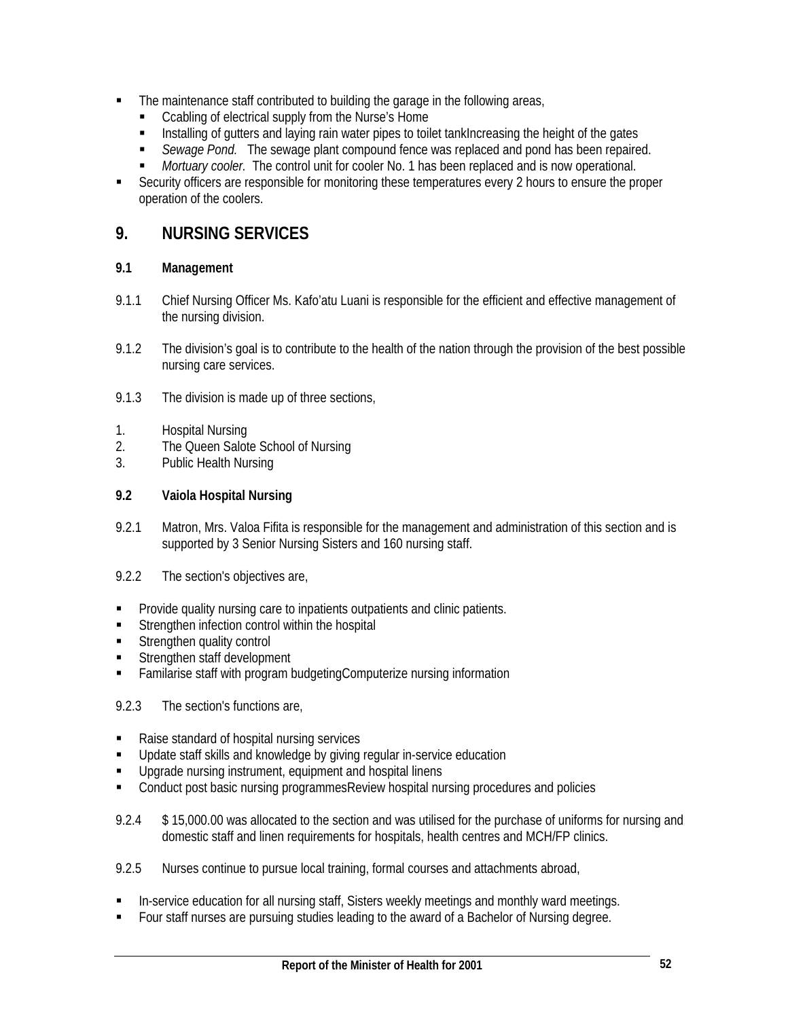- The maintenance staff contributed to building the garage in the following areas,
	- Ccabling of electrical supply from the Nurse's Home
	- Installing of gutters and laying rain water pipes to toilet tankIncreasing the height of the gates
	- *Sewage Pond.* The sewage plant compound fence was replaced and pond has been repaired.
	- *Mortuary cooler.* The control unit for cooler No. 1 has been replaced and is now operational.
- Security officers are responsible for monitoring these temperatures every 2 hours to ensure the proper operation of the coolers.

# **9. NURSING SERVICES**

# **9.1 Management**

- 9.1.1 Chief Nursing Officer Ms. Kafo'atu Luani is responsible for the efficient and effective management of the nursing division.
- 9.1.2 The division's goal is to contribute to the health of the nation through the provision of the best possible nursing care services.
- 9.1.3 The division is made up of three sections,
- 1. Hospital Nursing
- 2. The Queen Salote School of Nursing
- 3. Public Health Nursing

# **9.2 Vaiola Hospital Nursing**

- 9.2.1 Matron, Mrs. Valoa Fifita is responsible for the management and administration of this section and is supported by 3 Senior Nursing Sisters and 160 nursing staff.
- 9.2.2 The section's objectives are,
- **Provide quality nursing care to inpatients outpatients and clinic patients.**
- Strengthen infection control within the hospital
- **Strengthen quality control**
- **Strengthen staff development**
- Familarise staff with program budgetingComputerize nursing information
- 9.2.3 The section's functions are,
- Raise standard of hospital nursing services
- **Update staff skills and knowledge by giving regular in-service education**
- **Upgrade nursing instrument, equipment and hospital linens**
- Conduct post basic nursing programmesReview hospital nursing procedures and policies
- 9.2.4 \$15,000.00 was allocated to the section and was utilised for the purchase of uniforms for nursing and domestic staff and linen requirements for hospitals, health centres and MCH/FP clinics.
- 9.2.5 Nurses continue to pursue local training, formal courses and attachments abroad,
- In-service education for all nursing staff, Sisters weekly meetings and monthly ward meetings.
- Four staff nurses are pursuing studies leading to the award of a Bachelor of Nursing degree.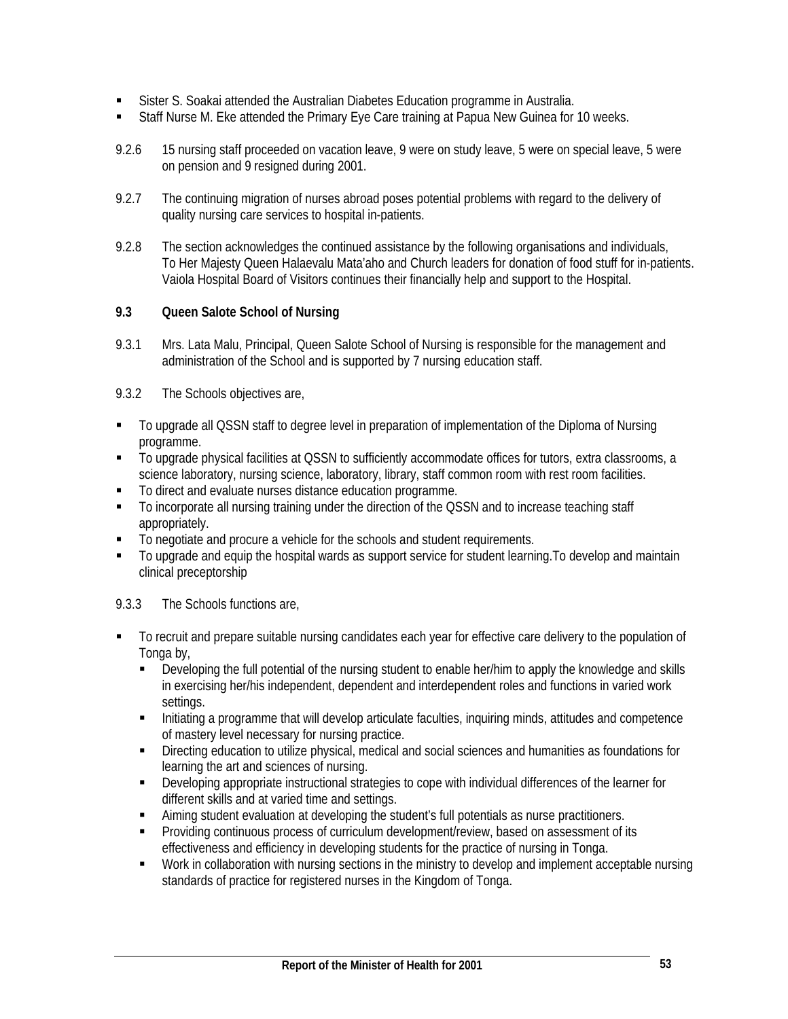- Sister S. Soakai attended the Australian Diabetes Education programme in Australia.
- Staff Nurse M. Eke attended the Primary Eye Care training at Papua New Guinea for 10 weeks.
- 9.2.6 15 nursing staff proceeded on vacation leave, 9 were on study leave, 5 were on special leave, 5 were on pension and 9 resigned during 2001.
- 9.2.7 The continuing migration of nurses abroad poses potential problems with regard to the delivery of quality nursing care services to hospital in-patients.
- 9.2.8 The section acknowledges the continued assistance by the following organisations and individuals, To Her Majesty Queen Halaevalu Mata'aho and Church leaders for donation of food stuff for in-patients. Vaiola Hospital Board of Visitors continues their financially help and support to the Hospital.

# **9.3 Queen Salote School of Nursing**

9.3.1 Mrs. Lata Malu, Principal, Queen Salote School of Nursing is responsible for the management and administration of the School and is supported by 7 nursing education staff.

# 9.3.2 The Schools objectives are,

- To upgrade all QSSN staff to degree level in preparation of implementation of the Diploma of Nursing programme.
- To upgrade physical facilities at QSSN to sufficiently accommodate offices for tutors, extra classrooms, a science laboratory, nursing science, laboratory, library, staff common room with rest room facilities.
- To direct and evaluate nurses distance education programme.
- To incorporate all nursing training under the direction of the QSSN and to increase teaching staff appropriately.
- $\blacksquare$  To negotiate and procure a vehicle for the schools and student requirements.
- To upgrade and equip the hospital wards as support service for student learning.To develop and maintain clinical preceptorship

# 9.3.3 The Schools functions are,

- To recruit and prepare suitable nursing candidates each year for effective care delivery to the population of Tonga by,
	- Developing the full potential of the nursing student to enable her/him to apply the knowledge and skills in exercising her/his independent, dependent and interdependent roles and functions in varied work settings.
	- Initiating a programme that will develop articulate faculties, inquiring minds, attitudes and competence of mastery level necessary for nursing practice.
	- Directing education to utilize physical, medical and social sciences and humanities as foundations for learning the art and sciences of nursing.
	- Developing appropriate instructional strategies to cope with individual differences of the learner for different skills and at varied time and settings.
	- Aiming student evaluation at developing the student's full potentials as nurse practitioners.
	- Providing continuous process of curriculum development/review, based on assessment of its effectiveness and efficiency in developing students for the practice of nursing in Tonga.
	- Work in collaboration with nursing sections in the ministry to develop and implement acceptable nursing standards of practice for registered nurses in the Kingdom of Tonga.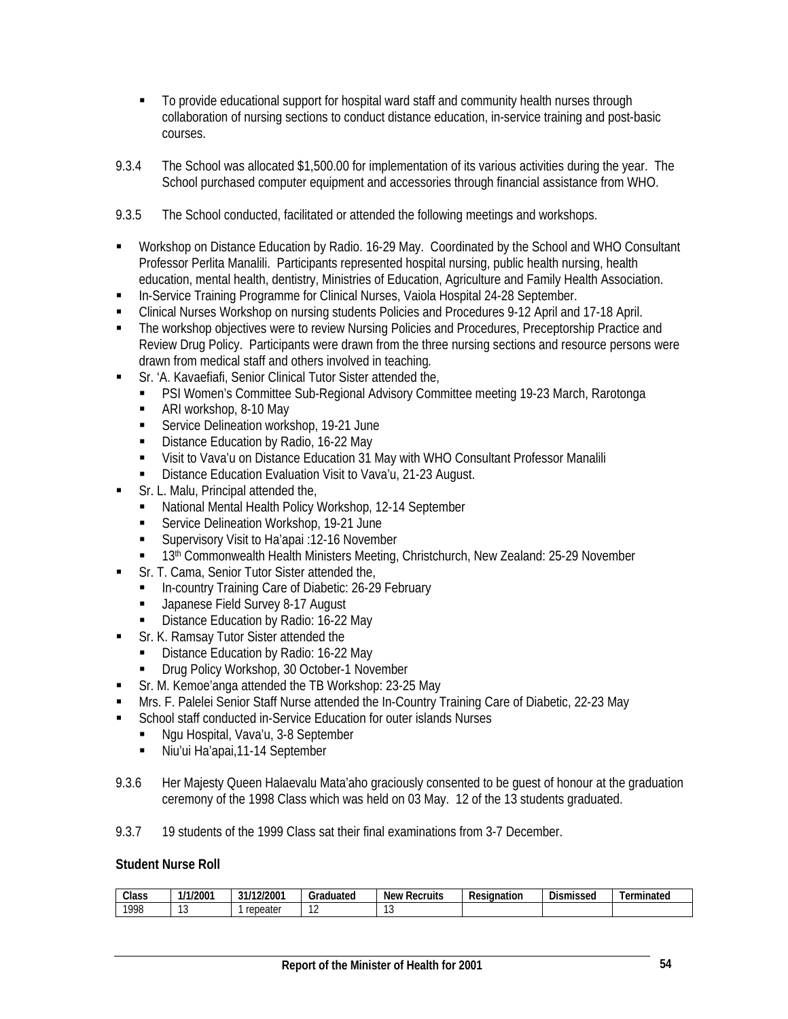- To provide educational support for hospital ward staff and community health nurses through collaboration of nursing sections to conduct distance education, in-service training and post-basic courses.
- 9.3.4 The School was allocated \$1,500.00 for implementation of its various activities during the year. The School purchased computer equipment and accessories through financial assistance from WHO.
- 9.3.5 The School conducted, facilitated or attended the following meetings and workshops.
- Workshop on Distance Education by Radio. 16-29 May. Coordinated by the School and WHO Consultant Professor Perlita Manalili. Participants represented hospital nursing, public health nursing, health education, mental health, dentistry, Ministries of Education, Agriculture and Family Health Association.
- **In-Service Training Programme for Clinical Nurses, Vaiola Hospital 24-28 September.**
- Clinical Nurses Workshop on nursing students Policies and Procedures 9-12 April and 17-18 April.
- The workshop objectives were to review Nursing Policies and Procedures, Preceptorship Practice and Review Drug Policy. Participants were drawn from the three nursing sections and resource persons were drawn from medical staff and others involved in teaching*.*
	- Sr. 'A. Kavaefiafi, Senior Clinical Tutor Sister attended the,
	- PSI Women's Committee Sub-Regional Advisory Committee meeting 19-23 March, Rarotonga
	- ARI workshop, 8-10 May
	- **Service Delineation workshop, 19-21 June**
	- Distance Education by Radio, 16-22 May
	- Visit to Vava'u on Distance Education 31 May with WHO Consultant Professor Manalili
	- **Distance Education Evaluation Visit to Vava'u, 21-23 August.**
- Sr. L. Malu, Principal attended the,
	- National Mental Health Policy Workshop, 12-14 September
	- Service Delineation Workshop, 19-21 June
	- **Supervisory Visit to Ha'apai :12-16 November**
	- 13<sup>th</sup> Commonwealth Health Ministers Meeting, Christchurch, New Zealand: 25-29 November
- Sr. T. Cama, Senior Tutor Sister attended the,
	- **In-country Training Care of Diabetic: 26-29 February**
	- **Japanese Field Survey 8-17 August**
	- Distance Education by Radio: 16-22 May
- Sr. K. Ramsay Tutor Sister attended the
	- Distance Education by Radio: 16-22 May
	- **Drug Policy Workshop, 30 October-1 November**
- Sr. M. Kemoe'anga attended the TB Workshop: 23-25 May
- Mrs. F. Palelei Senior Staff Nurse attended the In-Country Training Care of Diabetic, 22-23 May
- **EXECT** School staff conducted in-Service Education for outer islands Nurses
	- Ngu Hospital, Vava'u, 3-8 September
	- Niu'ui Ha'apai,11-14 September
- 9.3.6 Her Majesty Queen Halaevalu Mata'aho graciously consented to be guest of honour at the graduation ceremony of the 1998 Class which was held on 03 May. 12 of the 13 students graduated.
- 9.3.7 19 students of the 1999 Class sat their final examinations from 3-7 December.

#### **Student Nurse Roll**

| Class | 1/1/2001    | /12/2001<br>31/ | Graduated | Recruits<br>New | -<br>Resignation | $\sim$<br>Dismissed | Terminated |
|-------|-------------|-----------------|-----------|-----------------|------------------|---------------------|------------|
| 1998  | $\sim$<br>՝ | repeater        | . .       | $\sim$<br>w     |                  |                     |            |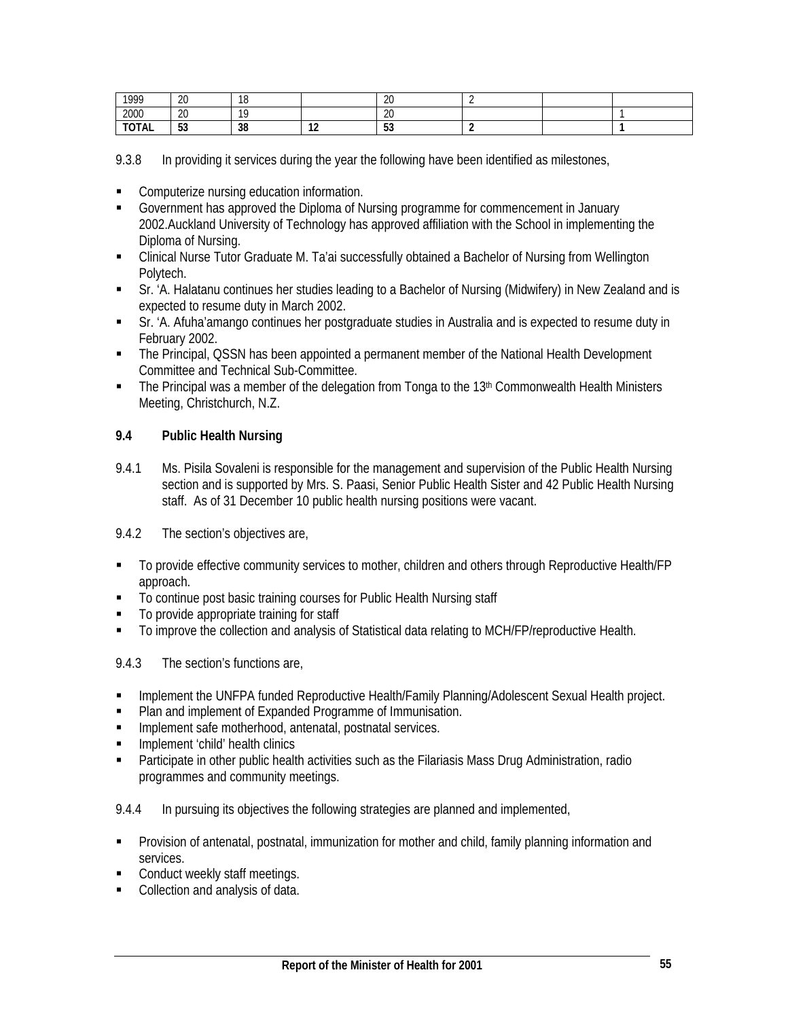| 1999                  | $\Omega$<br>ΖU | 10<br>ιu |               | ിറ<br>∠∪   |  |  |
|-----------------------|----------------|----------|---------------|------------|--|--|
| 2000                  | $\sim$<br>ZU   | 10       |               | ിറ<br>ZU   |  |  |
| <b>TOTAL</b><br>IUIAL | r o<br>ູບປ     | 38       | $\sim$<br>. . | r o<br>ູບປ |  |  |

9.3.8 In providing it services during the year the following have been identified as milestones,

- **EXECOMPUTER COMPUTER COMPUTER COMPUTER COMPUTER COMPUTER CONST**
- Government has approved the Diploma of Nursing programme for commencement in January 2002.Auckland University of Technology has approved affiliation with the School in implementing the Diploma of Nursing.
- Clinical Nurse Tutor Graduate M. Ta'ai successfully obtained a Bachelor of Nursing from Wellington Polytech.
- Sr. 'A. Halatanu continues her studies leading to a Bachelor of Nursing (Midwifery) in New Zealand and is expected to resume duty in March 2002.
- Sr. 'A. Afuha'amango continues her postgraduate studies in Australia and is expected to resume duty in February 2002.
- The Principal, QSSN has been appointed a permanent member of the National Health Development Committee and Technical Sub-Committee.
- $\blacksquare$  The Principal was a member of the delegation from Tonga to the 13<sup>th</sup> Commonwealth Health Ministers Meeting, Christchurch, N.Z.

# **9.4 Public Health Nursing**

9.4.1 Ms. Pisila Sovaleni is responsible for the management and supervision of the Public Health Nursing section and is supported by Mrs. S. Paasi, Senior Public Health Sister and 42 Public Health Nursing staff. As of 31 December 10 public health nursing positions were vacant.

# 9.4.2 The section's objectives are,

- To provide effective community services to mother, children and others through Reproductive Health/FP approach.
- To continue post basic training courses for Public Health Nursing staff
- To provide appropriate training for staff
- To improve the collection and analysis of Statistical data relating to MCH/FP/reproductive Health.
- 9.4.3 The section's functions are,
- **Implement the UNFPA funded Reproductive Health/Family Planning/Adolescent Sexual Health project.**
- Plan and implement of Expanded Programme of Immunisation.
- **Implement safe motherhood, antenatal, postnatal services.**
- **Implement 'child' health clinics**
- **Participate in other public health activities such as the Filariasis Mass Drug Administration, radio** programmes and community meetings.
- 9.4.4 In pursuing its objectives the following strategies are planned and implemented,
- Provision of antenatal, postnatal, immunization for mother and child, family planning information and services.
- Conduct weekly staff meetings.
- **Collection and analysis of data.**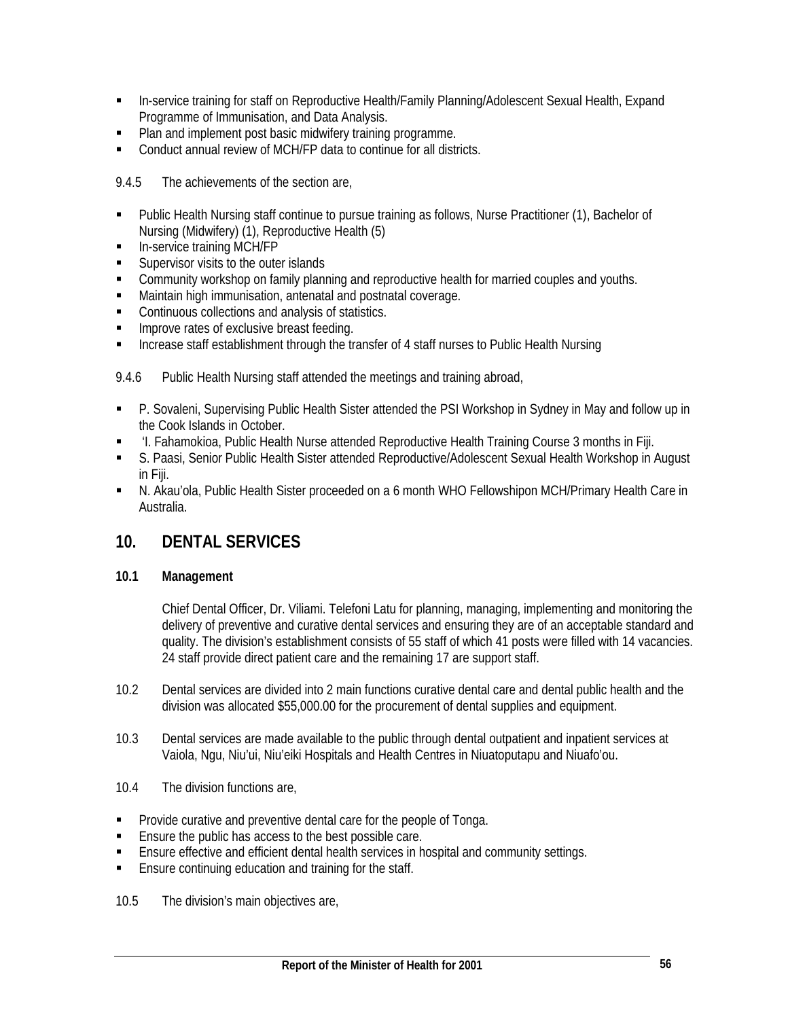- **In-service training for staff on Reproductive Health/Family Planning/Adolescent Sexual Health, Expand** Programme of Immunisation, and Data Analysis.
- Plan and implement post basic midwifery training programme.
- Conduct annual review of MCH/FP data to continue for all districts.

9.4.5 The achievements of the section are,

- Public Health Nursing staff continue to pursue training as follows, Nurse Practitioner (1), Bachelor of Nursing (Midwifery) (1), Reproductive Health (5)
- **In-service training MCH/FP**
- **Supervisor visits to the outer islands**
- Community workshop on family planning and reproductive health for married couples and youths.
- Maintain high immunisation, antenatal and postnatal coverage.
- **Continuous collections and analysis of statistics.**
- **IMPROVE rates of exclusive breast feeding.**
- **Increase staff establishment through the transfer of 4 staff nurses to Public Health Nursing**

9.4.6 Public Health Nursing staff attended the meetings and training abroad,

- P. Sovaleni, Supervising Public Health Sister attended the PSI Workshop in Sydney in May and follow up in the Cook Islands in October.
- 'I. Fahamokioa, Public Health Nurse attended Reproductive Health Training Course 3 months in Fiji.
- S. Paasi, Senior Public Health Sister attended Reproductive/Adolescent Sexual Health Workshop in August in Fiji.
- N. Akau'ola, Public Health Sister proceeded on a 6 month WHO Fellowshipon MCH/Primary Health Care in Australia.

# **10. DENTAL SERVICES**

# **10.1 Management**

Chief Dental Officer, Dr. Viliami. Telefoni Latu for planning, managing, implementing and monitoring the delivery of preventive and curative dental services and ensuring they are of an acceptable standard and quality. The division's establishment consists of 55 staff of which 41 posts were filled with 14 vacancies. 24 staff provide direct patient care and the remaining 17 are support staff.

- 10.2 Dental services are divided into 2 main functions curative dental care and dental public health and the division was allocated \$55,000.00 for the procurement of dental supplies and equipment.
- 10.3 Dental services are made available to the public through dental outpatient and inpatient services at Vaiola, Ngu, Niu'ui, Niu'eiki Hospitals and Health Centres in Niuatoputapu and Niuafo'ou.
- 10.4 The division functions are,
- Provide curative and preventive dental care for the people of Tonga.
- Ensure the public has access to the best possible care.
- Ensure effective and efficient dental health services in hospital and community settings.
- **Ensure continuing education and training for the staff.**

10.5 The division's main objectives are,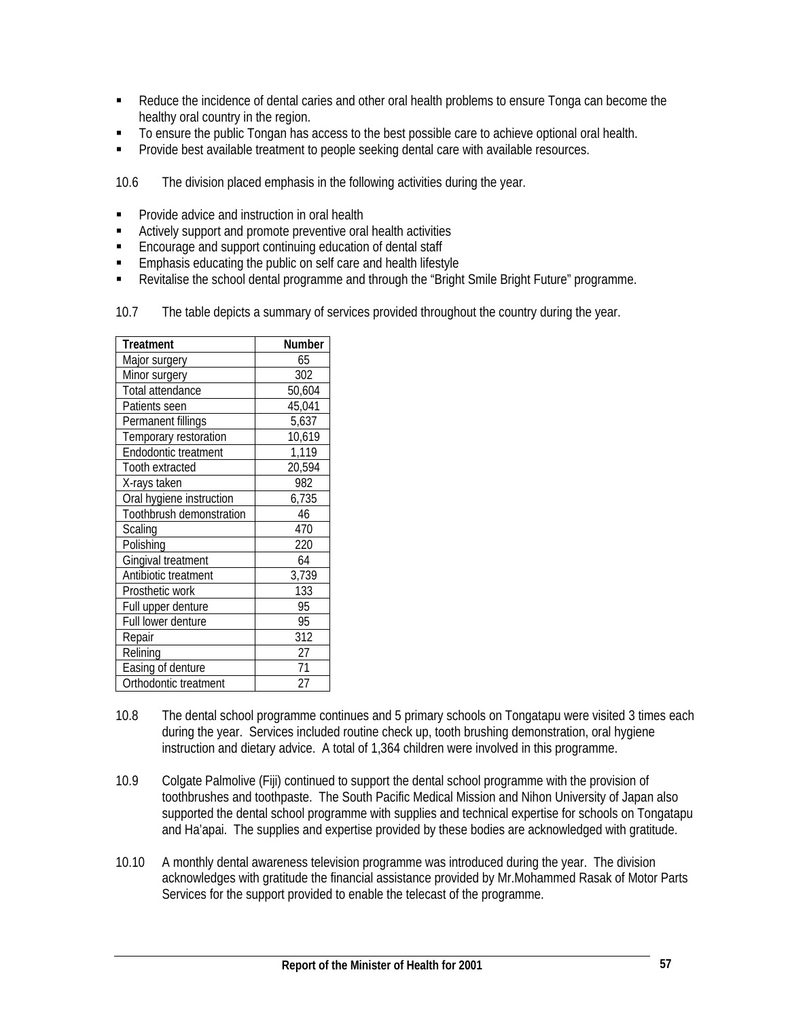- **Reduce the incidence of dental caries and other oral health problems to ensure Tonga can become the** healthy oral country in the region.
- To ensure the public Tongan has access to the best possible care to achieve optional oral health.
- **Provide best available treatment to people seeking dental care with available resources.**

10.6 The division placed emphasis in the following activities during the year.

- **Provide advice and instruction in oral health**
- Actively support and promote preventive oral health activities
- **Encourage and support continuing education of dental staff**
- **Emphasis educating the public on self care and health lifestyle**
- Revitalise the school dental programme and through the "Bright Smile Bright Future" programme.
- 10.7 The table depicts a summary of services provided throughout the country during the year.

| Treatment                | Number |
|--------------------------|--------|
| Major surgery            | 65     |
| Minor surgery            | 302    |
| Total attendance         | 50,604 |
| Patients seen            | 45,041 |
| Permanent fillings       | 5,637  |
| Temporary restoration    | 10,619 |
| Endodontic treatment     | 1,119  |
| Tooth extracted          | 20,594 |
| X-rays taken             | 982    |
| Oral hygiene instruction | 6,735  |
| Toothbrush demonstration | 46     |
| Scaling                  | 470    |
| Polishing                | 220    |
| Gingival treatment       | 64     |
| Antibiotic treatment     | 3,739  |
| Prosthetic work          | 133    |
| Full upper denture       | 95     |
| Full lower denture       | 95     |
| Repair                   | 312    |
| Relining                 | 27     |
| Easing of denture        | 71     |
| Orthodontic treatment    | 27     |

- 10.8 The dental school programme continues and 5 primary schools on Tongatapu were visited 3 times each during the year. Services included routine check up, tooth brushing demonstration, oral hygiene instruction and dietary advice. A total of 1,364 children were involved in this programme.
- 10.9 Colgate Palmolive (Fiji) continued to support the dental school programme with the provision of toothbrushes and toothpaste. The South Pacific Medical Mission and Nihon University of Japan also supported the dental school programme with supplies and technical expertise for schools on Tongatapu and Ha'apai. The supplies and expertise provided by these bodies are acknowledged with gratitude.
- 10.10 A monthly dental awareness television programme was introduced during the year. The division acknowledges with gratitude the financial assistance provided by Mr.Mohammed Rasak of Motor Parts Services for the support provided to enable the telecast of the programme.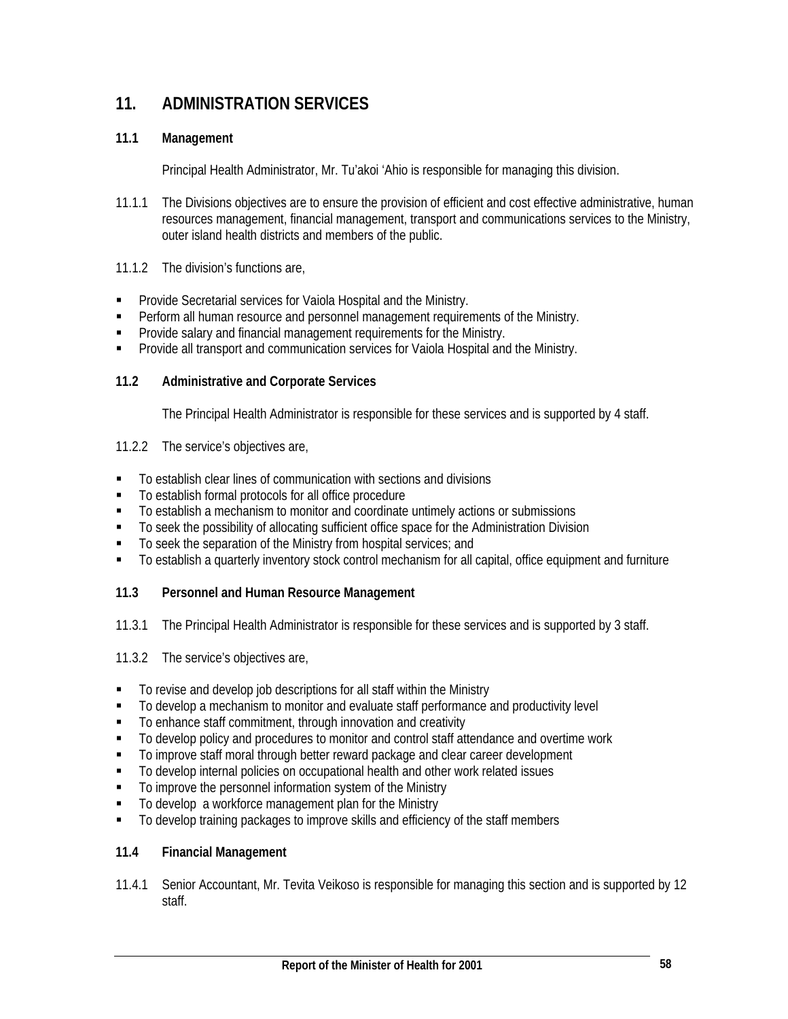# **11. ADMINISTRATION SERVICES**

# **11.1 Management**

Principal Health Administrator, Mr. Tu'akoi 'Ahio is responsible for managing this division.

- 11.1.1 The Divisions objectives are to ensure the provision of efficient and cost effective administrative, human resources management, financial management, transport and communications services to the Ministry, outer island health districts and members of the public.
- 11.1.2 The division's functions are,
- **Provide Secretarial services for Vaiola Hospital and the Ministry.**
- **Perform all human resource and personnel management requirements of the Ministry.**
- **Provide salary and financial management requirements for the Ministry.**
- **Provide all transport and communication services for Vaiola Hospital and the Ministry.**

#### **11.2 Administrative and Corporate Services**

The Principal Health Administrator is responsible for these services and is supported by 4 staff.

- 11.2.2 The service's objectives are,
- To establish clear lines of communication with sections and divisions
- To establish formal protocols for all office procedure
- To establish a mechanism to monitor and coordinate untimely actions or submissions
- To seek the possibility of allocating sufficient office space for the Administration Division
- To seek the separation of the Ministry from hospital services; and
- To establish a quarterly inventory stock control mechanism for all capital, office equipment and furniture

# **11.3 Personnel and Human Resource Management**

- 11.3.1 The Principal Health Administrator is responsible for these services and is supported by 3 staff.
- 11.3.2 The service's objectives are,
- To revise and develop job descriptions for all staff within the Ministry
- $\blacksquare$  To develop a mechanism to monitor and evaluate staff performance and productivity level
- To enhance staff commitment, through innovation and creativity
- To develop policy and procedures to monitor and control staff attendance and overtime work
- $\blacksquare$  To improve staff moral through better reward package and clear career development
- To develop internal policies on occupational health and other work related issues
- To improve the personnel information system of the Ministry
- To develop a workforce management plan for the Ministry
- $\blacksquare$  To develop training packages to improve skills and efficiency of the staff members

# **11.4 Financial Management**

11.4.1 Senior Accountant, Mr. Tevita Veikoso is responsible for managing this section and is supported by 12 staff.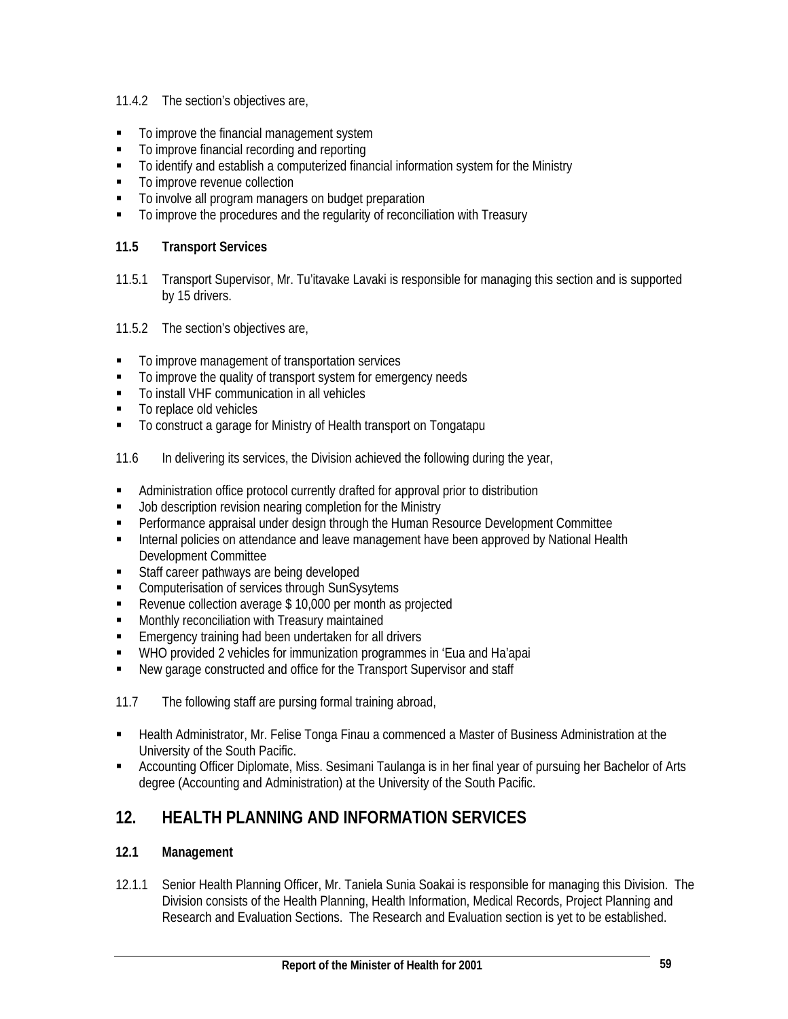- 11.4.2 The section's objectives are,
- $\blacksquare$  To improve the financial management system
- To improve financial recording and reporting
- To identify and establish a computerized financial information system for the Ministry
- $\blacksquare$  To improve revenue collection
- $\blacksquare$  To involve all program managers on budget preparation
- To improve the procedures and the regularity of reconciliation with Treasury

# **11.5 Transport Services**

- 11.5.1 Transport Supervisor, Mr. Tu'itavake Lavaki is responsible for managing this section and is supported by 15 drivers.
- 11.5.2 The section's objectives are,
- **To improve management of transportation services**
- $\blacksquare$  To improve the quality of transport system for emergency needs
- To install VHF communication in all vehicles
- To replace old vehicles
- To construct a garage for Ministry of Health transport on Tongatapu
- 11.6 In delivering its services, the Division achieved the following during the year,
- Administration office protocol currently drafted for approval prior to distribution
- Job description revision nearing completion for the Ministry
- Performance appraisal under design through the Human Resource Development Committee
- **Internal policies on attendance and leave management have been approved by National Health** Development Committee
- Staff career pathways are being developed
- **Computerisation of services through SunSysytems**
- Revenue collection average \$10,000 per month as projected
- **Monthly reconciliation with Treasury maintained**
- **Emergency training had been undertaken for all drivers**
- WHO provided 2 vehicles for immunization programmes in 'Eua and Ha'apai
- New garage constructed and office for the Transport Supervisor and staff
- 11.7 The following staff are pursing formal training abroad,
- Health Administrator, Mr. Felise Tonga Finau a commenced a Master of Business Administration at the University of the South Pacific.
- Accounting Officer Diplomate, Miss. Sesimani Taulanga is in her final year of pursuing her Bachelor of Arts degree (Accounting and Administration) at the University of the South Pacific.

# **12. HEALTH PLANNING AND INFORMATION SERVICES**

# **12.1 Management**

12.1.1 Senior Health Planning Officer, Mr. Taniela Sunia Soakai is responsible for managing this Division. The Division consists of the Health Planning, Health Information, Medical Records, Project Planning and Research and Evaluation Sections. The Research and Evaluation section is yet to be established.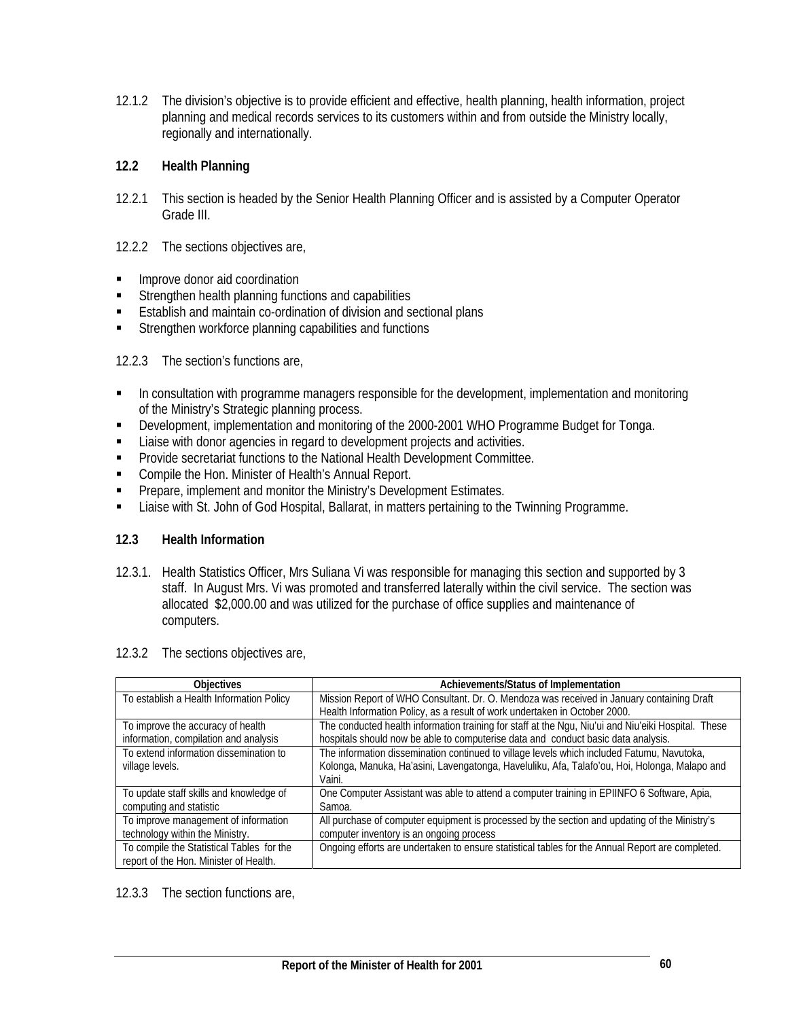12.1.2 The division's objective is to provide efficient and effective, health planning, health information, project planning and medical records services to its customers within and from outside the Ministry locally, regionally and internationally.

# **12.2 Health Planning**

- 12.2.1 This section is headed by the Senior Health Planning Officer and is assisted by a Computer Operator Grade III.
- 12.2.2 The sections objectives are,
- **IMPROVE donor aid coordination**
- Strengthen health planning functions and capabilities
- **Establish and maintain co-ordination of division and sectional plans**
- **Strengthen workforce planning capabilities and functions**

#### 12.2.3 The section's functions are,

- In consultation with programme managers responsible for the development, implementation and monitoring of the Ministry's Strategic planning process.
- Development, implementation and monitoring of the 2000-2001 WHO Programme Budget for Tonga.
- **EXECT** Liaise with donor agencies in regard to development projects and activities.
- **Provide secretariat functions to the National Health Development Committee.**
- **Compile the Hon. Minister of Health's Annual Report.**
- **Prepare, implement and monitor the Ministry's Development Estimates.**
- **Example 1** Liaise with St. John of God Hospital, Ballarat, in matters pertaining to the Twinning Programme.

# **12.3 Health Information**

12.3.1. Health Statistics Officer, Mrs Suliana Vi was responsible for managing this section and supported by 3 staff. In August Mrs. Vi was promoted and transferred laterally within the civil service. The section was allocated \$2,000.00 and was utilized for the purchase of office supplies and maintenance of computers.

| <b>Objectives</b>                         | Achievements/Status of Implementation                                                               |
|-------------------------------------------|-----------------------------------------------------------------------------------------------------|
| To establish a Health Information Policy  | Mission Report of WHO Consultant. Dr. O. Mendoza was received in January containing Draft           |
|                                           | Health Information Policy, as a result of work undertaken in October 2000.                          |
| To improve the accuracy of health         | The conducted health information training for staff at the Ngu, Niu'ui and Niu'eiki Hospital. These |
| information, compilation and analysis     | hospitals should now be able to computerise data and conduct basic data analysis.                   |
| To extend information dissemination to    | The information dissemination continued to village levels which included Fatumu, Navutoka,          |
| village levels.                           | Kolonga, Manuka, Ha'asini, Lavengatonga, Haveluliku, Afa, Talafo'ou, Hoi, Holonga, Malapo and       |
|                                           | Vaini.                                                                                              |
| To update staff skills and knowledge of   | One Computer Assistant was able to attend a computer training in EPIINFO 6 Software, Apia,          |
| computing and statistic                   | Samoa.                                                                                              |
| To improve management of information      | All purchase of computer equipment is processed by the section and updating of the Ministry's       |
| technology within the Ministry.           | computer inventory is an ongoing process                                                            |
| To compile the Statistical Tables for the | Ongoing efforts are undertaken to ensure statistical tables for the Annual Report are completed.    |
| report of the Hon. Minister of Health.    |                                                                                                     |

#### 12.3.2 The sections objectives are,

12.3.3 The section functions are,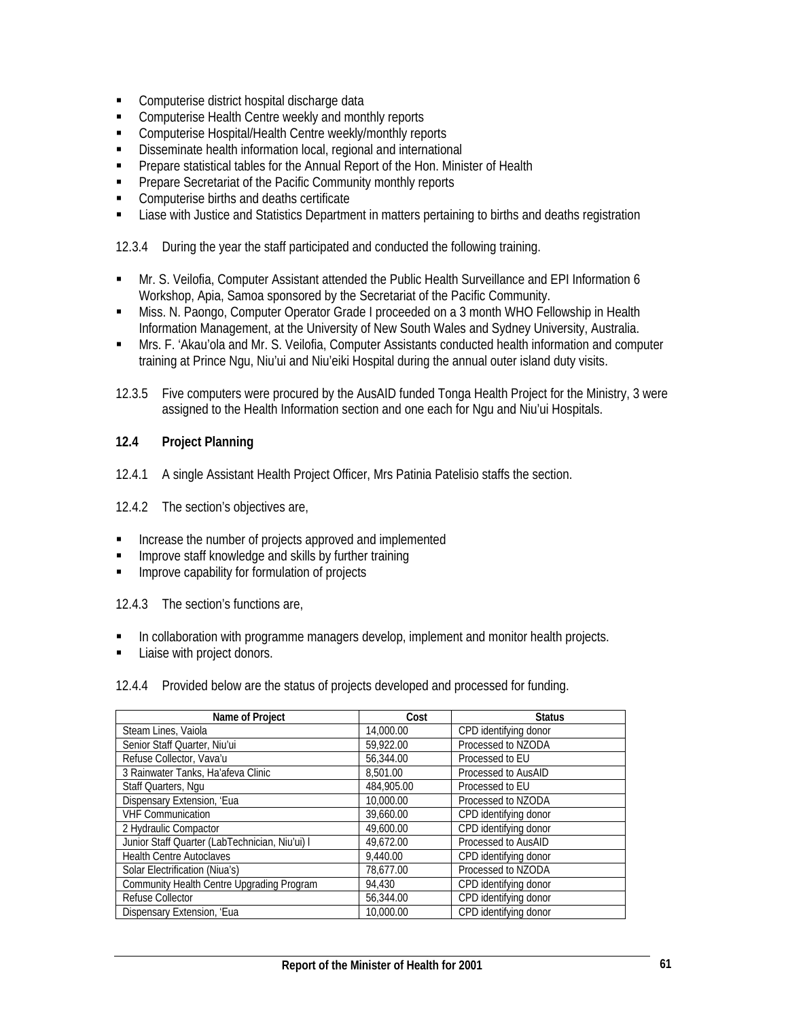- **EXECOMPUTER COMPUTER** Computerise district hospital discharge data
- **EXECOMPUTER CHEALTE COMPUTER COMPUTER** Computerise Health Centre weekly and monthly reports
- **EXECOMPUTER:** Computerise Hospital/Health Centre weekly/monthly reports
- **Disseminate health information local, regional and international**
- **•** Prepare statistical tables for the Annual Report of the Hon. Minister of Health
- **Prepare Secretariat of the Pacific Community monthly reports**
- **EXECOMPUTER COMPUTER COMPUTER COMPUTER COMPUTER COMPUTER COMPUTER COMPUTER COMPUTER CONFIDER CONFIDER CONFIDER CONFIDER CONFIDER CONFIDER CONFIDER CONFIDER CONFIDER CONFIDER CONFIDER CO**
- Liase with Justice and Statistics Department in matters pertaining to births and deaths registration

12.3.4 During the year the staff participated and conducted the following training.

- Mr. S. Veilofia, Computer Assistant attended the Public Health Surveillance and EPI Information 6 Workshop, Apia, Samoa sponsored by the Secretariat of the Pacific Community.
- Miss. N. Paongo, Computer Operator Grade I proceeded on a 3 month WHO Fellowship in Health Information Management, at the University of New South Wales and Sydney University, Australia.
- Mrs. F. 'Akau'ola and Mr. S. Veilofia, Computer Assistants conducted health information and computer training at Prince Ngu, Niu'ui and Niu'eiki Hospital during the annual outer island duty visits.
- 12.3.5 Five computers were procured by the AusAID funded Tonga Health Project for the Ministry, 3 were assigned to the Health Information section and one each for Ngu and Niu'ui Hospitals.

# **12.4 Project Planning**

12.4.1 A single Assistant Health Project Officer, Mrs Patinia Patelisio staffs the section.

12.4.2 The section's objectives are,

- **Increase the number of projects approved and implemented**
- Improve staff knowledge and skills by further training
- Improve capability for formulation of projects

12.4.3 The section's functions are,

- In collaboration with programme managers develop, implement and monitor health projects.
- Liaise with project donors.

12.4.4 Provided below are the status of projects developed and processed for funding.

| Name of Project                                | Cost       | <b>Status</b>         |
|------------------------------------------------|------------|-----------------------|
|                                                |            |                       |
| Steam Lines, Vaiola                            | 14,000.00  | CPD identifying donor |
| Senior Staff Quarter, Niu'ui                   | 59.922.00  | Processed to NZODA    |
| Refuse Collector, Vava'u                       | 56.344.00  | Processed to EU       |
| 3 Rainwater Tanks, Ha'afeva Clinic             | 8.501.00   | Processed to AusAID   |
| Staff Quarters, Ngu                            | 484,905.00 | Processed to EU       |
| Dispensary Extension, 'Eua                     | 10,000.00  | Processed to NZODA    |
| <b>VHF Communication</b>                       | 39.660.00  | CPD identifying donor |
| 2 Hydraulic Compactor                          | 49,600.00  | CPD identifying donor |
| Junior Staff Quarter (LabTechnician, Niu'ui) I | 49.672.00  | Processed to AusAID   |
| <b>Health Centre Autoclaves</b>                | 9,440.00   | CPD identifying donor |
| Solar Electrification (Niua's)                 | 78.677.00  | Processed to NZODA    |
| Community Health Centre Upgrading Program      | 94.430     | CPD identifying donor |
| Refuse Collector                               | 56,344.00  | CPD identifying donor |
| Dispensary Extension, 'Eua                     | 10,000.00  | CPD identifying donor |